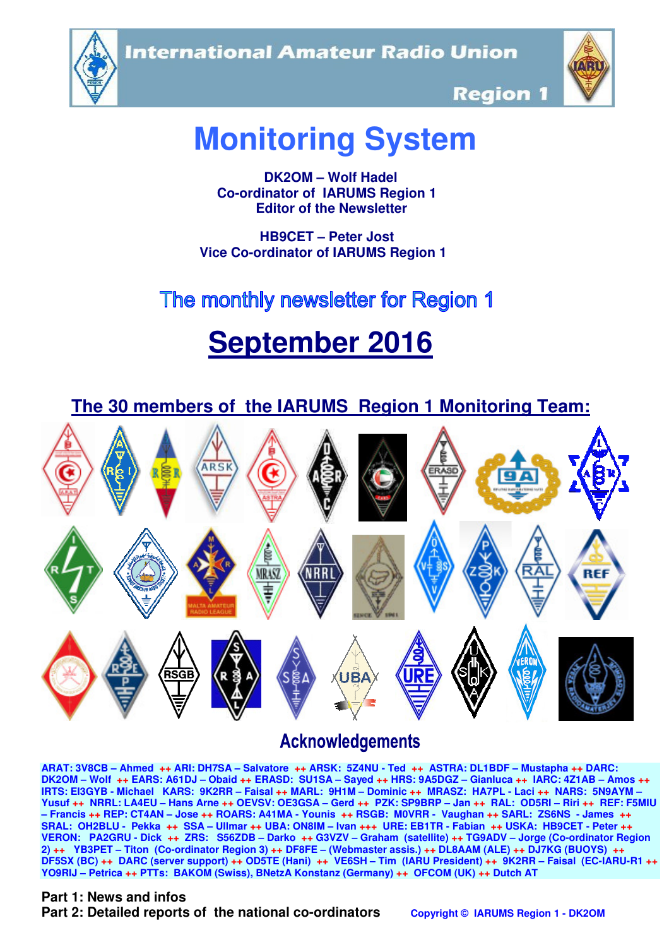**International Amateur Radio Union** 





**Region 1** 

# **Monitoring System**

 **DK2OM – Wolf Hadel Co-ordinator of IARUMS Region 1 Editor of the Newsletter** 

 **HB9CET – Peter Jost Vice Co-ordinator of IARUMS Region 1** 

# The monthly newsletter for Region 1

# **September 2016**



# **Acknowledgements**

**ARAT: 3V8CB – Ahmed ++ ARI: DH7SA – Salvatore ++ ARSK: 5Z4NU - Ted ++ ASTRA: DL1BDF – Mustapha ++ DARC: DK2OM – Wolf ++ EARS: A61DJ – Obaid ++ ERASD: SU1SA – Sayed ++ HRS: 9A5DGZ – Gianluca ++ IARC: 4Z1AB – Amos ++ IRTS: EI3GYB - Michael KARS: 9K2RR – Faisal ++ MARL: 9H1M – Dominic ++ MRASZ: HA7PL - Laci ++ NARS: 5N9AYM – Yusuf ++ NRRL: LA4EU – Hans Arne ++ OEVSV: OE3GSA – Gerd ++ PZK: SP9BRP – Jan ++ RAL: OD5RI – Riri ++ REF: F5MIU – Francis ++ REP: CT4AN – Jose ++ ROARS: A41MA - Younis ++ RSGB: M0VRR - Vaughan ++ SARL: ZS6NS - James ++ SRAL: OH2BLU - Pekka ++ SSA – Ullmar ++ UBA: ON8IM – Ivan +++ URE: EB1TR - Fabian ++ USKA: HB9CET - Peter ++ VERON: PA2GRU - Dick ++ ZRS: S56ZDB – Darko ++ G3VZV – Graham (satellite) ++ TG9ADV – Jorge (Co-ordinator Region 2) ++ YB3PET – Titon (Co-ordinator Region 3) ++ DF8FE – (Webmaster assis.) ++ DL8AAM (ALE) ++ DJ7KG (BUOYS) ++ DF5SX (BC) ++ DARC (server support) ++ OD5TE (Hani) ++ VE6SH – Tim (IARU President) ++ 9K2RR – Faisal (EC-IARU-R1 ++ YO9RIJ – Petrica ++ PTTs: BAKOM (Swiss), BNetzA Konstanz (Germany) ++ OFCOM (UK) ++ Dutch AT**

#### **Part 1: News and infos**

**Part 2: Detailed reports of the national co-ordinators copyright © IARUMS Region 1 - DK2OM**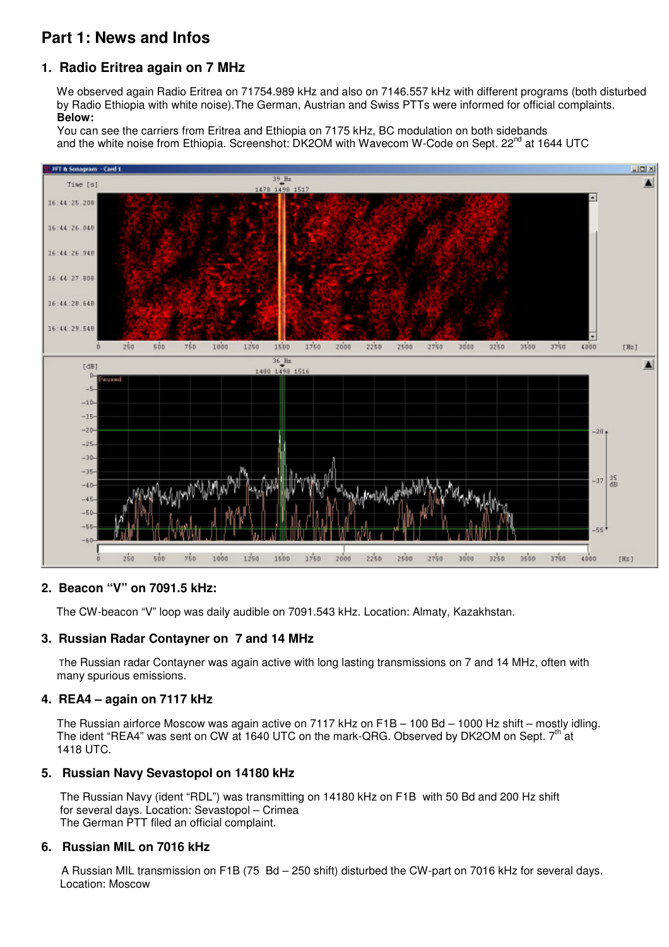# **Part 1: News and Infos**

### **1. Radio Eritrea again on 7 MHz**

 We observed again Radio Eritrea on 71754.989 kHz and also on 7146.557 kHz with different programs (both disturbed by Radio Ethiopia with white noise).The German, Austrian and Swiss PTTs were informed for official complaints.  **Below:** 

 You can see the carriers from Eritrea and Ethiopia on 7175 kHz, BC modulation on both sidebands and the white noise from Ethiopia. Screenshot: DK2OM with Wavecom W-Code on Sept. 22<sup>nd</sup> at 1644 UTC



#### **2. Beacon "V" on 7091.5 kHz:**

The CW-beacon "V" loop was daily audible on 7091.543 kHz. Location: Almaty, Kazakhstan.

#### **3. Russian Radar Contayner on 7 and 14 MHz**

 The Russian radar Contayner was again active with long lasting transmissions on 7 and 14 MHz, often with many spurious emissions.

#### **4. REA4 – again on 7117 kHz**

 The Russian airforce Moscow was again active on 7117 kHz on F1B – 100 Bd – 1000 Hz shift – mostly idling. The ident "REA4" was sent on CW at 1640 UTC on the mark-QRG. Observed by DK2OM on Sept. 7<sup>th</sup> at 1418 UTC.

#### **5. Russian Navy Sevastopol on 14180 kHz**

 The Russian Navy (ident "RDL") was transmitting on 14180 kHz on F1B with 50 Bd and 200 Hz shift for several days. Location: Sevastopol – Crimea The German PTT filed an official complaint.

#### **6. Russian MIL on 7016 kHz**

A Russian MIL transmission on F1B (75 Bd – 250 shift) disturbed the CW-part on 7016 kHz for several days. Location: Moscow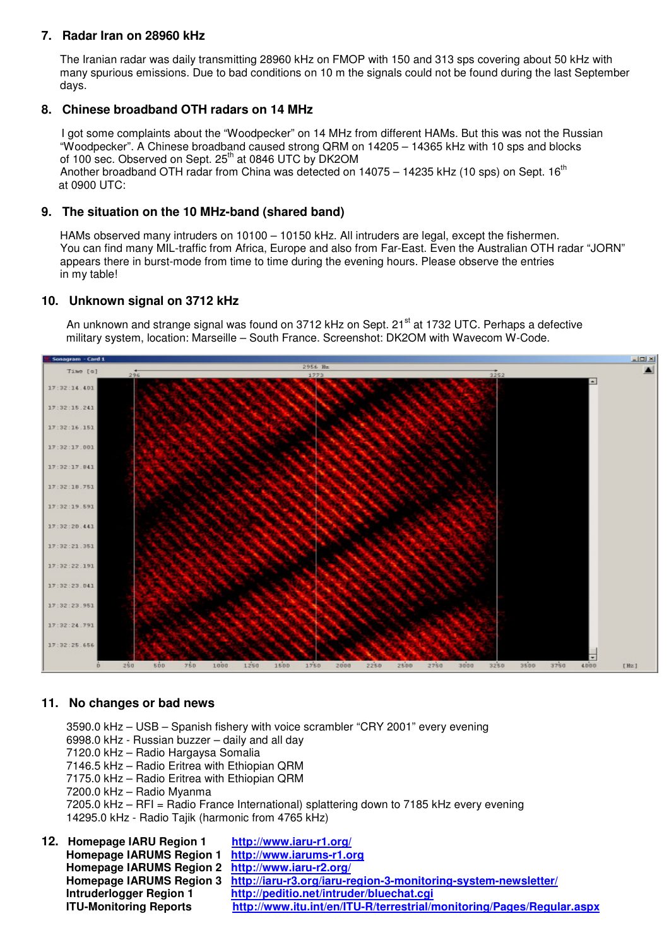#### **7. Radar Iran on 28960 kHz**

 The Iranian radar was daily transmitting 28960 kHz on FMOP with 150 and 313 sps covering about 50 kHz with many spurious emissions. Due to bad conditions on 10 m the signals could not be found during the last September days.

#### **8. Chinese broadband OTH radars on 14 MHz**

 I got some complaints about the "Woodpecker" on 14 MHz from different HAMs. But this was not the Russian "Woodpecker". A Chinese broadband caused strong QRM on 14205 – 14365 kHz with 10 sps and blocks of 100 sec. Observed on Sept. 25<sup>th</sup> at 0846 UTC by DK2OM Another broadband OTH radar from China was detected on 14075 – 14235 kHz (10 sps) on Sept. 16<sup>th</sup> at 0900 UTC:

#### **9. The situation on the 10 MHz-band (shared band)**

 HAMs observed many intruders on 10100 – 10150 kHz. All intruders are legal, except the fishermen. You can find many MIL-traffic from Africa, Europe and also from Far-East. Even the Australian OTH radar "JORN" appears there in burst-mode from time to time during the evening hours. Please observe the entries in my table!

#### **10. Unknown signal on 3712 kHz**

An unknown and strange signal was found on 3712 kHz on Sept. 21<sup>st</sup> at 1732 UTC. Perhaps a defective military system, location: Marseille – South France. Screenshot: DK2OM with Wavecom W-Code.



#### **11. No changes or bad news**

3590.0 kHz – USB – Spanish fishery with voice scrambler "CRY 2001" every evening 6998.0 kHz - Russian buzzer – daily and all day 7120.0 kHz – Radio Hargaysa Somalia 7146.5 kHz – Radio Eritrea with Ethiopian QRM 7175.0 kHz – Radio Eritrea with Ethiopian QRM 7200.0 kHz – Radio Myanma 7205.0 kHz – RFI = Radio France International) splattering down to 7185 kHz every evening 14295.0 kHz - Radio Tajik (harmonic from 4765 kHz) **12. Homepage IARU Region 1 http://www.iaru-r1.org/ Homepage IARUMS Region 1 http://www.iarums-r1.org**

| Homepage IARUMS Region 1 http://www.iarums-r1.org |                                                                                         |
|---------------------------------------------------|-----------------------------------------------------------------------------------------|
| Homepage IARUMS Region 2 http://www.iaru-r2.org/  |                                                                                         |
|                                                   | Homepage IARUMS Region 3 http://iaru-r3.org/iaru-region-3-monitoring-system-newsletter/ |
| Intruderlogger Region 1                           | http://peditio.net/intruder/bluechat.cgi                                                |
| <b>ITU-Monitoring Reports</b>                     | http://www.itu.int/en/ITU-R/terrestrial/monitoring/Pages/Regular.aspx                   |
|                                                   |                                                                                         |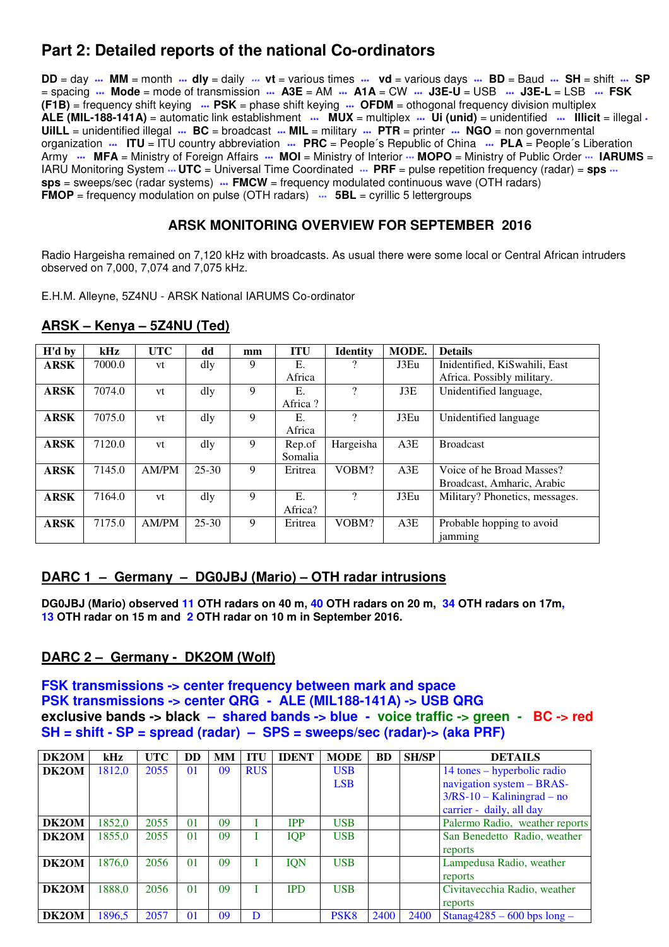# **Part 2: Detailed reports of the national Co-ordinators**

**DD** = day **\*\*\* MM** = month **\*\*\* dly** = daily \*\*\* **vt** = various times **\*\*\* vd** = various days **\*\*\* BD** = Baud **\*\*\* SH** = shift **\*\*\* SP** = spacing **\*\*\* Mode** = mode of transmission **\*\*\* A3E** = AM **\*\*\* A1A** = CW **\*\*\* J3E-U** = USB **\*\*\* J3E-L** = LSB **\*\*\* FSK (F1B)** = frequency shift keying **\*\*\* PSK** = phase shift keying **\*\*\* OFDM** = othogonal frequency division multiplex **ALE (MIL-188-141A)** = automatic link establishment **\*\*\* MUX** = multiplex **\*\*\* Ui (unid)** = unidentified **\*\*\* Illicit** = illegal **\* UiILL** = unidentified illegal **\*\*\* BC** = broadcast **\*\*\* MIL** = military **\*\*\* PTR** = printer **\*\*\* NGO** = non governmental organization **\*\*\* ITU** = ITU country abbreviation **\*\*\* PRC** = People´s Republic of China **\*\*\* PLA** = People´s Liberation Army **\*\*\*** MFA = Ministry of Foreign Affairs \*\*\* MOI = Ministry of Interior \*\*\* MOPO = Ministry of Public Order \*\*\* IARUMS = IARU Monitoring System  $\cdots$  **UTC** = Universal Time Coordinated  $\cdots$  **PRF** = pulse repetition frequency (radar) = **sps**  $\cdots$ **sps** = sweeps/sec (radar systems) **\*\*\* FMCW** = frequency modulated continuous wave (OTH radars) **FMOP** = frequency modulation on pulse (OTH radars)  $\cdots$  **5BL** = cyrillic 5 lettergroups

#### **ARSK MONITORING OVERVIEW FOR SEPTEMBER 2016**

Radio Hargeisha remained on 7,120 kHz with broadcasts. As usual there were some local or Central African intruders observed on 7,000, 7,074 and 7,075 kHz.

E.H.M. Alleyne, 5Z4NU - ARSK National IARUMS Co-ordinator

| H'd by      | kHz    | <b>UTC</b> | dd        | mm | <b>ITU</b> | <b>Identity</b>          | MODE. | <b>Details</b>                 |
|-------------|--------|------------|-----------|----|------------|--------------------------|-------|--------------------------------|
| <b>ARSK</b> | 7000.0 | vt         | dly       | 9  | Ε.         |                          | J3Eu  | Inidentified, KiSwahili, East  |
|             |        |            |           |    | Africa     |                          |       | Africa. Possibly military.     |
| <b>ARSK</b> | 7074.0 | vt         | dly       | 9  | E.         | $\overline{\mathcal{C}}$ | J3E   | Unidentified language,         |
|             |        |            |           |    | Africa?    |                          |       |                                |
| <b>ARSK</b> | 7075.0 | vt         | dly       | 9  | Е.         | $\overline{\mathcal{C}}$ | J3Eu  | Unidentified language          |
|             |        |            |           |    | Africa     |                          |       |                                |
| <b>ARSK</b> | 7120.0 | vt         | dly       | 9  | Rep.of     | Hargeisha                | A3E   | <b>Broadcast</b>               |
|             |        |            |           |    | Somalia    |                          |       |                                |
| <b>ARSK</b> | 7145.0 | AM/PM      | $25 - 30$ | 9  | Eritrea    | VOBM?                    | A3E   | Voice of he Broad Masses?      |
|             |        |            |           |    |            |                          |       | Broadcast, Amharic, Arabic     |
| <b>ARSK</b> | 7164.0 | vt         | dly       | 9  | E.         | ?                        | J3Eu  | Military? Phonetics, messages. |
|             |        |            |           |    | Africa?    |                          |       |                                |
| <b>ARSK</b> | 7175.0 | AM/PM      | $25 - 30$ | 9  | Eritrea    | VOBM?                    | A3E   | Probable hopping to avoid      |
|             |        |            |           |    |            |                          |       | jamming                        |

**ARSK – Kenya – 5Z4NU (Ted)**

#### **DARC 1 – Germany – DG0JBJ (Mario) – OTH radar intrusions**

**DG0JBJ (Mario) observed 11 OTH radars on 40 m, 40 OTH radars on 20 m, 34 OTH radars on 17m, 13 OTH radar on 15 m and 2 OTH radar on 10 m in September 2016.** 

#### **DARC 2 – Germany - DK2OM (Wolf)**

**FSK transmissions -> center frequency between mark and space PSK transmissions -> center QRG - ALE (MIL188-141A) -> USB QRG exclusive bands -> black – shared bands -> blue - voice traffic -> green - BC -> red SH = shift - SP = spread (radar) – SPS = sweeps/sec (radar)-> (aka PRF)** 

| <b>DK2OM</b> | kHz    | <b>UTC</b> | <b>DD</b>       | MМ | <b>ITU</b> | <b>IDENT</b> | <b>MODE</b>      | BD   | <b>SH/SP</b> | <b>DETAILS</b>                 |
|--------------|--------|------------|-----------------|----|------------|--------------|------------------|------|--------------|--------------------------------|
| DK2OM        | 1812,0 | 2055       | 01              | 09 | <b>RUS</b> |              | <b>USB</b>       |      |              | 14 tones – hyperbolic radio    |
|              |        |            |                 |    |            |              | <b>LSB</b>       |      |              | navigation system - BRAS-      |
|              |        |            |                 |    |            |              |                  |      |              | $3/RS-10 - Kaliningrad - no$   |
|              |        |            |                 |    |            |              |                  |      |              | carrier - daily, all day       |
| DK2OM        | 1852.0 | 2055       | 01              | 09 |            | <b>IPP</b>   | <b>USB</b>       |      |              | Palermo Radio, weather reports |
| DK2OM        | 1855,0 | 2055       | 0 <sub>1</sub>  | 09 |            | <b>IQP</b>   | <b>USB</b>       |      |              | San Benedetto Radio, weather   |
|              |        |            |                 |    |            |              |                  |      |              | reports                        |
| DK2OM        | 1876,0 | 2056       | 01              | 09 |            | <b>IQN</b>   | <b>USB</b>       |      |              | Lampedusa Radio, weather       |
|              |        |            |                 |    |            |              |                  |      |              | reports                        |
| DK2OM        | 1888,0 | 2056       | 01              | 09 |            | <b>IPD</b>   | <b>USB</b>       |      |              | Civitavecchia Radio, weather   |
|              |        |            |                 |    |            |              |                  |      |              | reports                        |
| DK2OM        | 1896,5 | 2057       | $\overline{01}$ | 09 | D          |              | PSK <sub>8</sub> | 2400 | 2400         | $Stanag4285 - 600 bps long -$  |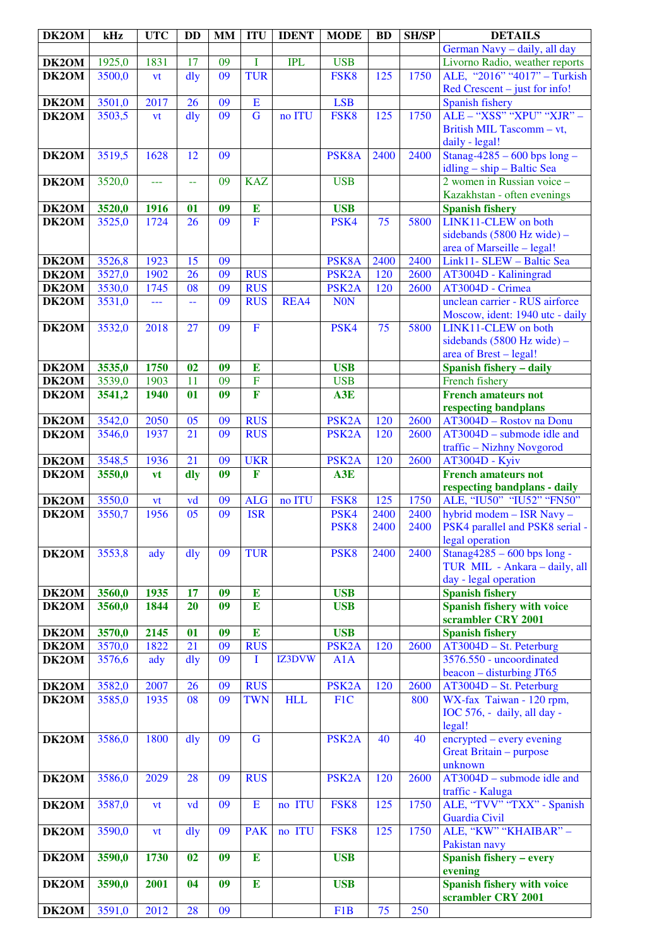| DK2OM              | kHz    | <b>UTC</b> | <b>DD</b>       | <b>MM</b>       | <b>ITU</b>              | <b>IDENT</b> | <b>MODE</b>        | <b>BD</b> | <b>SH/SP</b> | <b>DETAILS</b>                               |
|--------------------|--------|------------|-----------------|-----------------|-------------------------|--------------|--------------------|-----------|--------------|----------------------------------------------|
|                    |        |            |                 |                 |                         |              |                    |           |              | German Navy - daily, all day                 |
| DK2OM              | 1925,0 | 1831       | 17              | 09              | Ī                       | <b>IPL</b>   | <b>USB</b>         |           |              | Livorno Radio, weather reports               |
| DK2OM              | 3500,0 | vt         | dly             | $\overline{09}$ | <b>TUR</b>              |              | FSK8               | 125       | 1750         | ALE, "2016" "4017" - Turkish                 |
|                    |        |            |                 |                 |                         |              |                    |           |              | Red Crescent – just for info!                |
| DK2OM              | 3501,0 | 2017       | 26              | 09              | E                       |              | <b>LSB</b>         |           |              | Spanish fishery                              |
| DK2OM              | 3503,5 | vt         | $\frac{d}{dy}$  | 09              | $\overline{G}$          | no ITU       | FSK8               | 125       | 1750         | ALE - "XSS" "XPU" "XJR" -                    |
|                    |        |            |                 |                 |                         |              |                    |           |              | British MIL Tascomm - vt,                    |
|                    |        |            |                 |                 |                         |              |                    |           |              | daily - legal!                               |
| DK2OM              | 3519,5 | 1628       | 12              | 09              |                         |              | PSK8A              | 2400      | 2400         | Stanag-4285 – 600 bps long –                 |
|                    |        |            |                 |                 |                         |              |                    |           |              | $idling - ship - Baltic Sea$                 |
| DK2OM              | 3520,0 | $-$        | $\rightarrow$   | 09              | <b>KAZ</b>              |              | <b>USB</b>         |           |              | 2 women in Russian voice -                   |
|                    |        |            |                 |                 |                         |              |                    |           |              | Kazakhstan - often evenings                  |
| DK2OM              | 3520,0 | 1916       | 01              | 09              | $\bf{E}$                |              | <b>USB</b>         |           |              | <b>Spanish fishery</b>                       |
| DK2OM              | 3525,0 | 1724       | 26              | 09              | $\overline{F}$          |              | PSK4               | 75        | 5800         | LINK11-CLEW on both                          |
|                    |        |            |                 |                 |                         |              |                    |           |              | sidebands $(5800 \text{ Hz wide})$ -         |
|                    |        |            |                 |                 |                         |              |                    |           |              | area of Marseille - legal!                   |
| DK2OM              | 3526,8 | 1923       | 15              | 09              |                         |              | PSK8A              | 2400      | 2400         | Link11- SLEW - Baltic Sea                    |
| DK2OM              | 3527,0 | 1902       | 26              | 09              | <b>RUS</b>              |              | PSK <sub>2</sub> A | 120       | 2600         | AT3004D - Kaliningrad                        |
| DK2OM              | 3530,0 | 1745       | 08              | 09              | <b>RUS</b>              |              | PSK <sub>2</sub> A | 120       | 2600         | AT3004D - Crimea                             |
| DK2OM              | 3531,0 | ---        | 44              | 09              | <b>RUS</b>              | REA4         | <b>NON</b>         |           |              | unclean carrier - RUS airforce               |
|                    |        |            |                 |                 |                         |              |                    |           |              | Moscow, ident: 1940 utc - daily              |
| DK2OM              | 3532,0 | 2018       | 27              | 09              | $\mathbf F$             |              | PSK4               | 75        | 5800         | LINK11-CLEW on both                          |
|                    |        |            |                 |                 |                         |              |                    |           |              | sidebands $(5800 \text{ Hz wide})$ -         |
|                    |        |            |                 |                 |                         |              |                    |           |              | area of Brest - legal!                       |
| DK2OM              | 3535,0 | 1750       | 02              | 09              | E                       |              | <b>USB</b>         |           |              | <b>Spanish fishery - daily</b>               |
| DK2OM              | 3539,0 | 1903       | 11              | 09              | $\overline{F}$          |              | <b>USB</b>         |           |              | French fishery                               |
| DK2OM              | 3541,2 | 1940       | 01              | 0 <sup>9</sup>  | $\overline{\mathbf{F}}$ |              | A3E                |           |              | <b>French amateurs not</b>                   |
|                    |        |            |                 |                 |                         |              |                    |           |              | respecting bandplans                         |
| DK2OM              | 3542,0 | 2050       | 05              | 09              | <b>RUS</b>              |              | PSK <sub>2</sub> A | 120       | 2600         | AT3004D - Rostov na Donu                     |
| DK2OM              | 3546,0 | 1937       | 21              | 09              | <b>RUS</b>              |              | PSK <sub>2</sub> A | 120       | 2600         | $AT3004D$ – submode idle and                 |
|                    |        |            |                 |                 |                         |              |                    |           |              | traffic - Nizhny Novgorod                    |
| DK2OM              | 3548,5 | 1936       | 21              | 09              | <b>UKR</b>              |              | PSK <sub>2</sub> A | 120       | 2600         | <b>AT3004D - Kyiv</b>                        |
| DK2OM              | 3550,0 | vt         | dly             | 09              | F                       |              | A3E                |           |              | <b>French amateurs not</b>                   |
|                    |        |            |                 |                 |                         |              |                    |           |              | respecting bandplans - daily                 |
| DK2OM              | 3550,0 | vt         | vd              | 09              | <b>ALG</b>              | no ITU       | FSK8               | 125       | 1750         | ALE, "IU50" "IU52" "FN50"                    |
| DK2OM              | 3550,7 | 1956       | $\overline{05}$ | $\overline{09}$ | <b>ISR</b>              |              | PSK4               | 2400      | 2400         | hybrid modem - ISR Navy -                    |
|                    |        |            |                 |                 |                         |              | PSK <sub>8</sub>   | 2400      | 2400         | PSK4 parallel and PSK8 serial -              |
|                    |        |            |                 |                 |                         |              |                    |           |              | legal operation                              |
| DK2OM              | 3553,8 | ady        | $\frac{d}{dy}$  | 09              | <b>TUR</b>              |              | PSK <sub>8</sub>   | 2400      | 2400         | Stanag $4285 - 600$ bps long -               |
|                    |        |            |                 |                 |                         |              |                    |           |              | TUR MIL - Ankara - daily, all                |
|                    |        |            |                 |                 |                         |              |                    |           |              | day - legal operation                        |
| DK <sub>2</sub> OM | 3560,0 | 1935       | 17              | 09              | $\bf{E}$                |              | <b>USB</b>         |           |              | <b>Spanish fishery</b>                       |
| DK2OM              | 3560,0 | 1844       | 20              | 09              | $\bf{E}$                |              | <b>USB</b>         |           |              | <b>Spanish fishery with voice</b>            |
|                    |        |            |                 |                 |                         |              |                    |           |              | scrambler CRY 2001                           |
| DK2OM              | 3570,0 | 2145       | 01              | 09              | $\bf{E}$                |              | <b>USB</b>         |           |              | <b>Spanish fishery</b>                       |
| DK <sub>2</sub> OM | 3570,0 | 1822       | 21              | 09              | <b>RUS</b>              |              | PSK <sub>2</sub> A | 120       | 2600         | AT3004D - St. Peterburg                      |
| DK2OM              | 3576,6 | ady        | dly             | 09              | I                       | IZ3DVW       | A1A                |           |              | 3576.550 - uncoordinated                     |
|                    |        |            |                 |                 |                         |              |                    |           |              | $beacon - disturbing JT65$                   |
| DK2OM              | 3582,0 | 2007       | 26              | 09              | <b>RUS</b>              |              | PSK <sub>2</sub> A | 120       | 2600         | $AT3004D - St. Peterburg$                    |
| DK2OM              | 3585,0 | 1935       | 08              | 09              | <b>TWN</b>              | <b>HLL</b>   | F1C                |           | 800          | WX-fax Taiwan - 120 rpm,                     |
|                    |        |            |                 |                 |                         |              |                    |           |              | IOC 576, - daily, all day -                  |
|                    |        |            |                 |                 |                         |              |                    |           |              | legal!                                       |
| DK2OM              | 3586,0 | 1800       | dly             | 09              | G                       |              | PSK <sub>2</sub> A | 40        | 40           | encrypted – every evening                    |
|                    |        |            |                 |                 |                         |              |                    |           |              | Great Britain - purpose                      |
|                    |        |            |                 |                 |                         |              |                    |           |              | unknown                                      |
| DK2OM              | 3586,0 | 2029       | 28              | 09              | <b>RUS</b>              |              | PSK <sub>2</sub> A | 120       | 2600         | $AT3004D$ – submode idle and                 |
|                    |        |            |                 |                 |                         |              |                    |           |              | traffic - Kaluga                             |
| DK2OM              | 3587,0 | vt         | vd              | 09              | E                       | no ITU       | FSK8               | 125       | 1750         | ALE, "TVV" "TXX" - Spanish                   |
|                    |        |            |                 |                 |                         |              |                    |           |              | Guardia Civil                                |
| DK2OM              | 3590,0 | vt         | dly             | 09              | <b>PAK</b>              | no ITU       | FSK8               | 125       | 1750         | ALE, "KW" "KHAIBAR" -                        |
|                    |        |            |                 |                 |                         |              |                    |           |              | Pakistan navy                                |
| DK2OM              | 3590,0 | 1730       | 02              | 0 <sup>9</sup>  | $\bf{E}$                |              | <b>USB</b>         |           |              | <b>Spanish fishery - every</b>               |
| DK2OM              | 3590,0 | 2001       | 04              | 09              | $\bf{E}$                |              | <b>USB</b>         |           |              | evening<br><b>Spanish fishery with voice</b> |
|                    |        |            |                 |                 |                         |              |                    |           |              | scrambler CRY 2001                           |
| DK2OM              | 3591,0 | 2012       | 28              | 09              |                         |              | F1B                | 75        | 250          |                                              |
|                    |        |            |                 |                 |                         |              |                    |           |              |                                              |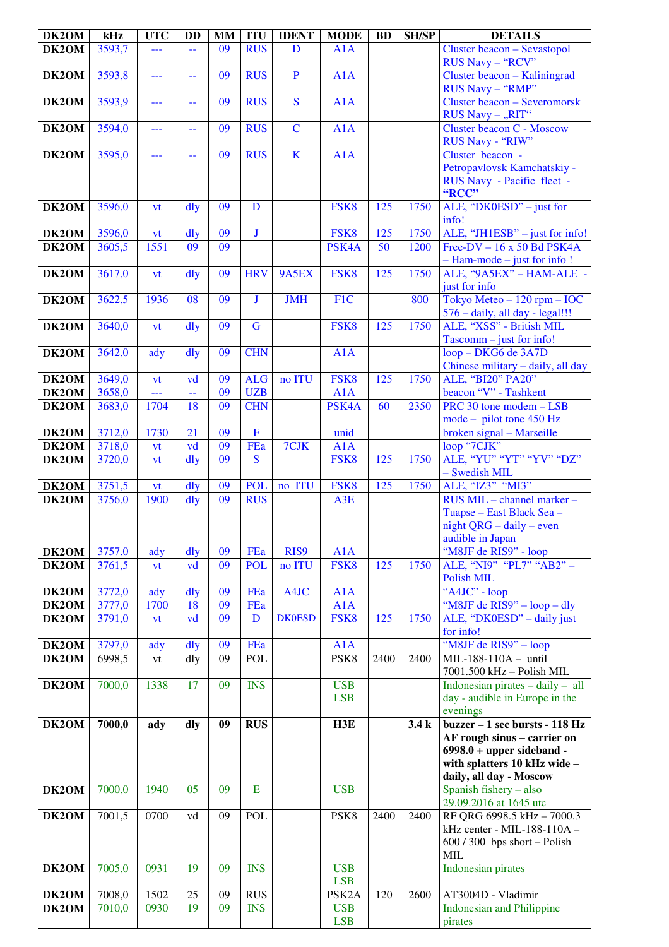| DK2OM          | kHz              | <b>UTC</b>               | <b>DD</b>            | <b>MM</b> | <b>ITU</b>              | <b>IDENT</b>            | <b>MODE</b>              | <b>BD</b> | <b>SH/SP</b> | <b>DETAILS</b>                                                                                                                                                               |
|----------------|------------------|--------------------------|----------------------|-----------|-------------------------|-------------------------|--------------------------|-----------|--------------|------------------------------------------------------------------------------------------------------------------------------------------------------------------------------|
| DK2OM          | 3593,7           |                          |                      | 09        | <b>RUS</b>              | D                       | A1A                      |           |              | Cluster beacon - Sevastopol<br>RUS Navy - "RCV"                                                                                                                              |
| DK2OM          | 3593,8           | ---                      | 44                   | 09        | <b>RUS</b>              | $\mathbf{P}$            | A1A                      |           |              | Cluster beacon - Kaliningrad<br>RUS Navy - "RMP"                                                                                                                             |
| DK2OM          | 3593,9           | ---                      | --                   | 09        | <b>RUS</b>              | $\overline{\mathbf{S}}$ | A1A                      |           |              | <b>Cluster beacon - Severomorsk</b><br>RUS Navy - "RIT"                                                                                                                      |
| DK2OM          | 3594,0           | ---                      | 44                   | 09        | <b>RUS</b>              | $\overline{C}$          | A1A                      |           |              | Cluster beacon C - Moscow<br>RUS Navy - "RIW"                                                                                                                                |
| DK2OM          | 3595,0           | ---                      | --                   | 09        | <b>RUS</b>              | $\mathbf K$             | A1A                      |           |              | Cluster beacon -<br>Petropavlovsk Kamchatskiy -<br>RUS Navy - Pacific fleet -                                                                                                |
| DK2OM          | 3596,0           | vt                       | $\frac{d}{dy}$       | 09        | D                       |                         | FSK8                     | 125       | 1750         | "RCC"<br>ALE, "DK0ESD" - just for                                                                                                                                            |
|                |                  |                          |                      |           |                         |                         |                          |           |              | info!                                                                                                                                                                        |
| DK2OM<br>DK2OM | 3596,0<br>3605,5 | vt<br>1551               | $\frac{d}{dy}$<br>09 | 09<br>09  | $\mathbf{J}$            |                         | FSK8<br>PSK4A            | 125<br>50 | 1750<br>1200 | ALE, "JH1ESB" – just for info!<br>Free-DV $-16 \times 50$ Bd PSK4A                                                                                                           |
|                |                  |                          |                      |           |                         |                         |                          |           |              | $-$ Ham-mode $-$ just for info!                                                                                                                                              |
| DK2OM          | 3617,0           | <b>vt</b>                | dly                  | 09        | <b>HRV</b>              | 9A5EX                   | FSK8                     | 125       | 1750         | ALE, "9A5EX" - HAM-ALE -<br>just for info                                                                                                                                    |
| DK2OM          | 3622,5           | 1936                     | 08                   | 09        | $\mathbf{J}$            | <b>JMH</b>              | F <sub>1</sub> C         |           | 800          | Tokyo Meteo $-120$ rpm $-$ IOC<br>576 - daily, all day - legal!!!                                                                                                            |
| DK2OM          | 3640,0           | vt                       | dly                  | 09        | $\mathbf G$             |                         | FSK8                     | 125       | 1750         | ALE, "XSS" - British MIL<br>$Tascomm - just for info!$                                                                                                                       |
| DK2OM          | 3642,0           | ady                      | $\frac{d}{dy}$       | 09        | <b>CHN</b>              |                         | A1A                      |           |              | loop - DKG6 de 3A7D<br>Chinese military - daily, all day                                                                                                                     |
| DK2OM          | 3649,0           | <b>vt</b>                | vd                   | 09        | <b>ALG</b>              | no ITU                  | FSK8                     | 125       | 1750         | ALE, "BI20" PA20"                                                                                                                                                            |
| DK2OM          | 3658,0           | $\overline{\phantom{a}}$ | 44                   | 09        | <b>UZB</b>              |                         | A1A                      |           |              | beacon "V" - Tashkent                                                                                                                                                        |
| DK2OM          | 3683,0           | 1704                     | 18                   | 09        | <b>CHN</b>              |                         | PSK4A                    | 60        | 2350         | PRC 30 tone modem - LSB<br>$mode - pilot$ tone 450 Hz                                                                                                                        |
| DK2OM          | 3712,0           | 1730                     | 21                   | 09        | $\overline{F}$          |                         | unid                     |           |              | broken signal - Marseille                                                                                                                                                    |
| DK2OM          | 3718,0           | <b>vt</b>                | vd                   | 09        | FEa                     | 7CJK                    | A1A                      |           |              | loop "7CJK"                                                                                                                                                                  |
| DK2OM          | 3720,0           | vt                       | $\frac{d}{dy}$       | 09        | $\overline{\mathbf{S}}$ |                         | FSK8                     | 125       | 1750         | ALE, "YU" "YT" "YV" "DZ"<br>- Swedish MIL                                                                                                                                    |
| DK2OM          | 3751,5           | <b>vt</b>                | $\frac{d}{dy}$       | 09        | <b>POL</b>              | no ITU                  | FSK8                     | 125       | 1750         | ALE, "IZ3" "MI3"                                                                                                                                                             |
| DK2OM          | 3756,0           | 1900                     | dly                  | 09        | <b>RUS</b>              |                         | A3E                      |           |              | RUS MIL - channel marker -<br>Tuapse – East Black Sea –<br>night $QRG - daily - even$<br>audible in Japan                                                                    |
| DK2OM          | 3757,0           | ady                      | dly                  | 09        | FEa                     | RIS9                    | A1A                      |           |              | "M8JF de RIS9" - loop                                                                                                                                                        |
| DK2OM          | 3761,5           | vt                       | vd                   | 09        | <b>POL</b>              | no ITU                  | FSK <sub>8</sub>         | 125       | 1750         | ALE, "NI9" "PL7" "AB2" -<br>Polish MIL                                                                                                                                       |
| DK2OM          | 3772,0           | ady                      | dly                  | 09        | FEa                     | A4JC                    | A1A                      |           |              | "A4JC" - loop                                                                                                                                                                |
| DK2OM          | 3777,0           | 1700                     | 18                   | 09        | FEa                     |                         | A1A                      |           |              | "M8JF de RIS9" – loop – dly                                                                                                                                                  |
| DK2OM          | 3791,0           | <b>vt</b>                | vd                   | 09        | D                       | <b>DK0ESD</b>           | FSK8                     | 125       | 1750         | ALE, "DK0ESD" - daily just<br>for info!                                                                                                                                      |
| DK2OM          | 3797,0           | ady                      | $\frac{d}{dy}$       | 09        | FEa                     |                         | A1A                      |           |              | "M8JF de RIS9" - loop                                                                                                                                                        |
| DK2OM          | 6998,5           | vt                       | dly                  | 09        | <b>POL</b>              |                         | PSK <sub>8</sub>         | 2400      | 2400         | MIL-188-110A - until<br>7001.500 kHz - Polish MIL                                                                                                                            |
| DK2OM          | 7000,0           | 1338                     | 17                   | 09        | <b>INS</b>              |                         | <b>USB</b><br><b>LSB</b> |           |              | Indonesian pirates $-$ daily $-$ all<br>day - audible in Europe in the<br>evenings                                                                                           |
| DK2OM          | 7000,0           | ady                      | dly                  | 09        | <b>RUS</b>              |                         | H3E                      |           | 3.4k         | buzzer – 1 sec bursts - $\overline{118 \text{ Hz}}$<br>AF rough sinus - carrier on<br>$6998.0 + upper sideband -$<br>with splatters 10 kHz wide -<br>daily, all day - Moscow |
| DK2OM          | 7000,0           | 1940                     | 05                   | 09        | E                       |                         | <b>USB</b>               |           |              | Spanish fishery - also<br>29.09.2016 at 1645 utc                                                                                                                             |
| DK2OM          | 7001,5           | 0700                     | vd                   | 09        | <b>POL</b>              |                         | PSK8                     | 2400      | 2400         | RF QRG 6998.5 kHz - 7000.3<br>kHz center - MIL-188-110A -<br>$600 / 300$ bps short - Polish<br>MIL                                                                           |
| DK2OM          | 7005,0           | 0931                     | 19                   | 09        | <b>INS</b>              |                         | <b>USB</b><br><b>LSB</b> |           |              | <b>Indonesian pirates</b>                                                                                                                                                    |
| DK2OM          | 7008,0           | 1502                     | 25                   | 09        | <b>RUS</b>              |                         | PSK <sub>2</sub> A       | 120       | 2600         | AT3004D - Vladimir                                                                                                                                                           |
| DK2OM          | 7010,0           | 0930                     | 19                   | 09        | <b>INS</b>              |                         | <b>USB</b><br><b>LSB</b> |           |              | <b>Indonesian and Philippine</b><br>pirates                                                                                                                                  |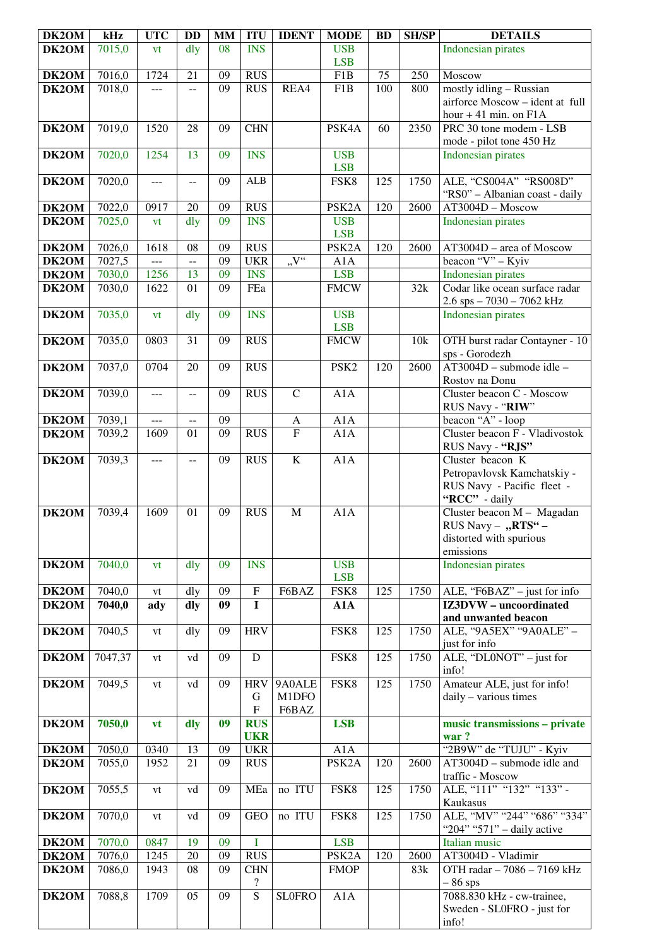| DK2OM | kHz     | <b>UTC</b>     | <b>DD</b>                | <b>MM</b>       | <b>ITU</b>               | <b>IDENT</b>                                       | <b>MODE</b>        | <b>BD</b> | <b>SH/SP</b> | <b>DETAILS</b>                                     |
|-------|---------|----------------|--------------------------|-----------------|--------------------------|----------------------------------------------------|--------------------|-----------|--------------|----------------------------------------------------|
| DK2OM | 7015,0  | vt             | dly                      | 08              | $\overline{\text{INS}}$  |                                                    | <b>USB</b>         |           |              | <b>Indonesian pirates</b>                          |
|       |         |                |                          |                 |                          |                                                    | <b>LSB</b>         |           |              |                                                    |
| DK2OM | 7016,0  | 1724           | 21                       | 09              | <b>RUS</b>               |                                                    | F1B                | 75        | 250          | Moscow                                             |
| DK2OM | 7018,0  | ---            | --                       | 09              | <b>RUS</b>               | REA4                                               | F1B                | 100       | 800          | mostly idling - Russian                            |
|       |         |                |                          |                 |                          |                                                    |                    |           |              | airforce Moscow - ident at full                    |
|       |         |                |                          |                 |                          |                                                    |                    |           |              | hour $+41$ min. on $F1A$                           |
| DK2OM | 7019,0  | 1520           | 28                       | 09              | <b>CHN</b>               |                                                    | PSK4A              | 60        | 2350         | PRC 30 tone modem - LSB                            |
|       |         |                |                          |                 |                          |                                                    |                    |           |              | mode - pilot tone 450 Hz                           |
| DK2OM | 7020,0  | 1254           | 13                       | 09              | <b>INS</b>               |                                                    | <b>USB</b>         |           |              | <b>Indonesian pirates</b>                          |
|       |         |                |                          |                 |                          |                                                    | <b>LSB</b>         |           |              |                                                    |
| DK2OM | 7020,0  | ---            | $-$                      | 09              | ALB                      |                                                    | FSK8               | 125       | 1750         | ALE, "CS004A" "RS008D"                             |
| DK2OM | 7022,0  | 0917           | 20                       | 09              | <b>RUS</b>               |                                                    | PSK <sub>2</sub> A | 120       | 2600         | "RS0" - Albanian coast - daily<br>AT3004D - Moscow |
| DK2OM | 7025,0  | vt             | dly                      | 09              | <b>INS</b>               |                                                    | <b>USB</b>         |           |              | Indonesian pirates                                 |
|       |         |                |                          |                 |                          |                                                    | <b>LSB</b>         |           |              |                                                    |
| DK2OM | 7026,0  | 1618           | 08                       | 09              | <b>RUS</b>               |                                                    | PSK <sub>2</sub> A | 120       | 2600         | AT3004D - area of Moscow                           |
| DK2OM | 7027,5  | ---            | --                       | 09              | <b>UKR</b>               | $\cdot, \! \mathbf{V}^{\mathfrak{c} \mathfrak{c}}$ | A1A                |           |              | beacon "V" - Kyiv                                  |
| DK2OM | 7030,0  | 1256           | 13                       | 09              | <b>INS</b>               |                                                    | <b>LSB</b>         |           |              | Indonesian pirates                                 |
| DK2OM | 7030,0  | 1622           | 01                       | 09              | FEa                      |                                                    | <b>FMCW</b>        |           | 32k          | Codar like ocean surface radar                     |
|       |         |                |                          |                 |                          |                                                    |                    |           |              | $2.6$ sps $-7030 - 7062$ kHz                       |
| DK2OM | 7035,0  | vt             | dly                      | 09              | <b>INS</b>               |                                                    | <b>USB</b>         |           |              | <b>Indonesian pirates</b>                          |
|       |         |                |                          |                 |                          |                                                    | <b>LSB</b>         |           |              |                                                    |
| DK2OM | 7035,0  | 0803           | 31                       | 09              | <b>RUS</b>               |                                                    | <b>FMCW</b>        |           | 10k          | OTH burst radar Contayner - 10                     |
|       |         |                |                          |                 |                          |                                                    |                    |           |              | sps - Gorodezh                                     |
| DK2OM | 7037,0  | 0704           | 20                       | 09              | <b>RUS</b>               |                                                    | PSK <sub>2</sub>   | 120       | 2600         | AT3004D - submode idle -                           |
|       |         |                |                          |                 |                          |                                                    |                    |           |              | Rostov na Donu                                     |
| DK2OM | 7039,0  | ---            | $-$                      | 09              | <b>RUS</b>               | $\mathbf C$                                        | A1A                |           |              | Cluster beacon C - Moscow                          |
|       |         |                |                          |                 |                          |                                                    |                    |           |              | RUS Navy - "RIW"                                   |
| DK2OM | 7039,1  | ---            | $\overline{a}$           | 09              |                          | $\mathbf{A}$                                       | A1A                |           |              | beacon "A" - loop                                  |
| DK2OM | 7039,2  | 1609           | 01                       | $\overline{09}$ | <b>RUS</b>               | $\overline{\mathrm{F}}$                            | A1A                |           |              | Cluster beacon F - Vladivostok                     |
| DK2OM | 7039,3  | $\overline{a}$ | $\overline{\phantom{a}}$ | 09              | RUS                      | $\overline{K}$                                     | A1A                |           |              | RUS Navy - "RJS"<br>Cluster beacon K               |
|       |         |                |                          |                 |                          |                                                    |                    |           |              | Petropavlovsk Kamchatskiy -                        |
|       |         |                |                          |                 |                          |                                                    |                    |           |              | RUS Navy - Pacific fleet -                         |
|       |         |                |                          |                 |                          |                                                    |                    |           |              | "RCC" - daily                                      |
| DK2OM | 7039,4  | 1609           | 01                       | 09              | <b>RUS</b>               | $\mathbf M$                                        | A1A                |           |              | Cluster beacon M - Magadan                         |
|       |         |                |                          |                 |                          |                                                    |                    |           |              | RUS Navy - "RTS" -                                 |
|       |         |                |                          |                 |                          |                                                    |                    |           |              | distorted with spurious                            |
|       |         |                |                          |                 |                          |                                                    |                    |           |              | emissions                                          |
| DK2OM | 7040,0  | vt             | dly                      | 09              | <b>INS</b>               |                                                    | <b>USB</b>         |           |              | <b>Indonesian pirates</b>                          |
|       |         |                |                          |                 |                          |                                                    | <b>LSB</b>         |           |              |                                                    |
| DK2OM | 7040,0  | vt             | dly                      | 09              | ${\bf F}$                | F6BAZ                                              | FSK8               | 125       | 1750         | ALE, "F6BAZ" - just for info                       |
| DK2OM | 7040,0  | ady            | dly                      | 09              | $\mathbf I$              |                                                    | A1A                |           |              | IZ3DVW - uncoordinated                             |
|       |         |                |                          |                 | <b>HRV</b>               |                                                    |                    | 125       | 1750         | and unwanted beacon                                |
| DK2OM | 7040,5  | vt             | dly                      | 09              |                          |                                                    | FSK8               |           |              | ALE, "9A5EX" "9A0ALE" -<br>just for info           |
| DK2OM | 7047,37 | vt             | vd                       | 09              | $\mathbf D$              |                                                    | FSK8               | 125       | 1750         | ALE, " $DLONOT"$ – just for                        |
|       |         |                |                          |                 |                          |                                                    |                    |           |              | info!                                              |
| DK2OM | 7049,5  | vt             | vd                       | 09              | <b>HRV</b>               | 9A0ALE                                             | FSK8               | 125       | 1750         | Amateur ALE, just for info!                        |
|       |         |                |                          |                 | G                        | M1DFO                                              |                    |           |              | daily - various times                              |
|       |         |                |                          |                 | ${\bf F}$                | F6BAZ                                              |                    |           |              |                                                    |
| DK2OM | 7050,0  | vt             | dly                      | 09              | <b>RUS</b>               |                                                    | <b>LSB</b>         |           |              | music transmissions - private                      |
|       |         |                |                          |                 | <b>UKR</b>               |                                                    |                    |           |              | war?                                               |
| DK2OM | 7050,0  | 0340           | 13                       | 09              | <b>UKR</b>               |                                                    | A1A                |           |              | "2B9W" de "TUJU" - Kyiv                            |
| DK2OM | 7055,0  | 1952           | 21                       | 09              | <b>RUS</b>               |                                                    | PSK <sub>2</sub> A | 120       | 2600         | $AT3004D$ – submode idle and                       |
|       |         |                |                          |                 |                          |                                                    |                    |           |              | traffic - Moscow                                   |
| DK2OM | 7055,5  | vt             | vd                       | 09              | MEa                      | no ITU                                             | FSK8               | 125       | 1750         | ALE, "111" "132" "133" -                           |
|       |         |                |                          |                 |                          |                                                    |                    |           |              | Kaukasus                                           |
| DK2OM | 7070,0  | vt             | vd                       | 09              | <b>GEO</b>               | no ITU                                             | FSK8               | 125       | 1750         | ALE, "MV" "244" "686" "334"                        |
| DK2OM | 7070,0  | 0847           | 19                       | 09              | I                        |                                                    | <b>LSB</b>         |           |              | "204" "571" - daily active<br>Italian music        |
| DK2OM | 7076,0  | 1245           | 20                       | 09              | <b>RUS</b>               |                                                    | PSK <sub>2</sub> A | 120       | 2600         | AT3004D - Vladimir                                 |
| DK2OM | 7086,0  | 1943           | 08                       | 09              | <b>CHN</b>               |                                                    | <b>FMOP</b>        |           | 83k          | OTH radar - 7086 - 7169 kHz                        |
|       |         |                |                          |                 | $\overline{\mathcal{E}}$ |                                                    |                    |           |              | $-86$ sps                                          |
| DK2OM | 7088,8  | 1709           | 05                       | 09              | $\overline{S}$           | <b>SLOFRO</b>                                      | A1A                |           |              | 7088.830 kHz - cw-trainee,                         |
|       |         |                |                          |                 |                          |                                                    |                    |           |              | Sweden - SL0FRO - just for                         |
|       |         |                |                          |                 |                          |                                                    |                    |           |              | info!                                              |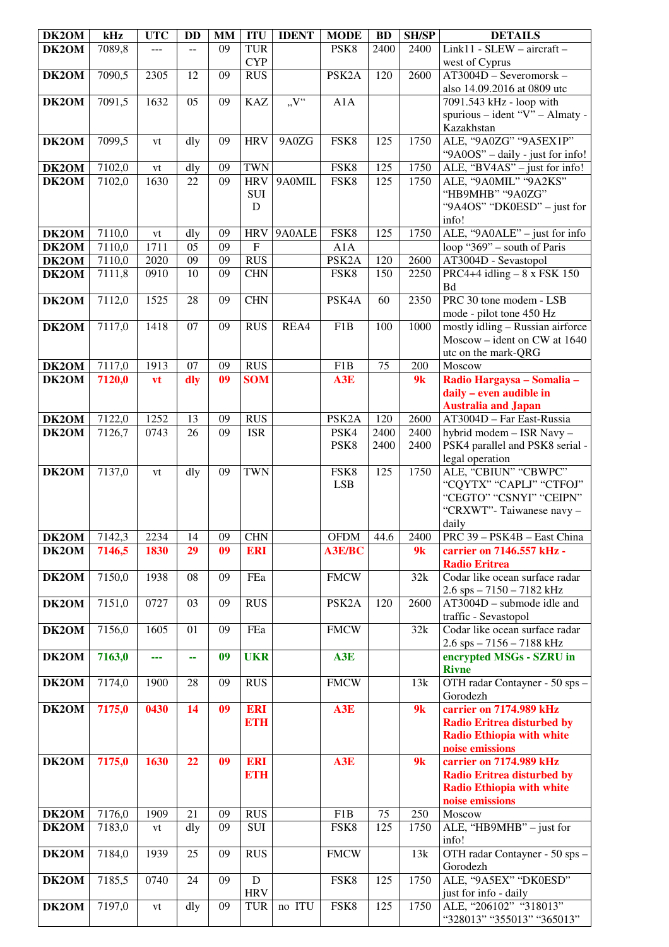| DK2OM | kHz                 | <b>UTC</b> | <b>DD</b> | MM | <b>ITU</b>                | <b>IDENT</b>     | <b>MODE</b>        | <b>BD</b> | <b>SH/SP</b> | <b>DETAILS</b>                                         |
|-------|---------------------|------------|-----------|----|---------------------------|------------------|--------------------|-----------|--------------|--------------------------------------------------------|
| DK2OM | 7089,8              | ---        |           | 09 | <b>TUR</b>                |                  | PSK <sub>8</sub>   | 2400      | 2400         | Link11 - SLEW - aircraft -                             |
|       |                     |            |           |    | <b>CYP</b>                |                  |                    |           |              | west of Cyprus                                         |
| DK2OM | 7090,5              | 2305       | 12        | 09 | <b>RUS</b>                |                  | PSK <sub>2</sub> A | 120       | 2600         | $AT3004D - Severomorsk -$                              |
|       |                     |            |           |    |                           |                  |                    |           |              | also 14.09.2016 at 0809 utc                            |
| DK2OM | 7091,5              | 1632       | 05        | 09 | <b>KAZ</b>                | $\overline{V''}$ | A1A                |           |              | 7091.543 kHz - loop with                               |
|       |                     |            |           |    |                           |                  |                    |           |              | spurious - ident "V" - Almaty -                        |
|       |                     |            |           |    |                           |                  |                    |           |              | Kazakhstan                                             |
| DK2OM | 7099,5              | vt         | dly       | 09 | <b>HRV</b>                | 9A0ZG            | FSK8               | 125       | 1750         | ALE, "9A0ZG" "9A5EX1P"                                 |
|       |                     |            |           |    |                           |                  |                    |           |              | "9A0OS" - daily - just for info!                       |
| DK2OM | 7102,0              | vt         | dly       | 09 | <b>TWN</b>                |                  | FSK8               | 125       | 1750         | ALE, "BV4AS" - just for info!                          |
| DK2OM | 7102,0              | 1630       | 22        | 09 | <b>HRV</b>                | 9A0MIL           | FSK8               | 125       | 1750         | ALE, "9A0MIL" "9A2KS"                                  |
|       |                     |            |           |    | SUI                       |                  |                    |           |              | "HB9MHB" "9A0ZG"                                       |
|       |                     |            |           |    | D                         |                  |                    |           |              | "9A4OS" "DK0ESD" – just for                            |
|       |                     |            |           |    |                           |                  |                    |           |              | info!                                                  |
| DK2OM | 7110,0              | vt         | dly       | 09 | <b>HRV</b>                | 9A0ALE           | FSK8               | 125       | 1750         | ALE, "9A0ALE" - just for info                          |
| DK2OM | 7110,0              | 1711       | 05        | 09 | $\boldsymbol{\mathrm{F}}$ |                  | A1A                |           |              | loop "369" – south of Paris                            |
| DK2OM | 7110,0              | 2020       | 09        | 09 | <b>RUS</b>                |                  | PSK <sub>2</sub> A | 120       | 2600         | AT3004D - Sevastopol                                   |
| DK2OM | 7111,8              | 0910       | 10        | 09 | <b>CHN</b>                |                  | FSK8               | 150       | 2250         | PRC4+4 idling $-8x$ FSK 150                            |
|       |                     |            |           |    |                           |                  |                    |           |              | Bd                                                     |
| DK2OM | 7112,0              | 1525       | 28        | 09 | <b>CHN</b>                |                  | PSK4A              | 60        | 2350         | PRC 30 tone modem - LSB                                |
|       |                     |            |           |    |                           |                  |                    |           |              | mode - pilot tone 450 Hz                               |
| DK2OM | 7117,0              | 1418       | 07        | 09 | <b>RUS</b>                | REA4             | F <sub>1</sub> B   | 100       | 1000         | mostly idling - Russian airforce                       |
|       |                     |            |           |    |                           |                  |                    |           |              | Moscow – ident on CW at $1640$                         |
|       |                     |            |           |    |                           |                  |                    |           |              | utc on the mark-QRG                                    |
| DK2OM | 7117,0              | 1913       | 07        | 09 | <b>RUS</b>                |                  | F1B                | 75        | 200          | Moscow                                                 |
| DK2OM | 7120,0              | vt         | dly       | 09 | <b>SOM</b>                |                  | A3E                |           | 9k           | Radio Hargaysa - Somalia -                             |
|       |                     |            |           |    |                           |                  |                    |           |              | daily - even audible in                                |
|       |                     |            |           |    |                           |                  |                    |           |              | <b>Australia and Japan</b>                             |
| DK2OM | 7122,0              | 1252       | 13        | 09 | <b>RUS</b>                |                  | PSK <sub>2</sub> A | 120       | 2600         | AT3004D - Far East-Russia                              |
| DK2OM | 7126,7              | 0743       | 26        | 09 | <b>ISR</b>                |                  | PSK4               | 2400      | 2400         | hybrid modem - ISR Navy -                              |
|       |                     |            |           |    |                           |                  | PSK8               | 2400      | 2400         | PSK4 parallel and PSK8 serial -                        |
|       |                     |            |           |    |                           |                  |                    |           |              | legal operation                                        |
| DK2OM | 7137,0              | vt         | dly       | 09 | <b>TWN</b>                |                  | FSK8               | 125       | 1750         | ALE, "CBIUN" "CBWPC"                                   |
|       |                     |            |           |    |                           |                  | <b>LSB</b>         |           |              | "CQYTX" "CAPLJ" "CTFOJ"                                |
|       |                     |            |           |    |                           |                  |                    |           |              | "CEGTO" "CSNYI" "CEIPN"                                |
|       |                     |            |           |    |                           |                  |                    |           |              | "CRXWT"-Taiwanese navy -                               |
|       |                     |            |           |    |                           |                  |                    |           |              | daily                                                  |
| DK2OM | $\overline{7}142,3$ | 2234       | 14        | 09 | <b>CHN</b>                |                  | <b>OFDM</b>        | 44.6      | 2400         | PRC 39 - PSK4B - East China                            |
| DK2OM | 7146,5              | 1830       | 29        | 09 | <b>ERI</b>                |                  | <b>A3E/BC</b>      |           | 9k           | carrier on 7146.557 kHz -                              |
| DK2OM | 7150,0              | 1938       | 08        | 09 | FEa                       |                  | <b>FMCW</b>        |           | 32k          | <b>Radio Eritrea</b><br>Codar like ocean surface radar |
|       |                     |            |           |    |                           |                  |                    |           |              | $2.6$ sps $- 7150 - 7182$ kHz                          |
| DK2OM | 7151,0              | 0727       | 03        | 09 | <b>RUS</b>                |                  | PSK <sub>2</sub> A | 120       | 2600         | $AT3004D$ – submode idle and                           |
|       |                     |            |           |    |                           |                  |                    |           |              | traffic - Sevastopol                                   |
| DK2OM | 7156,0              | 1605       | 01        | 09 | FEa                       |                  | <b>FMCW</b>        |           | 32k          | Codar like ocean surface radar                         |
|       |                     |            |           |    |                           |                  |                    |           |              | $2.6$ sps $-7156 - 7188$ kHz                           |
| DK2OM | 7163,0              | ---        | 44        | 09 | <b>UKR</b>                |                  | A3E                |           |              | encrypted MSGs - SZRU in                               |
|       |                     |            |           |    |                           |                  |                    |           |              | <b>Rivne</b>                                           |
| DK2OM | 7174,0              | 1900       | 28        | 09 | $R\overline{US}$          |                  | <b>FMCW</b>        |           | 13k          | OTH radar Contayner - 50 sps -                         |
|       |                     |            |           |    |                           |                  |                    |           |              | Gorodezh                                               |
| DK2OM | 7175,0              | 0430       | 14        | 09 | <b>ERI</b>                |                  | A3E                |           | 9k           | carrier on 7174.989 kHz                                |
|       |                     |            |           |    | <b>ETH</b>                |                  |                    |           |              | <b>Radio Eritrea disturbed by</b>                      |
|       |                     |            |           |    |                           |                  |                    |           |              | <b>Radio Ethiopia with white</b>                       |
|       |                     |            |           |    |                           |                  |                    |           |              | noise emissions                                        |
| DK2OM | 7175,0              | 1630       | 22        | 09 | <b>ERI</b>                |                  | A3E                |           | 9k           | carrier on 7174.989 kHz                                |
|       |                     |            |           |    | <b>ETH</b>                |                  |                    |           |              | <b>Radio Eritrea disturbed by</b>                      |
|       |                     |            |           |    |                           |                  |                    |           |              | <b>Radio Ethiopia with white</b>                       |
|       |                     |            |           |    |                           |                  |                    |           |              | noise emissions                                        |
| DK2OM | 7176,0              | 1909       | 21        | 09 | <b>RUS</b>                |                  | F1B                | 75        | 250          | Moscow                                                 |
| DK2OM | 7183,0              | vt         | dly       | 09 | <b>SUI</b>                |                  | FSK8               | 125       | 1750         | ALE, "HB9MHB" - just for                               |
|       |                     |            |           |    |                           |                  |                    |           |              | info!                                                  |
| DK2OM | 7184,0              | 1939       | 25        | 09 | <b>RUS</b>                |                  | <b>FMCW</b>        |           | 13k          | OTH radar Contayner - 50 sps -                         |
|       |                     |            |           |    |                           |                  |                    |           |              | Gorodezh                                               |
| DK2OM | 7185,5              | 0740       | 24        | 09 | ${\bf D}$                 |                  | FSK8               | 125       | 1750         | ALE, "9A5EX" "DK0ESD"                                  |
|       |                     |            |           |    | <b>HRV</b>                |                  |                    |           |              | just for info - daily                                  |
| DK2OM | 7197,0              | vt         | dly       | 09 | <b>TUR</b>                | no ITU           | FSK8               | 125       | 1750         | ALE, "206102" "318013"                                 |
|       |                     |            |           |    |                           |                  |                    |           |              | "328013" "355013" "365013"                             |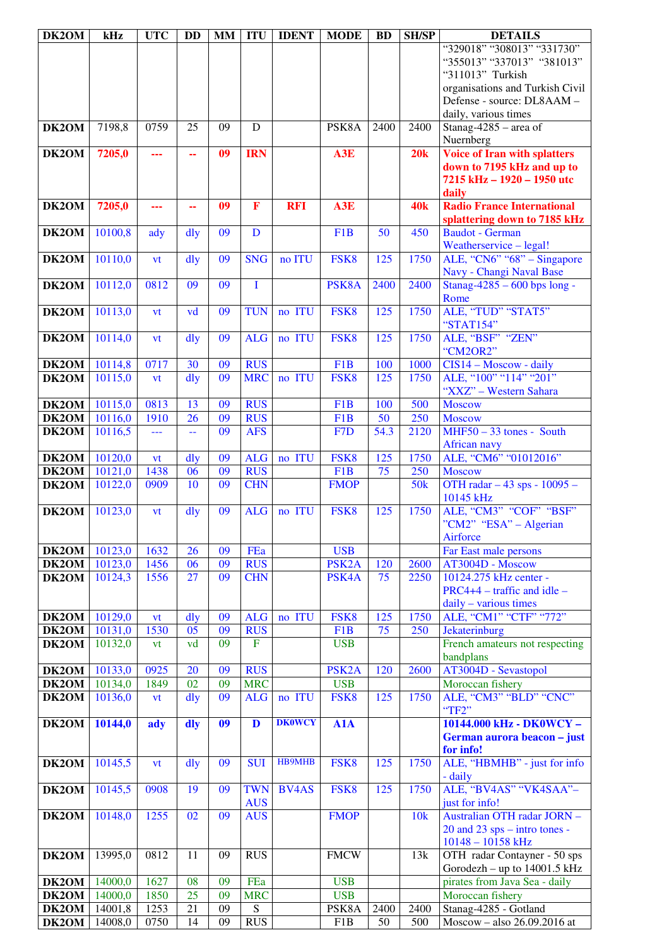| DK2OM                 | kHz                | <b>UTC</b>   | <b>DD</b>      | MM       | <b>ITU</b>              | <b>IDENT</b>  | <b>MODE</b>              | <b>BD</b>       | <b>SH/SP</b>    | <b>DETAILS</b>                                         |
|-----------------------|--------------------|--------------|----------------|----------|-------------------------|---------------|--------------------------|-----------------|-----------------|--------------------------------------------------------|
|                       |                    |              |                |          |                         |               |                          |                 |                 | "329018" "308013" "331730"                             |
|                       |                    |              |                |          |                         |               |                          |                 |                 | "355013" "337013" "381013"                             |
|                       |                    |              |                |          |                         |               |                          |                 |                 | "311013" Turkish                                       |
|                       |                    |              |                |          |                         |               |                          |                 |                 | organisations and Turkish Civil                        |
|                       |                    |              |                |          |                         |               |                          |                 |                 | Defense - source: DL8AAM -                             |
|                       |                    |              |                |          |                         |               |                          |                 |                 | daily, various times                                   |
| DK2OM                 | 7198,8             | 0759         | 25             | 09       | D                       |               | PSK8A                    | 2400            | 2400            | Stanag-4285 – area of                                  |
|                       |                    |              |                |          |                         |               |                          |                 |                 | Nuernberg                                              |
| DK2OM                 | 7205,0             | ---          | 44             | 09       | <b>IRN</b>              |               | A3E                      |                 | 20k             | <b>Voice of Iran with splatters</b>                    |
|                       |                    |              |                |          |                         |               |                          |                 |                 | down to 7195 kHz and up to                             |
|                       |                    |              |                |          |                         |               |                          |                 |                 | 7215 kHz - 1920 - 1950 utc                             |
|                       |                    |              |                |          |                         |               |                          |                 |                 | daily                                                  |
| DK2OM                 | 7205,0             |              | ۰.             | 09       | $\mathbf{F}$            | <b>RFI</b>    | A3E                      |                 | <b>40k</b>      | <b>Radio France International</b>                      |
|                       |                    |              |                | 09       |                         |               |                          | 50              | 450             | splattering down to 7185 kHz                           |
| DK2OM                 | 10100,8            | ady          | dly            |          | D                       |               | F <sub>1</sub> B         |                 |                 | <b>Baudot</b> - German                                 |
| DK2OM                 | 10110,0            |              |                | 09       | <b>SNG</b>              | no ITU        | FSK8                     | 125             | 1750            | Weatherservice - legal!<br>ALE, "CN6" "68" - Singapore |
|                       |                    | vt           | dly            |          |                         |               |                          |                 |                 | Navy - Changi Naval Base                               |
| DK2OM                 | 10112,0            | 0812         | 09             | 09       | $\mathbf I$             |               | PSK8A                    | 2400            | 2400            | Stanag-4285 $-600$ bps long -                          |
|                       |                    |              |                |          |                         |               |                          |                 |                 | Rome                                                   |
| DK2OM                 | 10113,0            | vt           | vd             | 09       | <b>TUN</b>              | no ITU        | FSK8                     | 125             | 1750            | ALE, "TUD" "STAT5"                                     |
|                       |                    |              |                |          |                         |               |                          |                 |                 | "STAT154"                                              |
| DK2OM                 | 10114,0            | vt           | dly            | 09       | <b>ALG</b>              | no ITU        | FSK8                     | 125             | 1750            | ALE, "BSF" "ZEN"                                       |
|                       |                    |              |                |          |                         |               |                          |                 |                 | "CM2OR2"                                               |
| DK2OM                 | 10114,8            | 0717         | 30             | 09       | <b>RUS</b>              |               | F <sub>1</sub> B         | 100             | 1000            | CIS14 - Moscow - daily                                 |
| DK <sub>2</sub> OM    | 10115,0            | vt           | $\frac{d}{dy}$ | 09       | <b>MRC</b>              | no ITU        | FSK8                     | 125             | 1750            | ALE, "100" "114" "201"                                 |
|                       |                    |              |                |          |                         |               |                          |                 |                 | "XXZ" - Western Sahara                                 |
| DK2OM                 | 10115,0            | 0813         | 13             | 09       | <b>RUS</b>              |               | F1B                      | 100             | 500             | <b>Moscow</b>                                          |
| DK2OM                 | 10116,0            | 1910         | 26             | 09       | <b>RUS</b>              |               | F <sub>1</sub> B         | 50              | 250             | <b>Moscow</b>                                          |
| DK2OM                 | 10116,5            | ---          | 44             | 09       | <b>AFS</b>              |               | F <sub>7</sub> D         | 54.3            | 2120            | $MHF50 - 33$ tones - South                             |
|                       |                    |              |                |          |                         |               |                          |                 |                 | African navy                                           |
| DK2OM                 | 10120,0            | vt           | $\frac{d}{dy}$ | 09       | <b>ALG</b>              | no ITU        | FSK8                     | 125             | 1750            | ALE, "CM6" "01012016"                                  |
| DK2OM                 | 10121,0            | 1438         | 06             | 09       | <b>RUS</b>              |               | F <sub>1</sub> B         | 75              | 250             | <b>Moscow</b>                                          |
| DK2OM                 | 10122,0            | 0909         | 10             | 09       | <b>CHN</b>              |               | <b>FMOP</b>              |                 | 50 <sub>k</sub> | OTH radar - 43 sps - 10095 -                           |
|                       |                    |              |                |          |                         |               |                          |                 |                 | 10145 kHz                                              |
| DK2OM                 | 10123,0            | vt           | dly            | 09       | <b>ALG</b>              | no ITU        | FSK8                     | 125             | 1750            | ALE, "CM3" "COF" "BSF"                                 |
|                       |                    |              |                |          |                         |               |                          |                 |                 | "CM2" "ESA" – Algerian                                 |
|                       |                    |              |                |          |                         |               |                          |                 |                 | Airforce                                               |
| DK2OM                 | 10123,0            | 1632         | 26             | 09       | FEa                     |               | <b>USB</b>               |                 |                 | Far East male persons                                  |
| DK2OM                 | 10123,0            | 1456         | 06             | 09       | <b>RUS</b>              |               | PSK <sub>2</sub> A       | 120             | 2600            | AT3004D - Moscow                                       |
| DK2OM                 | 10124,3            | 1556         | 27             | 09       | <b>CHN</b>              |               | PSK4A                    | 75              | 2250            | 10124.275 kHz center -                                 |
|                       |                    |              |                |          |                         |               |                          |                 |                 | $PRC4+4$ – traffic and idle –                          |
| DK2OM                 | 10129,0            | vt           | $\frac{d}{dy}$ | 09       | <b>ALG</b>              | no ITU        | FSK8                     | 125             | 1750            | daily - various times<br>ALE, "CM1" "CTF" "772"        |
| <b>DK2OM</b>          | 10131,0            | 1530         | 05             | 09       | <b>RUS</b>              |               | F1B                      | $\overline{75}$ | 250             | Jekaterinburg                                          |
| DK2OM                 | 10132,0            | vt           | vd             | 09       | $\mathbf{F}$            |               | <b>USB</b>               |                 |                 | French amateurs not respecting                         |
|                       |                    |              |                |          |                         |               |                          |                 |                 | bandplans                                              |
| DK2OM                 | 10133,0            | 0925         | 20             | 09       | <b>RUS</b>              |               | PSK <sub>2</sub> A       | 120             | 2600            | AT3004D - Sevastopol                                   |
| DK2OM                 | 10134,0            | 1849         | 02             | 09       | <b>MRC</b>              |               | <b>USB</b>               |                 |                 | Moroccan fishery                                       |
| DK2OM                 | 10136,0            | vt           | $\frac{d}{dy}$ | 09       | <b>ALG</b>              | no ITU        | FSK8                     | 125             | 1750            | ALE, "CM3" "BLD" "CNC"                                 |
|                       |                    |              |                |          |                         |               |                          |                 |                 | "TF2"                                                  |
| DK2OM                 | 10144,0            | ady          | dly            | 09       | D                       | <b>DK0WCY</b> | A1A                      |                 |                 | 10144.000 kHz - DK0WCY -                               |
|                       |                    |              |                |          |                         |               |                          |                 |                 | German aurora beacon - just                            |
|                       |                    |              |                |          |                         |               |                          |                 |                 | for info!                                              |
| DK2OM                 | 10145,5            | vt           | dly            | 09       | <b>SUI</b>              | <b>HB9MHB</b> | FSK8                     | 125             | 1750            | ALE, "HBMHB" - just for info                           |
|                       |                    |              |                |          |                         |               |                          |                 |                 | - daily                                                |
| DK2OM                 | 10145,5            | 0908         | 19             | 09       | <b>TWN</b>              | <b>BV4AS</b>  | FSK8                     | 125             | 1750            | ALE, "BV4AS" "VK4SAA"-                                 |
|                       |                    |              |                |          | <b>AUS</b>              |               |                          |                 |                 | just for info!                                         |
| DK2OM                 | 10148,0            | 1255         | 02             | 09       | <b>AUS</b>              |               | <b>FMOP</b>              |                 | 10k             | Australian OTH radar JORN -                            |
|                       |                    |              |                |          |                         |               |                          |                 |                 | 20 and 23 sps – intro tones -                          |
|                       |                    |              |                |          |                         |               |                          |                 |                 | $10148 - 10158$ kHz                                    |
| DK2OM                 | 13995,0            | 0812         | 11             | 09       | <b>RUS</b>              |               | <b>FMCW</b>              |                 | 13k             | OTH radar Contayner - 50 sps                           |
|                       |                    |              |                |          |                         |               |                          |                 |                 | Gorodezh - up to 14001.5 kHz                           |
| <b>DK2OM</b>          | 14000,0            | 1627         | 08<br>25       | 09<br>09 | FEa                     |               | <b>USB</b><br><b>USB</b> |                 |                 | pirates from Java Sea - daily                          |
| DK2OM                 | 14000,0<br>14001,8 | 1850<br>1253 | 21             | 09       | <b>MRC</b><br>${\bf S}$ |               | PSK8A                    | 2400            | 2400            | Moroccan fishery<br>Stanag-4285 - Gotland              |
| <b>DK2OM</b><br>DK2OM | 14008,0            | 0750         | 14             | 09       | <b>RUS</b>              |               | F1B                      | 50              | 500             | Moscow - also 26.09.2016 at                            |
|                       |                    |              |                |          |                         |               |                          |                 |                 |                                                        |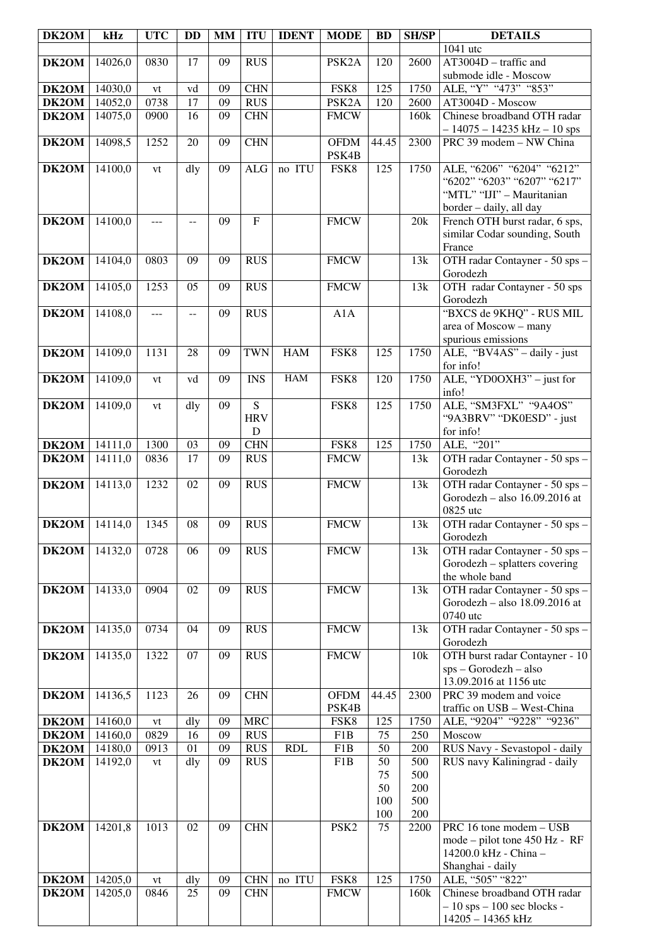| DK2OM          | kHz     | <b>UTC</b> | <b>DD</b> | <b>MM</b> | <b>ITU</b>     | <b>IDENT</b> | <b>MODE</b>          | <b>BD</b> | <b>SH/SP</b> | <b>DETAILS</b>                                                  |
|----------------|---------|------------|-----------|-----------|----------------|--------------|----------------------|-----------|--------------|-----------------------------------------------------------------|
|                |         |            |           |           |                |              |                      |           |              | 1041 utc                                                        |
| DK2OM          | 14026,0 | 0830       | 17        | 09        | <b>RUS</b>     |              | PSK <sub>2</sub> A   | 120       | 2600         | $AT3004D - \text{traffic}$ and                                  |
|                |         |            |           |           |                |              |                      |           |              | submode idle - Moscow                                           |
| <b>DK2OM</b>   | 14030,0 | ${\it vt}$ | vd        | 09        | <b>CHN</b>     |              | FSK <sub>8</sub>     | 125       | 1750         | ALE, "Y" "473" "853"                                            |
| <b>DK2OM</b>   | 14052,0 | 0738       | 17        | 09        | <b>RUS</b>     |              | PSK <sub>2</sub> A   | 120       | 2600         | AT3004D - Moscow                                                |
| DK2OM          | 14075,0 | 0900       | 16        | 09        | <b>CHN</b>     |              | <b>FMCW</b>          |           | 160k         | Chinese broadband OTH radar                                     |
|                |         |            |           |           |                |              |                      |           |              | $-14075 - 14235$ kHz $-10$ sps                                  |
| DK2OM          | 14098,5 | 1252       | 20        | 09        | <b>CHN</b>     |              | <b>OFDM</b>          | 44.45     | 2300         | PRC 39 modem - NW China                                         |
|                |         |            |           |           |                |              | PSK4B                |           |              |                                                                 |
| DK2OM          | 14100,0 | vt         | dly       | 09        | <b>ALG</b>     | no ITU       | FSK8                 | 125       | 1750         | ALE, "6206" "6204" "6212"<br>"6202" "6203" "6207" "6217"        |
|                |         |            |           |           |                |              |                      |           |              | "MTL" "IJI" - Mauritanian                                       |
|                |         |            |           |           |                |              |                      |           |              | border - daily, all day                                         |
| DK2OM          | 14100,0 | ---        | $-$       | 09        | $\overline{F}$ |              | <b>FMCW</b>          |           | 20k          | French OTH burst radar, 6 sps,                                  |
|                |         |            |           |           |                |              |                      |           |              | similar Codar sounding, South                                   |
|                |         |            |           |           |                |              |                      |           |              | France                                                          |
| DK2OM          | 14104,0 | 0803       | 09        | 09        | <b>RUS</b>     |              | <b>FMCW</b>          |           | 13k          | OTH radar Contayner - 50 sps -                                  |
|                |         |            |           |           |                |              |                      |           |              | Gorodezh                                                        |
| DK2OM          | 14105,0 | 1253       | 05        | 09        | <b>RUS</b>     |              | <b>FMCW</b>          |           | 13k          | OTH radar Contayner - 50 sps                                    |
|                |         |            |           |           |                |              |                      |           |              | Gorodezh                                                        |
| DK2OM          | 14108,0 | ---        | $-$       | 09        | <b>RUS</b>     |              | A1A                  |           |              | "BXCS de 9KHQ" - RUS MIL                                        |
|                |         |            |           |           |                |              |                      |           |              | area of Moscow - many                                           |
|                |         |            |           |           |                |              |                      |           |              | spurious emissions                                              |
| DK2OM          | 14109,0 | 1131       | 28        | 09        | <b>TWN</b>     | <b>HAM</b>   | FSK8                 | 125       | 1750         | ALE, "BV4AS" - daily - just                                     |
|                |         |            |           |           |                | ${\rm HAM}$  |                      |           |              | for info!                                                       |
| DK2OM          | 14109,0 | vt         | vd        | 09        | <b>INS</b>     |              | FSK8                 | 120       | 1750         | ALE, "YD0OXH3" - just for<br>info!                              |
| DK2OM          | 14109,0 | vt         | dly       | 09        | $\overline{S}$ |              | FSK8                 | 125       | 1750         | ALE, "SM3FXL" "9A4OS"                                           |
|                |         |            |           |           | <b>HRV</b>     |              |                      |           |              | "9A3BRV" "DK0ESD" - just                                        |
|                |         |            |           |           | ${\bf D}$      |              |                      |           |              | for info!                                                       |
| DK2OM          | 14111,0 | 1300       | 03        | 09        | <b>CHN</b>     |              | FSK8                 | 125       | 1750         | ALE, "201"                                                      |
| DK2OM          | 14111,0 | 0836       | 17        | 09        | <b>RUS</b>     |              | <b>FMCW</b>          |           | 13k          | OTH radar Contayner - 50 sps -                                  |
|                |         |            |           |           |                |              |                      |           |              | Gorodezh                                                        |
| DK2OM          | 14113,0 | 1232       | 02        | 09        | <b>RUS</b>     |              | <b>FMCW</b>          |           | 13k          | OTH radar Contayner - 50 sps -                                  |
|                |         |            |           |           |                |              |                      |           |              | Gorodezh - also 16.09.2016 at                                   |
|                |         |            |           |           |                |              |                      |           |              | 0825 utc                                                        |
| DK2OM          | 14114,0 | 1345       | 08        | 09        | <b>RUS</b>     |              | <b>FMCW</b>          |           | 13k          | OTH radar Contayner - 50 sps -                                  |
|                | 14132,0 | 0728       | 06        | 09        | <b>RUS</b>     |              | <b>FMCW</b>          |           |              | Gorodezh                                                        |
| DK2OM          |         |            |           |           |                |              |                      |           | 13k          | OTH radar Contayner - 50 sps -<br>Gorodezh - splatters covering |
|                |         |            |           |           |                |              |                      |           |              | the whole band                                                  |
| DK2OM          | 14133,0 | 0904       | 02        | 09        | <b>RUS</b>     |              | <b>FMCW</b>          |           | 13k          | OTH radar Contayner - 50 sps -                                  |
|                |         |            |           |           |                |              |                      |           |              | Gorodezh - also 18.09.2016 at                                   |
|                |         |            |           |           |                |              |                      |           |              | 0740 utc                                                        |
| DK2OM          | 14135,0 | 0734       | 04        | 09        | <b>RUS</b>     |              | <b>FMCW</b>          |           | 13k          | OTH radar Contayner - 50 sps -                                  |
|                |         |            |           |           |                |              |                      |           |              | Gorodezh                                                        |
| DK2OM          | 14135,0 | 1322       | 07        | 09        | <b>RUS</b>     |              | <b>FMCW</b>          |           | 10k          | OTH burst radar Contayner - 10                                  |
|                |         |            |           |           |                |              |                      |           |              | $sps - Gorodezh - also$                                         |
|                |         |            |           |           |                |              |                      |           |              | 13.09.2016 at 1156 utc                                          |
| DK2OM          | 14136,5 | 1123       | 26        | 09        | <b>CHN</b>     |              | <b>OFDM</b><br>PSK4B | 44.45     | 2300         | PRC 39 modem and voice<br>traffic on USB - West-China           |
| DK2OM          | 14160,0 | vt         | dly       | 09        | <b>MRC</b>     |              | FSK8                 | 125       | 1750         | ALE, "9204" "9228" "9236"                                       |
| DK2OM          | 14160,0 | 0829       | 16        | 09        | <b>RUS</b>     |              | F1B                  | 75        | 250          | Moscow                                                          |
| DK2OM          | 14180,0 | 0913       | 01        | 09        | <b>RUS</b>     | <b>RDL</b>   | F1B                  | 50        | 200          | RUS Navy - Sevastopol - daily                                   |
| DK2OM          | 14192,0 | vt         | dly       | 09        | <b>RUS</b>     |              | F1B                  | 50        | 500          | RUS navy Kaliningrad - daily                                    |
|                |         |            |           |           |                |              |                      | 75        | 500          |                                                                 |
|                |         |            |           |           |                |              |                      | 50        | 200          |                                                                 |
|                |         |            |           |           |                |              |                      | 100       | 500          |                                                                 |
|                |         |            |           |           |                |              |                      | 100       | 200          |                                                                 |
| DK2OM          | 14201,8 | 1013       | 02        | 09        | <b>CHN</b>     |              | PSK <sub>2</sub>     | 75        | 2200         | PRC 16 tone modem - USB                                         |
|                |         |            |           |           |                |              |                      |           |              | mode - pilot tone 450 Hz - RF                                   |
|                |         |            |           |           |                |              |                      |           |              | 14200.0 kHz - China -                                           |
|                | 14205,0 | vt         | dly       | 09        | <b>CHN</b>     | no ITU       | FSK8                 | 125       | 1750         | Shanghai - daily<br>ALE, "505" "822"                            |
| DK2OM<br>DK2OM | 14205,0 | 0846       | 25        | 09        | <b>CHN</b>     |              | <b>FMCW</b>          |           | 160k         | Chinese broadband OTH radar                                     |
|                |         |            |           |           |                |              |                      |           |              | $-10$ sps $-100$ sec blocks -                                   |
|                |         |            |           |           |                |              |                      |           |              | 14205 - 14365 kHz                                               |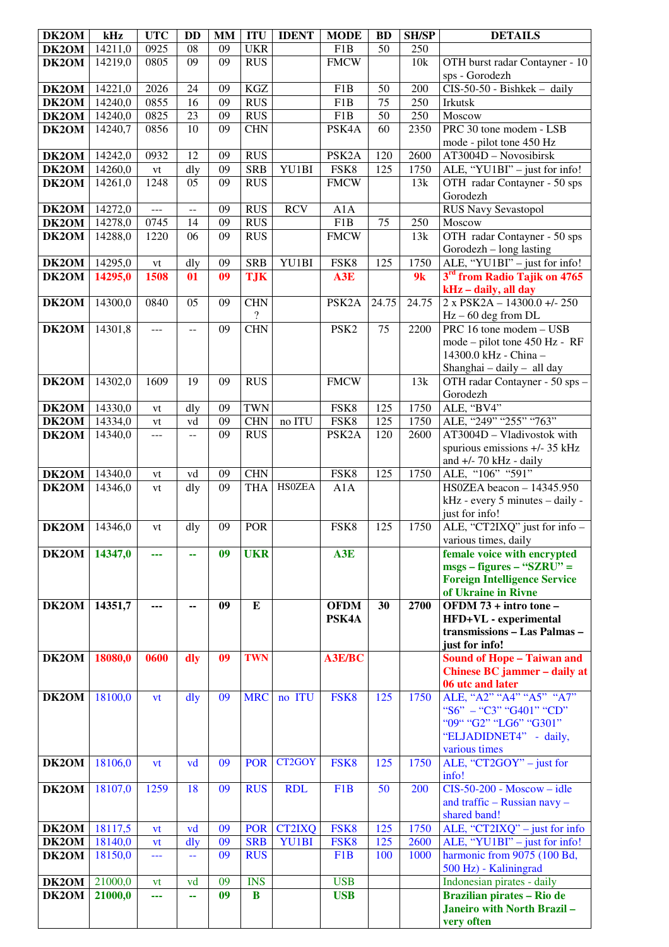| DK2OM          | kHz                | <b>UTC</b>         | <b>DD</b>      | <b>MM</b>       | <b>ITU</b>               | <b>IDENT</b>           | <b>MODE</b>         | <b>BD</b>  | <b>SH/SP</b> | <b>DETAILS</b>                                                   |
|----------------|--------------------|--------------------|----------------|-----------------|--------------------------|------------------------|---------------------|------------|--------------|------------------------------------------------------------------|
| DK2OM          | 14211,0            | 0925               | 08             | 09              | <b>UKR</b>               |                        | F1B                 | 50         | 250          |                                                                  |
| DK2OM          | 14219,0            | 0805               | 09             | 09              | <b>RUS</b>               |                        | <b>FMCW</b>         |            | 10k          | OTH burst radar Contayner - 10                                   |
|                |                    |                    |                |                 |                          |                        |                     |            |              | sps - Gorodezh                                                   |
| DK2OM          | 14221,0            | 2026               | 24             | 09              | KGZ                      |                        | F1B                 | 50         | 200          | $CIS-50-50$ - Bishkek - daily                                    |
| DK2OM          | 14240,0            | 0855               | 16             | 09              | <b>RUS</b>               |                        | F1B                 | 75         | 250          | Irkutsk                                                          |
| DK2OM          | 14240,0            | 0825               | 23             | 09              | <b>RUS</b>               |                        | F1B                 | 50         | 250          | Moscow                                                           |
| DK2OM          | 14240,7            | 0856               | 10             | 09              | <b>CHN</b>               |                        | PSK4A               | 60         | 2350         | PRC 30 tone modem - LSB                                          |
|                |                    |                    |                |                 |                          |                        |                     |            |              | mode - pilot tone 450 Hz                                         |
| DK2OM<br>DK2OM | 14242,0<br>14260,0 | 0932               | 12<br>dly      | 09<br>09        | <b>RUS</b><br><b>SRB</b> | YU1BI                  | PSK <sub>2</sub> A  | 120<br>125 | 2600<br>1750 | AT3004D - Novosibirsk                                            |
| DK2OM          | 14261,0            | ${\rm vt}$<br>1248 | 05             | 09              | <b>RUS</b>               |                        | FSK8<br><b>FMCW</b> |            | 13k          | ALE, "YU1BI" - just for info!<br>OTH radar Contayner - 50 sps    |
|                |                    |                    |                |                 |                          |                        |                     |            |              | Gorodezh                                                         |
| DK2OM          | 14272,0            | $\overline{a}$     | $\overline{a}$ | 09              | <b>RUS</b>               | <b>RCV</b>             | $\overline{A1A}$    |            |              | <b>RUS Navy Sevastopol</b>                                       |
| DK2OM          | 14278,0            | 0745               | 14             | $\overline{09}$ | <b>RUS</b>               |                        | F1B                 | 75         | 250          | Moscow                                                           |
| DK2OM          | 14288,0            | 1220               | 06             | 09              | <b>RUS</b>               |                        | <b>FMCW</b>         |            | 13k          | OTH radar Contayner - 50 sps                                     |
|                |                    |                    |                |                 |                          |                        |                     |            |              | Gorodezh - long lasting                                          |
| DK2OM          | 14295,0            | vt                 | dly            | 09              | <b>SRB</b>               | YU1BI                  | FSK8                | 125        | 1750         | ALE, "YU1BI" - just for info!                                    |
| DK2OM          | 14295,0            | 1508               | 01             | 09              | <b>TJK</b>               |                        | A3E                 |            | 9k           | 3 <sup>rd</sup> from Radio Tajik on 4765                         |
|                |                    |                    |                |                 |                          |                        |                     |            |              | kHz - daily, all day                                             |
| DK2OM          | 14300,0            | 0840               | 05             | 09              | <b>CHN</b>               |                        | PSK <sub>2</sub> A  | 24.75      | 24.75        | $2 \times PSK2A - 14300.0 + 250$                                 |
|                |                    |                    |                |                 | $\overline{\cdot}$       |                        |                     |            |              | $Hz - 60$ deg from DL                                            |
| DK2OM          | 14301,8            | ---                | $-$            | 09              | <b>CHN</b>               |                        | PSK <sub>2</sub>    | 75         | 2200         | PRC 16 tone modem - USB                                          |
|                |                    |                    |                |                 |                          |                        |                     |            |              | mode – pilot tone 450 Hz - RF                                    |
|                |                    |                    |                |                 |                          |                        |                     |            |              | 14300.0 kHz - China -                                            |
| DK2OM          |                    |                    |                |                 | <b>RUS</b>               |                        | <b>FMCW</b>         |            |              | Shanghai - daily - all day                                       |
|                | 14302,0            | 1609               | 19             | 09              |                          |                        |                     |            | 13k          | OTH radar Contayner - 50 sps -<br>Gorodezh                       |
| DK2OM          | 14330,0            | vt                 | dly            | 09              | <b>TWN</b>               |                        | FSK8                | 125        | 1750         | ALE, "BV4"                                                       |
| DK2OM          | 14334,0            | vt                 | vd             | 09              | <b>CHN</b>               | no ITU                 | FSK8                | 125        | 1750         | ALE, "249" "255" "763"                                           |
| DK2OM          | 14340,0            | ---                | $\overline{a}$ | 09              | <b>RUS</b>               |                        | PSK <sub>2</sub> A  | 120        | 2600         | AT3004D - Vladivostok with                                       |
|                |                    |                    |                |                 |                          |                        |                     |            |              | spurious emissions +/- 35 kHz                                    |
|                |                    |                    |                |                 |                          |                        |                     |            |              | and $+/- 70$ kHz - daily                                         |
| DK2OM          | 14340,0            | vt                 | vd             | 09              | <b>CHN</b>               |                        | FSK8                | 125        | 1750         | ALE, "106" "591"                                                 |
| DK2OM          | 14346,0            | vt                 | dly            | 09              | <b>THA</b>               | <b>HSOZEA</b>          | A1A                 |            |              | HS0ZEA beacon $-14345.950$                                       |
|                |                    |                    |                |                 |                          |                        |                     |            |              | kHz - every 5 minutes - daily -                                  |
|                |                    |                    |                |                 |                          |                        |                     |            |              | just for info!                                                   |
| DK2OM          | 14346.0            | vt                 | dly            | 09              | <b>POR</b>               |                        | FSK8                | 125        | 1750         | ALE, "CT2IXQ" just for info -                                    |
|                | 14347,0            |                    |                | 09              | <b>UKR</b>               |                        | A3E                 |            |              | various times, daily<br>female voice with encrypted              |
| DK2OM          |                    | ---                | ۰.             |                 |                          |                        |                     |            |              | $msgs - figures - "SZRU" =$                                      |
|                |                    |                    |                |                 |                          |                        |                     |            |              | <b>Foreign Intelligence Service</b>                              |
|                |                    |                    |                |                 |                          |                        |                     |            |              | of Ukraine in Rivne                                              |
| DK2OM          | 14351,7            | ---                | ۰.             | 09              | E                        |                        | <b>OFDM</b>         | 30         | 2700         | $\overline{\text{OFDM}}$ 73 + intro tone –                       |
|                |                    |                    |                |                 |                          |                        | PSK4A               |            |              | HFD+VL - experimental                                            |
|                |                    |                    |                |                 |                          |                        |                     |            |              | transmissions - Las Palmas -                                     |
|                |                    |                    |                |                 |                          |                        |                     |            |              | just for info!                                                   |
| DK2OM          | 18080,0            | 0600               | dly            | 09              | <b>TWN</b>               |                        | A3E/BC              |            |              | <b>Sound of Hope - Taiwan and</b>                                |
|                |                    |                    |                |                 |                          |                        |                     |            |              | Chinese BC jammer - daily at<br>06 utc and later                 |
| DK2OM          | 18100,0            | vt                 | $\frac{d}{dy}$ | 09              | <b>MRC</b>               | no ITU                 | FSK8                | 125        | 1750         | ALE, "A2" "A4" "A5" "A7"                                         |
|                |                    |                    |                |                 |                          |                        |                     |            |              | "S6" - "C3" "G401" "CD"                                          |
|                |                    |                    |                |                 |                          |                        |                     |            |              | "09" "G2" "LG6" "G301"                                           |
|                |                    |                    |                |                 |                          |                        |                     |            |              | "ELJADIDNET4" - daily,                                           |
|                |                    |                    |                |                 |                          |                        |                     |            |              | various times                                                    |
| DK2OM          | 18106,0            | vt                 | vd             | 09              | <b>POR</b>               | CT2GOY                 | FSK8                | 125        | 1750         | ALE, " $CT2GOY"$ – just for                                      |
|                |                    |                    |                |                 |                          |                        |                     |            |              | info!                                                            |
| DK2OM          | 18107,0            | 1259               | 18             | 09              | <b>RUS</b>               | <b>RDL</b>             | F <sub>1</sub> B    | 50         | 200          | $CIS-50-200 - Moscow - idle$                                     |
|                |                    |                    |                |                 |                          |                        |                     |            |              | and traffic - Russian navy -                                     |
|                |                    |                    |                |                 |                          |                        |                     |            |              | shared band!                                                     |
| DK2OM<br>DK2OM | 18117,5            | vt                 | vd             | 09<br>09        | <b>POR</b><br><b>SRB</b> | <b>CT2IXQ</b><br>YU1BI | FSK8<br>FSK8        | 125<br>125 | 1750<br>2600 | ALE, "CT2IXQ" $-$ just for info<br>ALE, "YU1BI" - just for info! |
| DK2OM          | 18140,0<br>18150,0 | <b>vt</b><br>---   | dly<br>44      | 09              | <b>RUS</b>               |                        | F1B                 | 100        | 1000         | harmonic from 9075 (100 Bd,                                      |
|                |                    |                    |                |                 |                          |                        |                     |            |              | 500 Hz) - Kaliningrad                                            |
| DK2OM          | 21000,0            | vt                 | vd             | 09              | <b>INS</b>               |                        | <b>USB</b>          |            |              | Indonesian pirates - daily                                       |
| DK2OM          | 21000,0            | ---                | 44             | 09              | $\bf{B}$                 |                        | <b>USB</b>          |            |              | <b>Brazilian pirates - Rio de</b>                                |
|                |                    |                    |                |                 |                          |                        |                     |            |              | Janeiro with North Brazil-                                       |
|                |                    |                    |                |                 |                          |                        |                     |            |              | very often                                                       |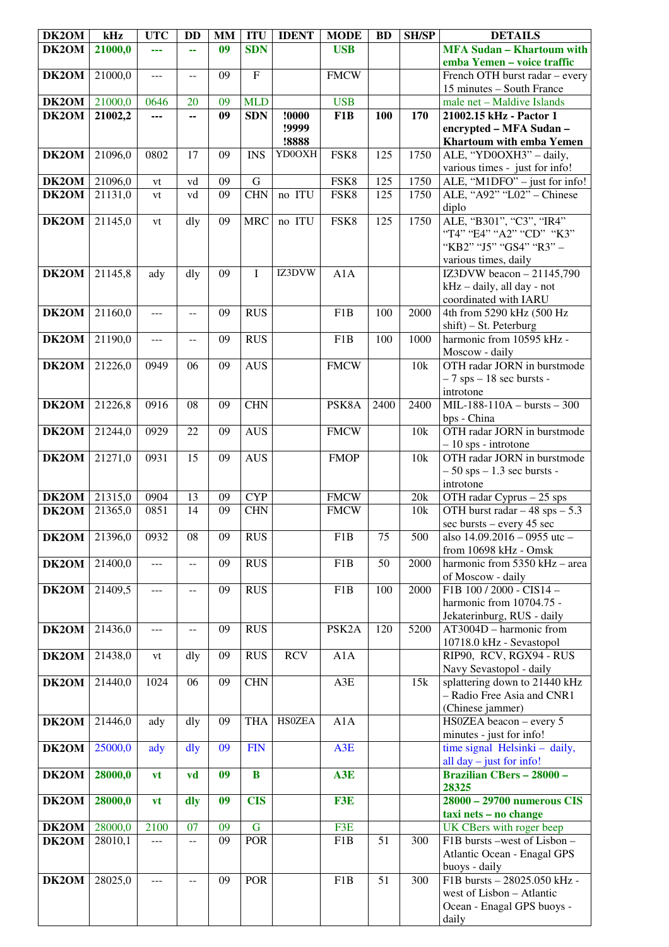| DK2OM        | kHz                       | <b>UTC</b>     | <b>DD</b>         | <b>MM</b>       | <b>ITU</b>       | <b>IDENT</b>  | <b>MODE</b>        | <b>BD</b>       | <b>SH/SP</b> | <b>DETAILS</b>                                       |
|--------------|---------------------------|----------------|-------------------|-----------------|------------------|---------------|--------------------|-----------------|--------------|------------------------------------------------------|
| DK2OM        | 21000,0                   | ---            | ш,                | 09              | <b>SDN</b>       |               | <b>USB</b>         |                 |              | <b>MFA Sudan - Khartoum with</b>                     |
|              |                           |                |                   |                 |                  |               |                    |                 |              | emba Yemen - voice traffic                           |
| DK2OM        | 21000,0                   | ---            | $-$               | 09              | $\mathbf F$      |               | <b>FMCW</b>        |                 |              | French OTH burst radar - every                       |
|              |                           |                |                   |                 |                  |               |                    |                 |              | 15 minutes - South France                            |
| DK2OM        | 21000,0                   | 0646           | 20                | 09              | <b>MLD</b>       |               | <b>USB</b>         |                 |              | male net - Maldive Islands                           |
| DK2OM        | 21002,2                   | ---            | --                | 09              | <b>SDN</b>       | !0000         | F <sub>1</sub> B   | 100             | 170          | 21002.15 kHz - Pactor 1                              |
|              |                           |                |                   |                 |                  | !9999         |                    |                 |              | encrypted - MFA Sudan -                              |
|              |                           |                |                   |                 |                  | !8888         |                    |                 |              | Khartoum with emba Yemen                             |
| DK2OM        | 21096,0                   | 0802           | 17                | 09              | <b>INS</b>       | YD0OXH        | FSK8               | 125             | 1750         | ALE, "YD0OXH3" - daily,                              |
|              |                           |                |                   |                 |                  |               |                    |                 |              | various times - just for info!                       |
| DK2OM        | 21096,0                   | vt             | vd                | 09              | $\mathsf G$      |               | FSK8               | 125             | 1750         | $\overline{\text{ALE}},$ "M1DFO" – just for info!    |
| DK2OM        | 21131,0                   | vt             | vd                | 09              | <b>CHN</b>       | no ITU        | FSK8               | 125             | 1750         | ALE, "A92" "L02" - Chinese                           |
|              |                           |                |                   |                 |                  |               |                    |                 |              | diplo                                                |
|              |                           |                |                   |                 |                  | no ITU        | FSK8               | 125             | 1750         |                                                      |
| DK2OM        | 21145,0                   | vt             | dly               | 09              | <b>MRC</b>       |               |                    |                 |              | ALE, "B301", "C3", "IR4"<br>"T4" "E4" "A2" "CD" "K3" |
|              |                           |                |                   |                 |                  |               |                    |                 |              |                                                      |
|              |                           |                |                   |                 |                  |               |                    |                 |              | "KB2" "J5" "GS4" "R3" -                              |
|              |                           |                |                   |                 |                  |               |                    |                 |              | various times, daily                                 |
| DK2OM        | 21145,8                   | ady            | dly               | 09              | I                | IZ3DVW        | A1A                |                 |              | IZ3DVW beacon $-21145,790$                           |
|              |                           |                |                   |                 |                  |               |                    |                 |              | kHz - daily, all day - not                           |
|              |                           |                |                   |                 |                  |               |                    |                 |              | coordinated with IARU                                |
| DK2OM        | 21160,0                   | $\overline{a}$ | $-$               | 09              | <b>RUS</b>       |               | F <sub>1</sub> B   | 100             | 2000         | 4th from 5290 kHz (500 Hz                            |
|              |                           |                |                   |                 |                  |               |                    |                 |              | shift) - St. Peterburg                               |
| DK2OM        | 21190,0                   | $ -$           | $-$               | 09              | <b>RUS</b>       |               | F1B                | 100             | 1000         | harmonic from 10595 kHz -                            |
|              |                           |                |                   |                 |                  |               |                    |                 |              | Moscow - daily                                       |
| DK2OM        | 21226,0                   | 0949           | 06                | 09              | $AU\overline{S}$ |               | <b>FMCW</b>        |                 | 10k          | OTH radar JORN in burstmode                          |
|              |                           |                |                   |                 |                  |               |                    |                 |              | $-7$ sps $-18$ sec bursts -                          |
|              |                           |                |                   |                 |                  |               |                    |                 |              | introtone                                            |
| DK2OM        | 21226,8                   | 0916           | 08                | 09              | <b>CHN</b>       |               | PSK8A              | 2400            | 2400         | $MIL-188-110A - bursts - 300$                        |
|              |                           |                |                   |                 |                  |               |                    |                 |              | bps - China                                          |
| DK2OM        | 21244,0                   | 0929           | 22                | 09              | <b>AUS</b>       |               | <b>FMCW</b>        |                 | 10k          | OTH radar JORN in burstmode                          |
|              |                           |                |                   |                 |                  |               |                    |                 |              | $-10$ sps - introtone                                |
| DK2OM        | 21271,0                   | 0931           | 15                | 09              | A <sub>US</sub>  |               | <b>FMOP</b>        |                 | 10k          | OTH radar JORN in burstmode                          |
|              |                           |                |                   |                 |                  |               |                    |                 |              | $-50$ sps $-1.3$ sec bursts -                        |
|              |                           |                |                   |                 |                  |               |                    |                 |              | introtone                                            |
| <b>DK2OM</b> | 21315,0                   | 0904           | 13                | 09              | <b>CYP</b>       |               | <b>FMCW</b>        |                 | 20k          | $\overline{OTH}$ radar Cyprus $-25$ sps              |
| DK2OM        | 21365,0                   | 0851           | 14                | 09              | <b>CHN</b>       |               | <b>FMCW</b>        |                 | 10k          | OTH burst radar $-48$ sps $-5.3$                     |
|              |                           |                |                   |                 |                  |               |                    |                 |              | sec bursts – every 45 sec                            |
|              | <b>DK2OM</b> 21396,0 0932 |                | $\overline{08}$   | $\overline{09}$ | <b>RUS</b>       |               | F1B                | $\overline{75}$ | 500          | also 14.09.2016 - 0955 utc -                         |
|              |                           |                |                   |                 |                  |               |                    |                 |              | from 10698 kHz - Omsk                                |
| DK2OM        | 21400,0                   | ---            | --                | 09              | <b>RUS</b>       |               | F1B                | 50              | 2000         | harmonic from 5350 kHz - area                        |
|              |                           |                |                   |                 |                  |               |                    |                 |              | of Moscow - daily                                    |
| DK2OM        | 21409,5                   | ---            | --                | 09              | <b>RUS</b>       |               | F1B                | 100             | 2000         | F1B 100 / 2000 - CIS14 -                             |
|              |                           |                |                   |                 |                  |               |                    |                 |              | harmonic from 10704.75 -                             |
|              |                           |                |                   |                 |                  |               |                    |                 |              | Jekaterinburg, RUS - daily                           |
| DK2OM        | 21436,0                   | ---            | $-$               | 09              | <b>RUS</b>       |               | PSK <sub>2</sub> A | 120             | 5200         | $AT3004D - harmonic from$                            |
|              |                           |                |                   |                 |                  |               |                    |                 |              | 10718.0 kHz - Sevastopol                             |
| DK2OM        | 21438,0                   |                | dly               | 09              | RUS              | <b>RCV</b>    | A1A                |                 |              | RIP90, RCV, RGX94 - RUS                              |
|              |                           | vt             |                   |                 |                  |               |                    |                 |              | Navy Sevastopol - daily                              |
|              | 21440,0                   | 1024           | 06                | 09              | <b>CHN</b>       |               | $A3E$              |                 | 15k          | splattering down to 21440 kHz                        |
| DK2OM        |                           |                |                   |                 |                  |               |                    |                 |              | - Radio Free Asia and CNR1                           |
|              |                           |                |                   |                 |                  |               |                    |                 |              |                                                      |
|              |                           |                |                   |                 |                  | <b>HSOZEA</b> |                    |                 |              | (Chinese jammer)                                     |
| DK2OM        | 21446,0                   | ady            | $\overline{d}$ ly | 09              | <b>THA</b>       |               | A1A                |                 |              | $HSOZEA$ beacon – every 5                            |
|              |                           |                |                   |                 |                  |               |                    |                 |              | minutes - just for info!                             |
| DK2OM        | 25000,0                   | ady            | dly               | 09              | <b>FIN</b>       |               | A <sub>3</sub> E   |                 |              | time signal Helsinki - daily,                        |
|              |                           |                |                   |                 |                  |               |                    |                 |              | all $day - just$ for info!                           |
| DK2OM        | 28000,0                   | vt             | vd                | 09              | $\bf{B}$         |               | A3E                |                 |              | <b>Brazilian CBers - 28000 -</b>                     |
|              |                           |                |                   |                 |                  |               |                    |                 |              | 28325                                                |
| DK2OM        | 28000,0                   | vt             | dly               | 09              | <b>CIS</b>       |               | F3E                |                 |              | 28000 - 29700 numerous CIS                           |
|              |                           |                |                   |                 |                  |               |                    |                 |              | taxi nets - no change                                |
| DK2OM        | 28000,0                   | 2100           | 07                | 09              | $\mathbf G$      |               | F3E                |                 |              | UK CBers with roger beep                             |
| DK2OM        | 28010,1                   | ---            | $-$               | 09              | <b>POR</b>       |               | F1B                | 51              | 300          | F1B bursts -west of Lisbon -                         |
|              |                           |                |                   |                 |                  |               |                    |                 |              | Atlantic Ocean - Enagal GPS                          |
|              |                           |                |                   |                 |                  |               |                    |                 |              | buoys - daily                                        |
| DK2OM        | 28025,0                   | ---            | $-$               | 09              | <b>POR</b>       |               | F <sub>1</sub> B   | $\overline{51}$ | 300          | F1B bursts - 28025.050 kHz -                         |
|              |                           |                |                   |                 |                  |               |                    |                 |              | west of Lisbon - Atlantic                            |
|              |                           |                |                   |                 |                  |               |                    |                 |              | Ocean - Enagal GPS buoys -                           |
|              |                           |                |                   |                 |                  |               |                    |                 |              | daily                                                |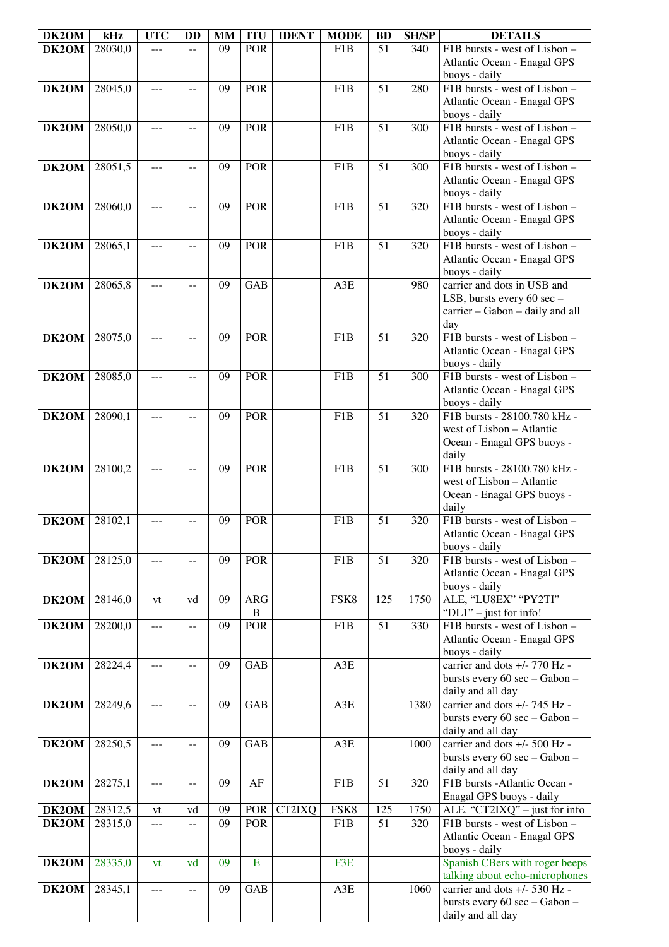| DK2OM | kHz     | <b>UTC</b> | <b>DD</b>      | <b>MM</b> | <b>ITU</b>   | <b>IDENT</b> | <b>MODE</b>      | <b>BD</b> | <b>SH/SP</b> | <b>DETAILS</b>                                            |
|-------|---------|------------|----------------|-----------|--------------|--------------|------------------|-----------|--------------|-----------------------------------------------------------|
| DK2OM | 28030,0 | ---        |                | 09        | <b>POR</b>   |              | F <sub>1</sub> B | 51        | 340          | F1B bursts - west of Lisbon -                             |
|       |         |            |                |           |              |              |                  |           |              | Atlantic Ocean - Enagal GPS                               |
|       |         |            |                |           |              |              |                  |           |              | buoys - daily                                             |
| DK2OM | 28045,0 | ---        | --             | 09        | <b>POR</b>   |              | F <sub>1</sub> B | 51        | 280          | F1B bursts - west of Lisbon -                             |
|       |         |            |                |           |              |              |                  |           |              | Atlantic Ocean - Enagal GPS                               |
|       |         |            |                |           |              |              |                  |           |              | buoys - daily                                             |
| DK2OM | 28050,0 | ---        | --             | 09        | <b>POR</b>   |              | F <sub>1</sub> B | 51        | 300          | F1B bursts - west of Lisbon -                             |
|       |         |            |                |           |              |              |                  |           |              | Atlantic Ocean - Enagal GPS                               |
|       |         |            |                |           |              |              |                  |           |              | buoys - daily                                             |
| DK2OM | 28051,5 | ---        | $-$            | 09        | <b>POR</b>   |              | F <sub>1</sub> B | 51        | 300          | F1B bursts - west of Lisbon -                             |
|       |         |            |                |           |              |              |                  |           |              | Atlantic Ocean - Enagal GPS                               |
|       |         |            |                |           |              |              |                  |           |              | buoys - daily                                             |
| DK2OM | 28060,0 | ---        |                | 09        | <b>POR</b>   |              | F1B              | 51        | 320          | F1B bursts - west of Lisbon -                             |
|       |         |            |                |           |              |              |                  |           |              | Atlantic Ocean - Enagal GPS                               |
|       |         |            |                |           |              |              |                  |           |              | buoys - daily                                             |
| DK2OM | 28065,1 | ---        |                | 09        | <b>POR</b>   |              | F <sub>1</sub> B | 51        | 320          | F1B bursts - west of Lisbon -                             |
|       |         |            |                |           |              |              |                  |           |              | Atlantic Ocean - Enagal GPS                               |
|       |         |            |                |           |              |              |                  |           |              | buoys - daily                                             |
| DK2OM | 28065,8 | ---        |                | 09        | <b>GAB</b>   |              | A3E              |           | 980          | carrier and dots in USB and                               |
|       |         |            |                |           |              |              |                  |           |              | LSB, bursts every 60 sec -                                |
|       |         |            |                |           |              |              |                  |           |              | carrier - Gabon - daily and all                           |
|       |         |            |                |           |              |              |                  |           |              | day                                                       |
| DK2OM | 28075,0 | ---        | $-$            | 09        | <b>POR</b>   |              | F <sub>1</sub> B | 51        | 320          | F1B bursts - west of Lisbon -                             |
|       |         |            |                |           |              |              |                  |           |              | <b>Atlantic Ocean - Enagal GPS</b>                        |
|       |         |            |                |           |              |              |                  |           |              | buoys - daily                                             |
| DK2OM | 28085,0 | ---        | --             | 09        | <b>POR</b>   |              | F <sub>1</sub> B | 51        | 300          | F1B bursts - west of Lisbon -                             |
|       |         |            |                |           |              |              |                  |           |              | Atlantic Ocean - Enagal GPS                               |
|       |         |            |                |           |              |              |                  |           |              | buoys - daily                                             |
| DK2OM | 28090,1 | ---        |                | 09        | <b>POR</b>   |              | F <sub>1</sub> B | 51        | 320          | F1B bursts - 28100.780 kHz -                              |
|       |         |            |                |           |              |              |                  |           |              | west of Lisbon - Atlantic                                 |
|       |         |            |                |           |              |              |                  |           |              | Ocean - Enagal GPS buoys -                                |
|       |         |            |                |           |              |              |                  |           |              | daily                                                     |
| DK2OM | 28100,2 |            |                | 09        | <b>POR</b>   |              | F <sub>1</sub> B | 51        | 300          | F1B bursts - 28100.780 kHz -                              |
|       |         |            |                |           |              |              |                  |           |              | west of Lisbon - Atlantic                                 |
|       |         |            |                |           |              |              |                  |           |              | Ocean - Enagal GPS buoys -                                |
|       |         |            |                |           |              |              |                  |           |              | daily                                                     |
| DK2OM | 28102,1 |            |                | 09        | <b>POR</b>   |              | F <sub>1</sub> B | 51        | 320          | F1B bursts - west of Lisbon -                             |
|       |         |            |                |           |              |              |                  |           |              | Atlantic Ocean - Enagal GPS                               |
|       |         |            |                |           |              |              |                  |           |              | buoys - daily                                             |
| DK2OM | 28125,0 | ---        | $- -$          | 09        | <b>POR</b>   |              | F1B              | 51        | 320          | F1B bursts - west of Lisbon -                             |
|       |         |            |                |           |              |              |                  |           |              | Atlantic Ocean - Enagal GPS                               |
|       |         |            |                |           |              |              |                  |           |              | buoys - daily                                             |
| DK2OM | 28146,0 | vt         | vd             | 09        | <b>ARG</b>   |              | FSK8             | 125       | 1750         | ALE, "LU8EX" "PY2TI"                                      |
|       |         |            |                |           | $\, {\bf B}$ |              |                  |           |              | " $DL1"$ – just for info!                                 |
| DK2OM | 28200,0 | ---        | $\overline{a}$ | 09        | <b>POR</b>   |              | F <sub>1</sub> B | 51        | 330          | F1B bursts - west of Lisbon -                             |
|       |         |            |                |           |              |              |                  |           |              | Atlantic Ocean - Enagal GPS                               |
|       |         |            |                |           |              |              |                  |           |              | buoys - daily                                             |
| DK2OM | 28224,4 | ---        | --             | 09        | <b>GAB</b>   |              | A3E              |           |              | carrier and dots +/- 770 Hz -                             |
|       |         |            |                |           |              |              |                  |           |              | bursts every 60 sec - Gabon -                             |
|       |         |            |                |           |              |              |                  |           |              | daily and all day                                         |
| DK2OM | 28249,6 | ---        | --             | 09        | <b>GAB</b>   |              | A3E              |           | 1380         | carrier and dots +/- 745 Hz -                             |
|       |         |            |                |           |              |              |                  |           |              | bursts every 60 sec - Gabon -                             |
|       |         |            |                |           |              |              |                  |           |              | daily and all day                                         |
| DK2OM | 28250,5 | ---        | --             | 09        | <b>GAB</b>   |              | A3E              |           | 1000         | carrier and dots +/- 500 Hz -                             |
|       |         |            |                |           |              |              |                  |           |              | bursts every 60 sec - Gabon -<br>daily and all day        |
| DK2OM | 28275,1 | $---$      | $-$            | 09        | AF           |              | F <sub>1</sub> B | 51        | 320          | F1B bursts - Atlantic Ocean -                             |
|       |         |            |                |           |              |              |                  |           |              |                                                           |
| DK2OM | 28312,5 | vt         | vd             | 09        | POR          | CT2IXQ       | FSK8             | 125       | 1750         | Enagal GPS buoys - daily<br>ALE. "CT2IXQ" - just for info |
|       | 28315,0 |            |                | 09        | <b>POR</b>   |              | F1B              | 51        | 320          | F1B bursts - west of Lisbon -                             |
| DK2OM |         | ---        | $- -$          |           |              |              |                  |           |              | Atlantic Ocean - Enagal GPS                               |
|       |         |            |                |           |              |              |                  |           |              | buoys - daily                                             |
| DK2OM | 28335,0 | vt         | vd             | 09        | Ε            |              | F3E              |           |              | Spanish CBers with roger beeps                            |
|       |         |            |                |           |              |              |                  |           |              | talking about echo-microphones                            |
| DK2OM | 28345,1 | ---        | $- -$          | 09        | <b>GAB</b>   |              | A3E              |           | 1060         | carrier and dots +/- 530 Hz -                             |
|       |         |            |                |           |              |              |                  |           |              | bursts every 60 sec - Gabon -                             |
|       |         |            |                |           |              |              |                  |           |              | daily and all day                                         |
|       |         |            |                |           |              |              |                  |           |              |                                                           |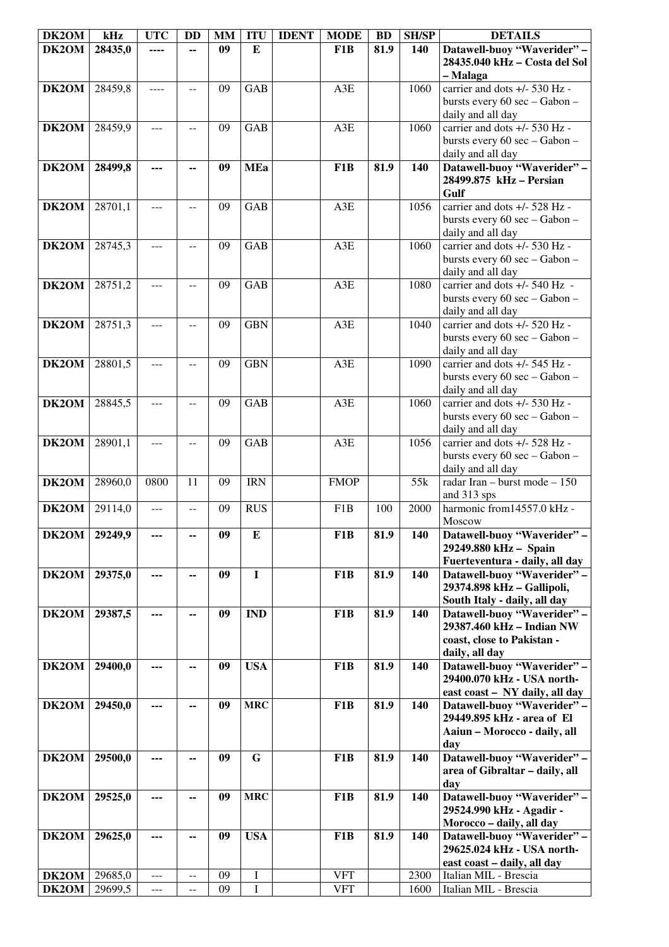| DK2OM | kHz     | <b>UTC</b> | <b>DD</b>     | <b>MM</b> | <b>ITU</b>  | <b>IDENT</b> | <b>MODE</b>      | <b>BD</b> | <b>SH/SP</b> | <b>DETAILS</b>                 |
|-------|---------|------------|---------------|-----------|-------------|--------------|------------------|-----------|--------------|--------------------------------|
| DK2OM | 28435,0 |            |               | 09        | E           |              | F1B              | 81.9      | 140          | Datawell-buoy "Waverider" -    |
|       |         |            |               |           |             |              |                  |           |              | 28435.040 kHz - Costa del Sol  |
|       |         |            |               |           |             |              |                  |           |              | - Malaga                       |
| DK2OM | 28459,8 | ----       | $- -$         | 09        | <b>GAB</b>  |              | A3E              |           | 1060         | carrier and dots +/- 530 Hz -  |
|       |         |            |               |           |             |              |                  |           |              | bursts every 60 sec - Gabon -  |
|       |         |            |               |           |             |              |                  |           |              | daily and all day              |
| DK2OM | 28459,9 | ---        | $-$           | 09        | <b>GAB</b>  |              | A3E              |           | 1060         | carrier and dots +/- 530 Hz -  |
|       |         |            |               |           |             |              |                  |           |              | bursts every 60 sec - Gabon -  |
|       |         |            |               |           |             |              |                  |           |              | daily and all day              |
| DK2OM | 28499,8 | ---        | --            | 09        | <b>MEa</b>  |              | F1B              | 81.9      | 140          | Datawell-buoy "Waverider" -    |
|       |         |            |               |           |             |              |                  |           |              | 28499.875 kHz - Persian        |
|       |         |            |               |           |             |              |                  |           |              | Gulf                           |
| DK2OM | 28701,1 | ---        | $-$           | 09        | <b>GAB</b>  |              | A3E              |           | 1056         | carrier and dots +/- 528 Hz -  |
|       |         |            |               |           |             |              |                  |           |              | bursts every 60 sec - Gabon -  |
|       |         |            |               |           |             |              |                  |           |              | daily and all day              |
| DK2OM | 28745,3 | ---        |               | 09        | <b>GAB</b>  |              | A3E              |           | 1060         | carrier and dots +/- 530 Hz -  |
|       |         |            |               |           |             |              |                  |           |              | bursts every 60 sec - Gabon -  |
|       |         |            |               |           |             |              |                  |           |              | daily and all day              |
| DK2OM | 28751,2 | ---        |               | 09        | <b>GAB</b>  |              | A3E              |           | 1080         | carrier and dots +/- 540 Hz -  |
|       |         |            |               |           |             |              |                  |           |              | bursts every 60 sec - Gabon -  |
|       |         |            |               |           |             |              |                  |           |              | daily and all day              |
| DK2OM | 28751,3 | ---        | --            | 09        | <b>GBN</b>  |              | A3E              |           | 1040         | carrier and dots +/- 520 Hz -  |
|       |         |            |               |           |             |              |                  |           |              | bursts every 60 sec - Gabon -  |
|       |         |            |               |           |             |              |                  |           |              | daily and all day              |
| DK2OM | 28801,5 | ---        | $-$           | 09        | <b>GBN</b>  |              | A3E              |           | 1090         | carrier and dots +/- 545 Hz -  |
|       |         |            |               |           |             |              |                  |           |              | bursts every 60 sec - Gabon -  |
|       |         |            |               |           |             |              |                  |           |              | daily and all day              |
| DK2OM | 28845,5 |            |               | 09        | <b>GAB</b>  |              | A3E              |           | 1060         | carrier and dots +/- 530 Hz -  |
|       |         |            |               |           |             |              |                  |           |              | bursts every 60 sec - Gabon -  |
|       |         |            |               |           |             |              |                  |           |              | daily and all day              |
| DK2OM | 28901,1 | ---        | $-$           | 09        | <b>GAB</b>  |              | A3E              |           | 1056         | carrier and dots +/- 528 Hz -  |
|       |         |            |               |           |             |              |                  |           |              | bursts every 60 sec - Gabon -  |
|       |         |            |               |           |             |              |                  |           |              | daily and all day              |
| DK2OM | 28960,0 | 0800       | 11            | 09        | <b>IRN</b>  |              | <b>FMOP</b>      |           | 55k          | radar Iran - burst mode - 150  |
|       |         |            |               |           |             |              |                  |           |              | and 313 sps                    |
| DK2OM | 29114,0 | ---        | --            | 09        | <b>RUS</b>  |              | F <sub>1</sub> B | 100       | 2000         | harmonic from14557.0 kHz -     |
|       |         |            |               |           |             |              |                  |           |              | Moscow                         |
| DK2OM | 29249,9 |            |               | 09        | ${\bf E}$   |              | F <sub>1</sub> B | 81.9      | 140          | Datawell-buoy "Waverider"      |
|       |         |            |               |           |             |              |                  |           |              | 29249.880 kHz - Spain          |
|       |         |            |               |           |             |              |                  |           |              | Fuerteventura - daily, all day |
| DK2OM | 29375,0 | ---        | --            | 09        | $\mathbf I$ |              | F <sub>1</sub> B | 81.9      | 140          | Datawell-buoy "Waverider" -    |
|       |         |            |               |           |             |              |                  |           |              | 29374.898 kHz - Gallipoli,     |
|       |         |            |               |           |             |              |                  |           |              | South Italy - daily, all day   |
| DK2OM | 29387,5 | ---        | --            | 09        | <b>IND</b>  |              | F1B              | 81.9      | 140          | Datawell-buoy "Waverider" -    |
|       |         |            |               |           |             |              |                  |           |              | 29387.460 kHz - Indian NW      |
|       |         |            |               |           |             |              |                  |           |              | coast, close to Pakistan -     |
|       |         |            |               |           |             |              |                  |           |              | daily, all day                 |
| DK2OM | 29400,0 |            | --            | 09        | <b>USA</b>  |              | F <sub>1</sub> B | 81.9      | 140          | Datawell-buoy "Waverider" -    |
|       |         |            |               |           |             |              |                  |           |              | 29400.070 kHz - USA north-     |
|       |         |            |               |           |             |              |                  |           |              | east coast - NY daily, all day |
| DK2OM | 29450,0 |            |               | 09        | <b>MRC</b>  |              | F1B              | 81.9      | 140          | Datawell-buoy "Waverider" -    |
|       |         |            |               |           |             |              |                  |           |              | 29449.895 kHz - area of El     |
|       |         |            |               |           |             |              |                  |           |              | Aaiun - Morocco - daily, all   |
|       |         |            |               |           |             |              |                  |           |              | day                            |
| DK2OM | 29500,0 | ---        | --            | 09        | G           |              | F1B              | 81.9      | 140          | Datawell-buoy "Waverider" -    |
|       |         |            |               |           |             |              |                  |           |              | area of Gibraltar - daily, all |
|       |         |            |               |           |             |              |                  |           |              | day                            |
| DK2OM | 29525,0 | ---        | --            | 09        | <b>MRC</b>  |              | F1B              | 81.9      | 140          | Datawell-buoy "Waverider" -    |
|       |         |            |               |           |             |              |                  |           |              | 29524.990 kHz - Agadir -       |
|       |         |            |               |           |             |              |                  |           |              | Morocco - daily, all day       |
| DK2OM | 29625,0 | ---        | --            | 09        | <b>USA</b>  |              | F1B              | 81.9      | 140          | Datawell-buoy "Waverider" -    |
|       |         |            |               |           |             |              |                  |           |              | 29625.024 kHz - USA north-     |
|       |         |            |               |           |             |              |                  |           |              | east coast - daily, all day    |
| DK2OM | 29685,0 | ---        | $- -$         | 09        | I           |              | <b>VFT</b>       |           | 2300         | Italian MIL - Brescia          |
| DK2OM | 29699,5 | ---        | $\sim$ $\sim$ | 09        | I           |              | <b>VFT</b>       |           | 1600         | Italian MIL - Brescia          |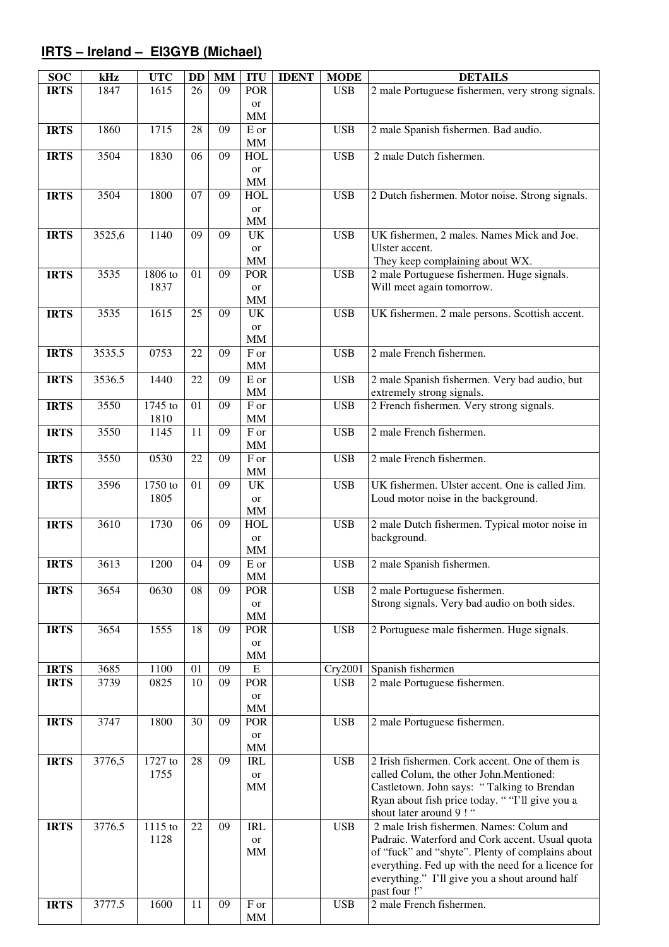# **IRTS – Ireland – EI3GYB (Michael)**

| <b>SOC</b>  | kHz    | <b>UTC</b> | DD | <b>MM</b> | <b>ITU</b>        | <b>IDENT</b> | <b>MODE</b> | <b>DETAILS</b>                                     |
|-------------|--------|------------|----|-----------|-------------------|--------------|-------------|----------------------------------------------------|
| <b>IRTS</b> | 1847   | 1615       | 26 | 09        | <b>POR</b>        |              | <b>USB</b>  | 2 male Portuguese fishermen, very strong signals.  |
|             |        |            |    |           | or                |              |             |                                                    |
|             |        |            |    |           | MM                |              |             |                                                    |
| <b>IRTS</b> | 1860   | 1715       | 28 | 09        | E or              |              | <b>USB</b>  | 2 male Spanish fishermen. Bad audio.               |
|             |        |            |    |           | $\mbox{MM}$       |              |             |                                                    |
| <b>IRTS</b> | 3504   | 1830       | 06 | 09        | <b>HOL</b>        |              | <b>USB</b>  | 2 male Dutch fishermen.                            |
|             |        |            |    |           | or                |              |             |                                                    |
|             |        |            |    |           | $\text{MM}{}$     |              |             |                                                    |
| <b>IRTS</b> | 3504   | 1800       | 07 | 09        | <b>HOL</b>        |              | <b>USB</b>  | 2 Dutch fishermen. Motor noise. Strong signals.    |
|             |        |            |    |           | <b>or</b>         |              |             |                                                    |
|             |        |            |    |           | $\mbox{MM}$       |              |             |                                                    |
| <b>IRTS</b> | 3525,6 | 1140       | 09 | 09        | UK                |              | <b>USB</b>  | UK fishermen, 2 males. Names Mick and Joe.         |
|             |        |            |    |           | or                |              |             | Ulster accent.                                     |
|             |        |            |    |           | $\mbox{MM}$       |              |             | They keep complaining about WX.                    |
| <b>IRTS</b> | 3535   | 1806 to    | 01 | 09        | POR               |              | <b>USB</b>  | 2 male Portuguese fishermen. Huge signals.         |
|             |        | 1837       |    |           | or                |              |             | Will meet again tomorrow.                          |
|             |        |            |    |           | $\text{MM}{}$     |              |             |                                                    |
| <b>IRTS</b> | 3535   | 1615       | 25 | 09        | UK                |              | <b>USB</b>  | UK fishermen. 2 male persons. Scottish accent.     |
|             |        |            |    |           | or                |              |             |                                                    |
|             |        |            |    |           | $\text{MM}{}$     |              |             |                                                    |
| <b>IRTS</b> | 3535.5 | 0753       | 22 | 09        | F or              |              | <b>USB</b>  | 2 male French fishermen.                           |
|             |        |            |    |           | $\mbox{MM}$       |              |             |                                                    |
| <b>IRTS</b> | 3536.5 | 1440       | 22 | 09        | E or              |              | <b>USB</b>  | 2 male Spanish fishermen. Very bad audio, but      |
|             |        |            |    |           | $\mbox{MM}$       |              |             | extremely strong signals.                          |
| <b>IRTS</b> | 3550   | $1745$ to  | 01 | 09        | $\overline{F}$ or |              | <b>USB</b>  | 2 French fishermen. Very strong signals.           |
|             |        | 1810       |    |           | <b>MM</b>         |              |             |                                                    |
| <b>IRTS</b> | 3550   | 1145       | 11 | 09        | F or              |              | <b>USB</b>  | 2 male French fishermen.                           |
|             |        |            |    |           |                   |              |             |                                                    |
|             |        |            |    |           | <b>MM</b>         |              |             |                                                    |
| <b>IRTS</b> | 3550   | 0530       | 22 | 09        | F or              |              | <b>USB</b>  | 2 male French fishermen.                           |
|             |        |            |    |           | MM                |              |             |                                                    |
| <b>IRTS</b> | 3596   | 1750 to    | 01 | 09        | UK                |              | <b>USB</b>  | UK fishermen. Ulster accent. One is called Jim.    |
|             |        | 1805       |    |           | or                |              |             | Loud motor noise in the background.                |
|             |        |            |    |           | $\text{MM}{}$     |              |             |                                                    |
| <b>IRTS</b> | 3610   | 1730       | 06 | 09        | <b>HOL</b>        |              | <b>USB</b>  | 2 male Dutch fishermen. Typical motor noise in     |
|             |        |            |    |           | or                |              |             | background.                                        |
|             |        |            |    |           | $\text{MM}{}$     |              |             |                                                    |
| <b>IRTS</b> | 3613   | 1200       | 04 | 09        | $\mathbf E$ or    |              | <b>USB</b>  | 2 male Spanish fishermen.                          |
|             |        |            |    |           | MM                |              |             |                                                    |
| <b>IRTS</b> | 3654   | 0630       | 08 | 09        | <b>POR</b>        |              | <b>USB</b>  | 2 male Portuguese fishermen.                       |
|             |        |            |    |           | <b>or</b>         |              |             | Strong signals. Very bad audio on both sides.      |
|             |        |            |    |           | $\text{MM}{}$     |              |             |                                                    |
| <b>IRTS</b> | 3654   | 1555       | 18 | 09        | <b>POR</b>        |              | <b>USB</b>  | 2 Portuguese male fishermen. Huge signals.         |
|             |        |            |    |           | or                |              |             |                                                    |
|             |        |            |    |           | MM                |              |             |                                                    |
| <b>IRTS</b> | 3685   | 1100       | 01 | 09        | ${\bf E}$         |              | Cry2001     | Spanish fishermen                                  |
| <b>IRTS</b> | 3739   | 0825       | 10 | 09        | POR               |              | <b>USB</b>  | 2 male Portuguese fishermen.                       |
|             |        |            |    |           | or                |              |             |                                                    |
|             |        |            |    |           | $\text{MM}{}$     |              |             |                                                    |
| <b>IRTS</b> | 3747   | 1800       | 30 | 09        | POR               |              | <b>USB</b>  | 2 male Portuguese fishermen.                       |
|             |        |            |    |           | or                |              |             |                                                    |
|             |        |            |    |           | $\text{MM}{}$     |              |             |                                                    |
| <b>IRTS</b> | 3776,5 | 1727 to    | 28 | 09        | <b>IRL</b>        |              | <b>USB</b>  | 2 Irish fishermen. Cork accent. One of them is     |
|             |        | 1755       |    |           | or                |              |             | called Colum, the other John.Mentioned:            |
|             |        |            |    |           | $\text{MM}{}$     |              |             | Castletown. John says: "Talking to Brendan         |
|             |        |            |    |           |                   |              |             | Ryan about fish price today. ""I'll give you a     |
|             |        |            |    |           |                   |              |             | shout later around 9!"                             |
| <b>IRTS</b> | 3776.5 | $1115$ to  | 22 | 09        | <b>IRL</b>        |              | <b>USB</b>  | 2 male Irish fishermen. Names: Colum and           |
|             |        | 1128       |    |           | <b>or</b>         |              |             | Padraic. Waterford and Cork accent. Usual quota    |
|             |        |            |    |           | MM                |              |             | of "fuck" and "shyte". Plenty of complains about   |
|             |        |            |    |           |                   |              |             | everything. Fed up with the need for a licence for |
|             |        |            |    |           |                   |              |             | everything." I'll give you a shout around half     |
|             |        |            |    |           |                   |              |             | past four !"                                       |
| <b>IRTS</b> | 3777.5 | 1600       | 11 | 09        | ${\rm F}$ or      |              | <b>USB</b>  | 2 male French fishermen.                           |
|             |        |            |    |           | MM                |              |             |                                                    |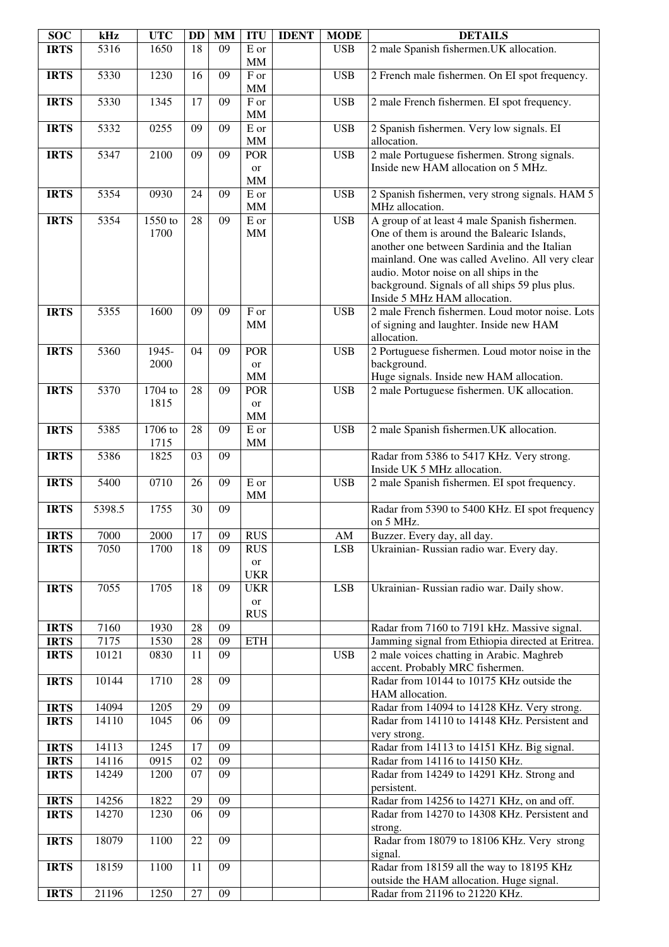| <b>SOC</b>                 | kHz           | <b>UTC</b>      | DD       | <b>MM</b>       | <b>ITU</b>                            | <b>IDENT</b> | <b>MODE</b> | <b>DETAILS</b>                                                                                                                                                                                                                                                                                                               |
|----------------------------|---------------|-----------------|----------|-----------------|---------------------------------------|--------------|-------------|------------------------------------------------------------------------------------------------------------------------------------------------------------------------------------------------------------------------------------------------------------------------------------------------------------------------------|
| <b>IRTS</b>                | 5316          | 1650            | 18       | 09              | E or<br>$\text{MM}{}$                 |              | <b>USB</b>  | 2 male Spanish fishermen. UK allocation.                                                                                                                                                                                                                                                                                     |
| <b>IRTS</b>                | 5330          | 1230            | 16       | 09              | F or<br>MM                            |              | <b>USB</b>  | 2 French male fishermen. On EI spot frequency.                                                                                                                                                                                                                                                                               |
| <b>IRTS</b>                | 5330          | 1345            | 17       | 09              | F or<br><b>MM</b>                     |              | <b>USB</b>  | 2 male French fishermen. EI spot frequency.                                                                                                                                                                                                                                                                                  |
| <b>IRTS</b>                | 5332          | 0255            | 09       | 09              | E or<br>$\text{MM}{}$                 |              | <b>USB</b>  | 2 Spanish fishermen. Very low signals. EI<br>allocation.                                                                                                                                                                                                                                                                     |
| <b>IRTS</b>                | 5347          | 2100            | 09       | 09              | <b>POR</b>                            |              | <b>USB</b>  | 2 male Portuguese fishermen. Strong signals.                                                                                                                                                                                                                                                                                 |
|                            |               |                 |          |                 | or<br><b>MM</b>                       |              |             | Inside new HAM allocation on 5 MHz.                                                                                                                                                                                                                                                                                          |
| <b>IRTS</b>                | 5354          | 0930            | 24       | 09              | E or<br>$\mbox{MM}$                   |              | <b>USB</b>  | 2 Spanish fishermen, very strong signals. HAM 5<br>MHz allocation.                                                                                                                                                                                                                                                           |
| <b>IRTS</b>                | 5354          | 1550 to<br>1700 | 28       | 09              | $\mathbf E$ or<br>$\text{MM}{}$       |              | <b>USB</b>  | A group of at least 4 male Spanish fishermen.<br>One of them is around the Balearic Islands,<br>another one between Sardinia and the Italian<br>mainland. One was called Avelino. All very clear<br>audio. Motor noise on all ships in the<br>background. Signals of all ships 59 plus plus.<br>Inside 5 MHz HAM allocation. |
| <b>IRTS</b>                | 5355          | 1600            | 09       | 09              | $\rm F$ or<br><b>MM</b>               |              | <b>USB</b>  | 2 male French fishermen. Loud motor noise. Lots<br>of signing and laughter. Inside new HAM<br>allocation.                                                                                                                                                                                                                    |
| <b>IRTS</b>                | 5360          | 1945-<br>2000   | 04       | 09              | <b>POR</b><br><b>or</b>               |              | <b>USB</b>  | 2 Portuguese fishermen. Loud motor noise in the<br>background.                                                                                                                                                                                                                                                               |
|                            |               |                 |          |                 | <b>MM</b>                             |              |             | Huge signals. Inside new HAM allocation.                                                                                                                                                                                                                                                                                     |
| <b>IRTS</b>                | 5370          | 1704 to<br>1815 | 28       | 09              | POR<br><b>or</b><br>MM                |              | <b>USB</b>  | 2 male Portuguese fishermen. UK allocation.                                                                                                                                                                                                                                                                                  |
| <b>IRTS</b>                | 5385          | 1706 to<br>1715 | 28       | 09              | E or<br>$\mbox{MM}$                   |              | <b>USB</b>  | 2 male Spanish fishermen. UK allocation.                                                                                                                                                                                                                                                                                     |
| <b>IRTS</b>                | 5386          | 1825            | 03       | 09              |                                       |              |             | Radar from 5386 to 5417 KHz. Very strong.<br>Inside UK 5 MHz allocation.                                                                                                                                                                                                                                                     |
| <b>IRTS</b>                | 5400          | 0710            | 26       | 09              | E or<br>$\text{MM}{}$                 |              | <b>USB</b>  | 2 male Spanish fishermen. El spot frequency.                                                                                                                                                                                                                                                                                 |
| <b>IRTS</b>                | 5398.5        | 1755            | 30       | 09              |                                       |              |             | Radar from 5390 to 5400 KHz. EI spot frequency<br>on 5 MHz.                                                                                                                                                                                                                                                                  |
| <b>IRTS</b>                | 7000          | 2000            | 17       | 09              | <b>RUS</b>                            |              | AM          | Buzzer. Every day, all day.                                                                                                                                                                                                                                                                                                  |
| <b>IRTS</b>                | 7050          | 1700            | 18       | 09              | <b>RUS</b><br>or<br><b>UKR</b>        |              | <b>LSB</b>  | Ukrainian- Russian radio war. Every day.                                                                                                                                                                                                                                                                                     |
| <b>IRTS</b>                | 7055          | 1705            | 18       | 09              | <b>UKR</b><br><b>or</b><br><b>RUS</b> |              | <b>LSB</b>  | Ukrainian- Russian radio war. Daily show.                                                                                                                                                                                                                                                                                    |
| <b>IRTS</b>                | 7160          | 1930            | 28       | 09              |                                       |              |             | Radar from 7160 to 7191 kHz. Massive signal.                                                                                                                                                                                                                                                                                 |
| <b>IRTS</b><br><b>IRTS</b> | 7175<br>10121 | 1530<br>0830    | 28<br>11 | 09<br>09        | <b>ETH</b>                            |              | <b>USB</b>  | Jamming signal from Ethiopia directed at Eritrea.<br>2 male voices chatting in Arabic. Maghreb                                                                                                                                                                                                                               |
| <b>IRTS</b>                | 10144         | 1710            | 28       | 09              |                                       |              |             | accent. Probably MRC fishermen.<br>Radar from 10144 to 10175 KHz outside the<br>HAM allocation.                                                                                                                                                                                                                              |
| <b>IRTS</b>                | 14094         | 1205            | 29       | 09              |                                       |              |             | Radar from 14094 to 14128 KHz. Very strong.                                                                                                                                                                                                                                                                                  |
| <b>IRTS</b>                | 14110         | 1045            | 06       | 09              |                                       |              |             | Radar from 14110 to 14148 KHz. Persistent and<br>very strong.                                                                                                                                                                                                                                                                |
| <b>IRTS</b>                | 14113         | 1245            | 17       | 09              |                                       |              |             | Radar from 14113 to 14151 KHz. Big signal.                                                                                                                                                                                                                                                                                   |
| <b>IRTS</b>                | 14116         | 0915            | 02       | 09              |                                       |              |             | Radar from 14116 to 14150 KHz.                                                                                                                                                                                                                                                                                               |
| <b>IRTS</b>                | 14249         | 1200            | 07       | 09              |                                       |              |             | Radar from 14249 to 14291 KHz. Strong and<br>persistent.                                                                                                                                                                                                                                                                     |
| <b>IRTS</b>                | 14256         | 1822            | 29       | $\overline{09}$ |                                       |              |             | Radar from 14256 to 14271 KHz, on and off.                                                                                                                                                                                                                                                                                   |
| <b>IRTS</b>                | 14270         | 1230            | 06       | $\overline{09}$ |                                       |              |             | Radar from 14270 to 14308 KHz. Persistent and<br>strong.                                                                                                                                                                                                                                                                     |
| <b>IRTS</b>                | 18079         | 1100            | 22       | $\overline{09}$ |                                       |              |             | Radar from 18079 to 18106 KHz. Very strong<br>signal.                                                                                                                                                                                                                                                                        |
| <b>IRTS</b>                | 18159         | 1100            | 11       | 09              |                                       |              |             | Radar from 18159 all the way to 18195 KHz<br>outside the HAM allocation. Huge signal.                                                                                                                                                                                                                                        |
| <b>IRTS</b>                | 21196         | 1250            | 27       | 09              |                                       |              |             | Radar from 21196 to 21220 KHz.                                                                                                                                                                                                                                                                                               |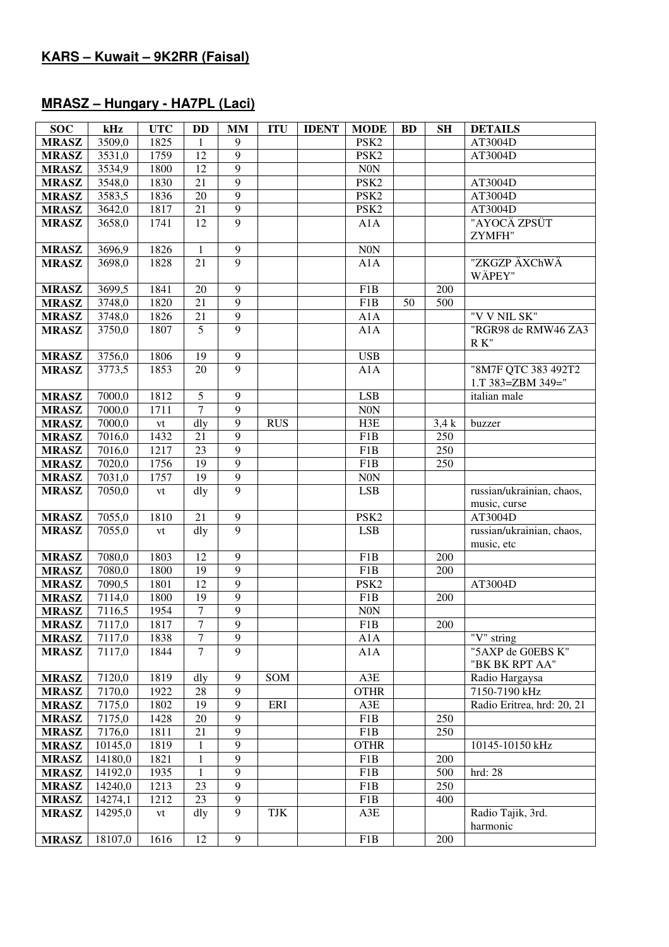#### **MRASZ – Hungary - HA7PL (Laci)**

| <b>SOC</b>                   | kHz                | <b>UTC</b>            | <b>DD</b>                    | $\mathbf{MM}$                      | <b>ITU</b> | <b>IDENT</b> | <b>MODE</b>        | <b>BD</b> | <b>SH</b> | <b>DETAILS</b>                    |
|------------------------------|--------------------|-----------------------|------------------------------|------------------------------------|------------|--------------|--------------------|-----------|-----------|-----------------------------------|
| <b>MRASZ</b>                 | 3509,0             | 1825                  | 1                            | 9                                  |            |              | PSK <sub>2</sub>   |           |           | AT3004D                           |
| <b>MRASZ</b>                 | 3531,0             | 1759                  | 12                           | $\overline{9}$                     |            |              | PSK <sub>2</sub>   |           |           | AT3004D                           |
| <b>MRASZ</b>                 | 3534,9             | 1800                  | 12                           | $\overline{9}$                     |            |              | $\rm{N0N}$         |           |           |                                   |
| <b>MRASZ</b>                 | 3548,0             | 1830                  | 21                           | $\overline{9}$                     |            |              | PSK <sub>2</sub>   |           |           | AT3004D                           |
| <b>MRASZ</b>                 | 3583,5             | 1836                  | 20                           | $\overline{9}$                     |            |              | PSK <sub>2</sub>   |           |           | AT3004D                           |
| <b>MRASZ</b>                 | 3642,0             | 1817                  | 21                           | $\overline{9}$                     |            |              | PSK <sub>2</sub>   |           |           | AT3004D                           |
| <b>MRASZ</b>                 | 3658,0             | 1741                  | 12                           | $\overline{9}$                     |            |              | A1A                |           |           | "AYOCÄ ZPSÜT                      |
|                              |                    |                       |                              |                                    |            |              |                    |           |           | ZYMFH"                            |
| <b>MRASZ</b>                 | 3696,9             | 1826                  | 1                            | $\overline{9}$                     |            |              | <b>N0N</b>         |           |           |                                   |
| <b>MRASZ</b>                 | 3698,0             | 1828                  | 21                           | 9                                  |            |              | A1A                |           |           | "ZKGZP ÄXChWÄ                     |
|                              |                    |                       |                              |                                    |            |              |                    |           |           | WÄPEY"                            |
| <b>MRASZ</b>                 | 3699,5             | 1841                  | 20                           | 9                                  |            |              | F1B                |           | 200       |                                   |
| <b>MRASZ</b>                 | 3748,0             | 1820                  | 21                           | $\overline{9}$                     |            |              | F <sub>1</sub> B   | 50        | 500       |                                   |
| <b>MRASZ</b>                 | 3748,0             | 1826                  | 21                           | $\overline{9}$                     |            |              | A1A                |           |           | "V V NIL SK"                      |
| <b>MRASZ</b>                 | 3750,0             | 1807                  | 5                            | $\overline{9}$                     |            |              | A1A                |           |           | "RGR98 de RMW46 ZA3               |
|                              |                    |                       |                              |                                    |            |              |                    |           |           | $R K$ "                           |
| <b>MRASZ</b>                 | 3756,0             | 1806                  | 19                           | $\boldsymbol{9}$<br>$\overline{9}$ |            |              | <b>USB</b>         |           |           |                                   |
| <b>MRASZ</b>                 | 3773,5             | 1853                  | 20                           |                                    |            |              | A1A                |           |           | "8M7F QTC 383 492T2               |
|                              | 7000,0             |                       | $\overline{5}$               | 9                                  |            |              | <b>LSB</b>         |           |           | 1.T 383=ZBM 349="<br>italian male |
| <b>MRASZ</b><br><b>MRASZ</b> | 7000,0             | 1812<br>1711          | $\overline{7}$               | $\overline{9}$                     |            |              | $\rm{NON}$         |           |           |                                   |
| <b>MRASZ</b>                 | 7000,0             |                       | dly                          | $\overline{9}$                     | <b>RUS</b> |              | H3E                |           | 3.4k      | buzzer                            |
| <b>MRASZ</b>                 | 7016,0             | $\mathrm{vt}$<br>1432 | 21                           | $\overline{9}$                     |            |              | F1B                |           | 250       |                                   |
| <b>MRASZ</b>                 | 7016,0             | 1217                  | 23                           | $\overline{9}$                     |            |              | F1B                |           | 250       |                                   |
| <b>MRASZ</b>                 | 7020,0             | 1756                  | 19                           | $\overline{9}$                     |            |              | F1B                |           | 250       |                                   |
| <b>MRASZ</b>                 | 7031,0             | 1757                  | 19                           | $\overline{9}$                     |            |              | N0N                |           |           |                                   |
| <b>MRASZ</b>                 | 7050,0             | ${\rm vt}$            | dly                          | $\overline{9}$                     |            |              | <b>LSB</b>         |           |           | russian/ukrainian, chaos,         |
|                              |                    |                       |                              |                                    |            |              |                    |           |           | music, curse                      |
| <b>MRASZ</b>                 | 7055,0             | 1810                  | 21                           | $\mathbf{9}$                       |            |              | PSK <sub>2</sub>   |           |           | AT3004D                           |
| <b>MRASZ</b>                 | 7055,0             | vt                    | dly                          | $\overline{9}$                     |            |              | <b>LSB</b>         |           |           | russian/ukrainian, chaos,         |
|                              |                    |                       |                              |                                    |            |              |                    |           |           | music, etc                        |
| <b>MRASZ</b>                 | 7080,0             | 1803                  | 12                           | $\overline{9}$                     |            |              | F1B                |           | 200       |                                   |
| <b>MRASZ</b>                 | 7080,0             | 1800                  | 19                           | $\overline{9}$                     |            |              | F1B                |           | 200       |                                   |
| <b>MRASZ</b>                 | 7090,5             | 1801                  | 12                           | $\overline{9}$                     |            |              | PSK <sub>2</sub>   |           |           | AT3004D                           |
| <b>MRASZ</b>                 | 7114,0             | 1800                  | 19                           | $\overline{9}$                     |            |              | F1B                |           | 200       |                                   |
| <b>MRASZ</b>                 | 7116,5             | 1954                  | 7                            | $\overline{9}$                     |            |              | <b>N0N</b>         |           |           |                                   |
| <b>MRASZ</b>                 | 7117,0             | 1817                  | $\overline{7}$               | $\overline{9}$                     |            |              | F1B                |           | 200       |                                   |
| <b>MRASZ</b>                 | 7117,0             | 1838                  | $\overline{7}$               | 9                                  |            |              | A1A                |           |           | "V" string                        |
| <b>MRASZ</b>                 | 7117,0             | 1844                  | $\overline{7}$               | $\overline{9}$                     |            |              | A1A                |           |           | "5AXP de G0EBS K"                 |
|                              |                    |                       |                              |                                    |            |              |                    |           |           | "BK BK RPT AA"                    |
| <b>MRASZ</b>                 | 7120,0             | 1819                  | dly                          | 9                                  | SOM        |              | $A3E$              |           |           | Radio Hargaysa                    |
| <b>MRASZ</b>                 | 7170,0             | 1922                  | 28                           | 9                                  |            |              | <b>OTHR</b>        |           |           | 7150-7190 kHz                     |
| <b>MRASZ</b>                 | 7175,0             | 1802                  | 19                           | 9                                  | ERI        |              | A3E                |           |           | Radio Eritrea, hrd: 20, 21        |
| <b>MRASZ</b>                 | 7175,0             | 1428                  | 20                           | 9                                  |            |              | F1B                |           | 250       |                                   |
| <b>MRASZ</b>                 | 7176,0             | 1811                  | 21                           | $\overline{9}$<br>$\overline{9}$   |            |              | F1B                |           | 250       |                                   |
| <b>MRASZ</b>                 | 10145,0            | 1819<br>1821          | $\mathbf{1}$<br>$\mathbf{1}$ | $\overline{9}$                     |            |              | <b>OTHR</b><br>F1B |           | 200       | 10145-10150 kHz                   |
| <b>MRASZ</b><br><b>MRASZ</b> | 14180,0<br>14192,0 | 1935                  | $\mathbf{1}$                 | $\overline{9}$                     |            |              | F1B                |           | 500       | hrd: 28                           |
| <b>MRASZ</b>                 | 14240,0            | 1213                  | $\overline{23}$              | $\overline{9}$                     |            |              | F1B                |           | 250       |                                   |
| <b>MRASZ</b>                 | 14274,1            | 1212                  | $\overline{23}$              | $\overline{9}$                     |            |              | F1B                |           | 400       |                                   |
| <b>MRASZ</b>                 | 14295,0            | vt                    | dly                          | $\overline{9}$                     | TJK        |              | A3E                |           |           | Radio Tajik, 3rd.                 |
|                              |                    |                       |                              |                                    |            |              |                    |           |           | harmonic                          |
| <b>MRASZ</b>                 | 18107,0            | 1616                  | 12                           | $\mathbf{9}$                       |            |              | F1B                |           | 200       |                                   |
|                              |                    |                       |                              |                                    |            |              |                    |           |           |                                   |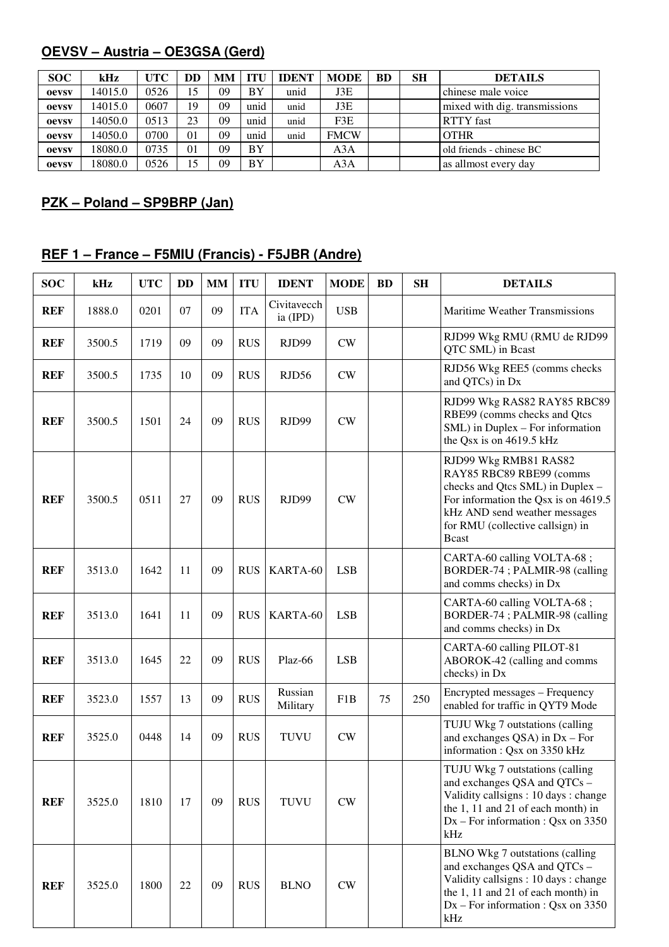# **OEVSV – Austria – OE3GSA (Gerd)**

| <b>SOC</b> | kHz     | <b>UTC</b> | DD | <b>MM</b> | TTU. | <b>IDENT</b> | <b>MODE</b> | <b>BD</b> | SН | <b>DETAILS</b>                |
|------------|---------|------------|----|-----------|------|--------------|-------------|-----------|----|-------------------------------|
| oevsv      | 14015.0 | 0526       | 15 | 09        | BY   | unid         | J3E         |           |    | chinese male voice            |
| oevsv      | 14015.0 | 0607       | 19 | 09        | unid | unid         | J3E         |           |    | mixed with dig. transmissions |
| oevsv      | 14050.0 | 0513       | 23 | 09        | unid | unid         | F3E         |           |    | <b>RTTY</b> fast              |
| oevsv      | 14050.0 | 0700       | 01 | 09        | unid | unid         | <b>FMCW</b> |           |    | <b>OTHR</b>                   |
| oevsv      | 18080.0 | 0735       | 01 | 09        | BY   |              | A3A         |           |    | old friends - chinese BC      |
| oevsv      | 18080.0 | 0526       | 15 | 09        | BY   |              | A3A         |           |    | as allmost every day          |

# **PZK – Poland – SP9BRP (Jan)**

# **REF 1 – France – F5MIU (Francis) - F5JBR (Andre)**

| <b>SOC</b> | kHz    | <b>UTC</b> | <b>DD</b> | <b>MM</b> | <b>ITU</b> | <b>IDENT</b>            | <b>MODE</b>   | <b>BD</b> | <b>SH</b> | <b>DETAILS</b>                                                                                                                                                                                                      |
|------------|--------|------------|-----------|-----------|------------|-------------------------|---------------|-----------|-----------|---------------------------------------------------------------------------------------------------------------------------------------------------------------------------------------------------------------------|
| <b>REF</b> | 1888.0 | 0201       | 07        | 09        | <b>ITA</b> | Civitavecch<br>ia (IPD) | <b>USB</b>    |           |           | <b>Maritime Weather Transmissions</b>                                                                                                                                                                               |
| <b>REF</b> | 3500.5 | 1719       | 09        | 09        | <b>RUS</b> | RJD99                   | CW            |           |           | RJD99 Wkg RMU (RMU de RJD99<br>QTC SML) in Bcast                                                                                                                                                                    |
| <b>REF</b> | 3500.5 | 1735       | 10        | 09        | <b>RUS</b> | RJD56                   | ${\rm\bf CW}$ |           |           | RJD56 Wkg REE5 (comms checks<br>and QTCs) in Dx                                                                                                                                                                     |
| <b>REF</b> | 3500.5 | 1501       | 24        | 09        | <b>RUS</b> | RJD99                   | CW            |           |           | RJD99 Wkg RAS82 RAY85 RBC89<br>RBE99 (comms checks and Qtcs<br>SML) in Duplex - For information<br>the Qsx is on 4619.5 kHz                                                                                         |
| <b>REF</b> | 3500.5 | 0511       | 27        | 09        | <b>RUS</b> | RJD99                   | CW            |           |           | RJD99 Wkg RMB81 RAS82<br>RAY85 RBC89 RBE99 (comms<br>checks and Qtcs SML) in Duplex -<br>For information the Qsx is on 4619.5<br>kHz AND send weather messages<br>for RMU (collective callsign) in<br><b>B</b> cast |
| <b>REF</b> | 3513.0 | 1642       | 11        | 09        | <b>RUS</b> | KARTA-60                | <b>LSB</b>    |           |           | CARTA-60 calling VOLTA-68;<br>BORDER-74; PALMIR-98 (calling<br>and comms checks) in Dx                                                                                                                              |
| <b>REF</b> | 3513.0 | 1641       | 11        | 09        | <b>RUS</b> | KARTA-60                | <b>LSB</b>    |           |           | CARTA-60 calling VOLTA-68;<br>BORDER-74; PALMIR-98 (calling<br>and comms checks) in Dx                                                                                                                              |
| <b>REF</b> | 3513.0 | 1645       | 22        | 09        | <b>RUS</b> | Plaz-66                 | <b>LSB</b>    |           |           | CARTA-60 calling PILOT-81<br>ABOROK-42 (calling and comms<br>checks) in Dx                                                                                                                                          |
| <b>REF</b> | 3523.0 | 1557       | 13        | 09        | <b>RUS</b> | Russian<br>Military     | F1B           | 75        | 250       | Encrypted messages - Frequency<br>enabled for traffic in QYT9 Mode                                                                                                                                                  |
| <b>REF</b> | 3525.0 | 0448       | 14        | 09        | <b>RUS</b> | <b>TUVU</b>             | CW            |           |           | TUJU Wkg 7 outstations (calling<br>and exchanges $QSA$ ) in $Dx$ – For<br>information: Qsx on 3350 kHz                                                                                                              |
| <b>REF</b> | 3525.0 | 1810       | 17        | 09        | <b>RUS</b> | <b>TUVU</b>             | $\mathrm{CW}$ |           |           | TUJU Wkg 7 outstations (calling<br>and exchanges QSA and QTCs -<br>Validity callsigns: 10 days: change<br>the 1, 11 and 21 of each month) in<br>$Dx$ – For information : Qsx on 3350<br>kHz                         |
| <b>REF</b> | 3525.0 | 1800       | 22        | 09        | <b>RUS</b> | <b>BLNO</b>             | CW            |           |           | <b>BLNO</b> Wkg 7 outstations (calling<br>and exchanges QSA and QTCs -<br>Validity callsigns: 10 days: change<br>the 1, 11 and 21 of each month) in<br>$Dx$ – For information : Qsx on 3350<br>kHz                  |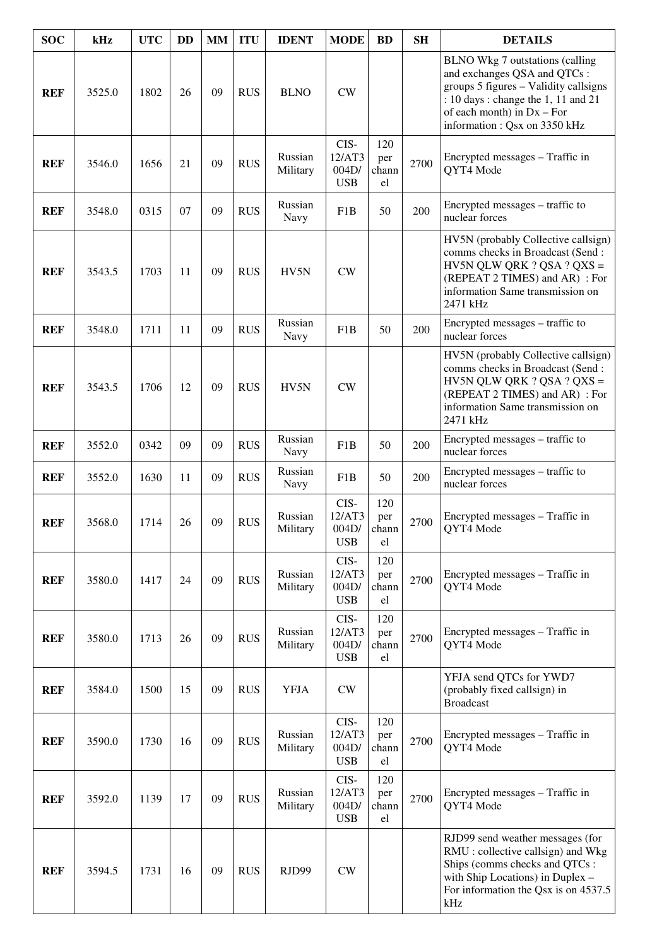| <b>SOC</b> | kHz    | <b>UTC</b> | <b>DD</b> | <b>MM</b> | <b>ITU</b> | <b>IDENT</b>           | <b>MODE</b>                           | <b>BD</b>                 | <b>SH</b> | <b>DETAILS</b>                                                                                                                                                                                                 |
|------------|--------|------------|-----------|-----------|------------|------------------------|---------------------------------------|---------------------------|-----------|----------------------------------------------------------------------------------------------------------------------------------------------------------------------------------------------------------------|
| <b>REF</b> | 3525.0 | 1802       | 26        | 09        | <b>RUS</b> | <b>BLNO</b>            | CW                                    |                           |           | BLNO Wkg 7 outstations (calling<br>and exchanges QSA and QTCs:<br>groups 5 figures - Validity callsigns<br>: 10 days : change the 1, 11 and 21<br>of each month) in $Dx - For$<br>information: Qsx on 3350 kHz |
| <b>REF</b> | 3546.0 | 1656       | 21        | 09        | <b>RUS</b> | Russian<br>Military    | CIS-<br>12/AT3<br>004D/<br><b>USB</b> | 120<br>per<br>chann<br>el | 2700      | Encrypted messages – Traffic in<br>QYT4 Mode                                                                                                                                                                   |
| <b>REF</b> | 3548.0 | 0315       | 07        | 09        | <b>RUS</b> | Russian<br>Navy        | F1B                                   | 50                        | 200       | Encrypted messages – traffic to<br>nuclear forces                                                                                                                                                              |
| <b>REF</b> | 3543.5 | 1703       | 11        | 09        | <b>RUS</b> | HV5N                   | CW                                    |                           |           | HV5N (probably Collective callsign)<br>comms checks in Broadcast (Send:<br>HV5N QLW QRK ? QSA ? QXS =<br>(REPEAT 2 TIMES) and AR) : For<br>information Same transmission on<br>2471 kHz                        |
| <b>REF</b> | 3548.0 | 1711       | 11        | 09        | <b>RUS</b> | Russian<br>Navy        | F <sub>1</sub> B                      | 50                        | 200       | Encrypted messages - traffic to<br>nuclear forces                                                                                                                                                              |
| <b>REF</b> | 3543.5 | 1706       | 12        | 09        | <b>RUS</b> | HV5N                   | CW                                    |                           |           | HV5N (probably Collective callsign)<br>comms checks in Broadcast (Send:<br>HV5N QLW QRK ? QSA ? QXS =<br>(REPEAT 2 TIMES) and AR) : For<br>information Same transmission on<br>2471 kHz                        |
| <b>REF</b> | 3552.0 | 0342       | 09        | 09        | <b>RUS</b> | Russian<br><b>Navy</b> | F <sub>1</sub> B                      | 50                        | 200       | Encrypted messages – traffic to<br>nuclear forces                                                                                                                                                              |
| <b>REF</b> | 3552.0 | 1630       | 11        | 09        | <b>RUS</b> | Russian<br>Navy        | F1B                                   | 50                        | 200       | Encrypted messages – traffic to<br>nuclear forces                                                                                                                                                              |
| <b>REF</b> | 3568.0 | 1714       | 26        | 09        | <b>RUS</b> | Russian<br>Military    | CIS-<br>12/AT3<br>004D/<br><b>USB</b> | 120<br>per<br>chann<br>el | 2700      | Encrypted messages – Traffic in<br><b>OYT4 Mode</b>                                                                                                                                                            |
| <b>REF</b> | 3580.0 | 1417       | 24        | 09        | <b>RUS</b> | Russian<br>Military    | CIS-<br>12/AT3<br>004D/<br><b>USB</b> | 120<br>per<br>chann<br>el | 2700      | Encrypted messages - Traffic in<br>QYT4 Mode                                                                                                                                                                   |
| <b>REF</b> | 3580.0 | 1713       | 26        | 09        | <b>RUS</b> | Russian<br>Military    | CIS-<br>12/AT3<br>004D/<br><b>USB</b> | 120<br>per<br>chann<br>el | 2700      | Encrypted messages – Traffic in<br>QYT4 Mode                                                                                                                                                                   |
| <b>REF</b> | 3584.0 | 1500       | 15        | 09        | <b>RUS</b> | <b>YFJA</b>            | CW                                    |                           |           | YFJA send QTCs for YWD7<br>(probably fixed callsign) in<br><b>Broadcast</b>                                                                                                                                    |
| <b>REF</b> | 3590.0 | 1730       | 16        | 09        | <b>RUS</b> | Russian<br>Military    | CIS-<br>12/AT3<br>004D/<br><b>USB</b> | 120<br>per<br>chann<br>el | 2700      | Encrypted messages - Traffic in<br>QYT4 Mode                                                                                                                                                                   |
| <b>REF</b> | 3592.0 | 1139       | 17        | 09        | <b>RUS</b> | Russian<br>Military    | CIS-<br>12/AT3<br>004D/<br><b>USB</b> | 120<br>per<br>chann<br>el | 2700      | Encrypted messages – Traffic in<br>QYT4 Mode                                                                                                                                                                   |
| <b>REF</b> | 3594.5 | 1731       | 16        | 09        | <b>RUS</b> | RJD99                  | CW                                    |                           |           | RJD99 send weather messages (for<br>RMU : collective callsign) and Wkg<br>Ships (comms checks and QTCs:<br>with Ship Locations) in Duplex -<br>For information the Qsx is on 4537.5<br>kHz                     |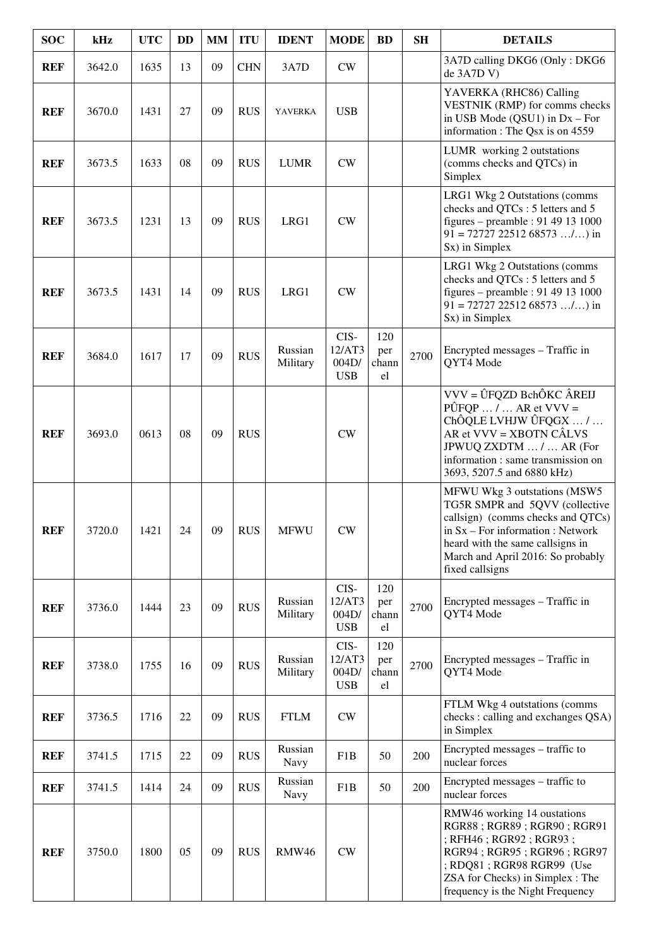| <b>SOC</b> | kHz    | <b>UTC</b> | <b>DD</b> | <b>MM</b> | <b>ITU</b> | <b>IDENT</b>        | <b>MODE</b>                           | <b>BD</b>                 | <b>SH</b> | <b>DETAILS</b>                                                                                                                                                                                                                         |
|------------|--------|------------|-----------|-----------|------------|---------------------|---------------------------------------|---------------------------|-----------|----------------------------------------------------------------------------------------------------------------------------------------------------------------------------------------------------------------------------------------|
| <b>REF</b> | 3642.0 | 1635       | 13        | 09        | <b>CHN</b> | 3A7D                | <b>CW</b>                             |                           |           | 3A7D calling DKG6 (Only: DKG6<br>de 3A7D V)                                                                                                                                                                                            |
| <b>REF</b> | 3670.0 | 1431       | 27        | 09        | <b>RUS</b> | <b>YAVERKA</b>      | <b>USB</b>                            |                           |           | YAVERKA (RHC86) Calling<br>VESTNIK (RMP) for comms checks<br>in USB Mode $(QSU1)$ in $Dx$ – For<br>information : The Qsx is on 4559                                                                                                    |
| <b>REF</b> | 3673.5 | 1633       | 08        | 09        | <b>RUS</b> | <b>LUMR</b>         | <b>CW</b>                             |                           |           | LUMR working 2 outstations<br>(comms checks and QTCs) in<br>Simplex                                                                                                                                                                    |
| <b>REF</b> | 3673.5 | 1231       | 13        | 09        | <b>RUS</b> | LRG1                | CW                                    |                           |           | LRG1 Wkg 2 Outstations (comms<br>checks and QTCs : 5 letters and 5<br>figures – preamble : 91 49 13 1000<br>$91 = 72727 22512 68573 /$ ) in<br>Sx) in Simplex                                                                          |
| <b>REF</b> | 3673.5 | 1431       | 14        | 09        | <b>RUS</b> | LRG1                | <b>CW</b>                             |                           |           | LRG1 Wkg 2 Outstations (comms<br>checks and QTCs : 5 letters and 5<br>figures – preamble : 91 49 13 1000<br>$91 = 72727 22512 68573 /$ ) in<br>Sx) in Simplex                                                                          |
| <b>REF</b> | 3684.0 | 1617       | 17        | 09        | <b>RUS</b> | Russian<br>Military | CIS-<br>12/AT3<br>004D/<br><b>USB</b> | 120<br>per<br>chann<br>el | 2700      | Encrypted messages - Traffic in<br>QYT4 Mode                                                                                                                                                                                           |
| <b>REF</b> | 3693.0 | 0613       | 08        | 09        | <b>RUS</b> |                     | CW                                    |                           |           | VVV = ÛFQZD BchÔKC ÂREIJ<br>$\angle$ PÛFQP  /  AR et VVV =<br>ChÔQLE LVHJW ÛFQGX  /<br>AR et VVV = XBOTN CÂLVS<br>JPWUQ ZXDTM  /  AR (For<br>information : same transmission on<br>3693, 5207.5 and 6880 kHz)                          |
| <b>REF</b> | 3720.0 | 1421       | 24        | 09        | <b>RUS</b> | <b>MFWU</b>         | CW                                    |                           |           | MFWU Wkg 3 outstations (MSW5<br>TG5R SMPR and 5QVV (collective<br>callsign) (comms checks and QTCs)<br>in $Sx$ – For information : Network<br>heard with the same callsigns in<br>March and April 2016: So probably<br>fixed callsigns |
| <b>REF</b> | 3736.0 | 1444       | 23        | 09        | <b>RUS</b> | Russian<br>Military | CIS-<br>12/AT3<br>004D/<br><b>USB</b> | 120<br>per<br>chann<br>el | 2700      | Encrypted messages - Traffic in<br>QYT4 Mode                                                                                                                                                                                           |
| <b>REF</b> | 3738.0 | 1755       | 16        | 09        | <b>RUS</b> | Russian<br>Military | CIS-<br>12/AT3<br>004D/<br><b>USB</b> | 120<br>per<br>chann<br>el | 2700      | Encrypted messages – Traffic in<br>QYT4 Mode                                                                                                                                                                                           |
| <b>REF</b> | 3736.5 | 1716       | 22        | 09        | <b>RUS</b> | <b>FTLM</b>         | CW                                    |                           |           | FTLM Wkg 4 outstations (comms<br>checks : calling and exchanges QSA)<br>in Simplex                                                                                                                                                     |
| <b>REF</b> | 3741.5 | 1715       | 22        | 09        | <b>RUS</b> | Russian<br>Navy     | F <sub>1</sub> B                      | 50                        | 200       | Encrypted messages – traffic to<br>nuclear forces                                                                                                                                                                                      |
| <b>REF</b> | 3741.5 | 1414       | 24        | 09        | <b>RUS</b> | Russian<br>Navy     | F1B                                   | 50                        | 200       | Encrypted messages – traffic to<br>nuclear forces                                                                                                                                                                                      |
| <b>REF</b> | 3750.0 | 1800       | 05        | 09        | <b>RUS</b> | <b>RMW46</b>        | CW                                    |                           |           | RMW46 working 14 oustations<br>RGR88; RGR89; RGR90; RGR91<br>; RFH46 ; RGR92 ; RGR93 ;<br>RGR94; RGR95; RGR96; RGR97<br>; RDQ81 ; RGR98 RGR99 (Use<br>ZSA for Checks) in Simplex : The<br>frequency is the Night Frequency             |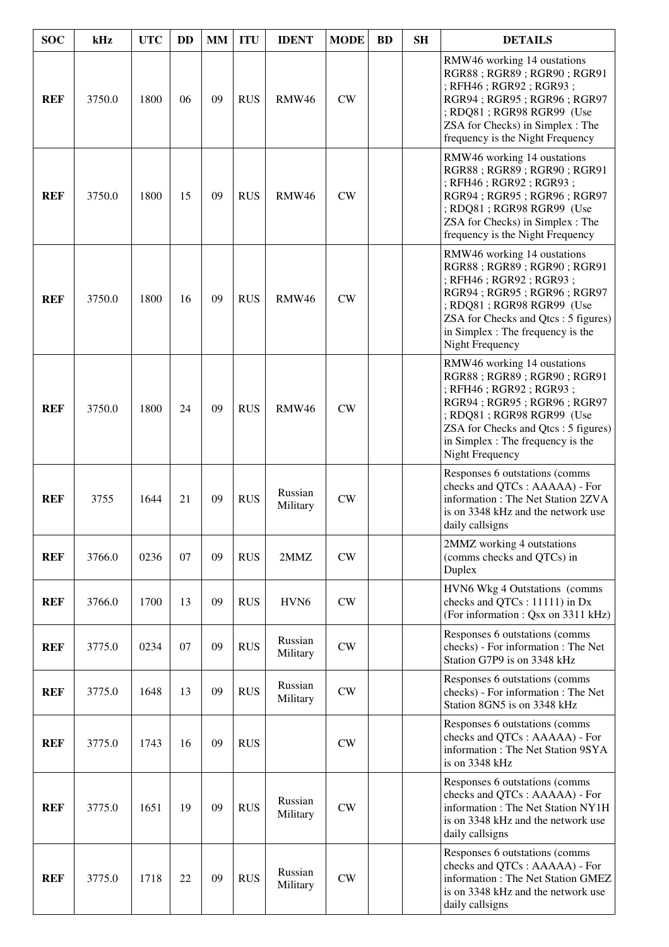| <b>SOC</b> | kHz    | <b>UTC</b> | <b>DD</b> | <b>MM</b> | <b>ITU</b> | <b>IDENT</b>        | <b>MODE</b>   | <b>BD</b> | <b>SH</b> | <b>DETAILS</b>                                                                                                                                                                                                                                            |
|------------|--------|------------|-----------|-----------|------------|---------------------|---------------|-----------|-----------|-----------------------------------------------------------------------------------------------------------------------------------------------------------------------------------------------------------------------------------------------------------|
| <b>REF</b> | 3750.0 | 1800       | 06        | 09        | <b>RUS</b> | <b>RMW46</b>        | CW            |           |           | RMW46 working 14 oustations<br>RGR88; RGR89; RGR90; RGR91<br>; RFH46 ; RGR92 ; RGR93 ;<br>RGR94; RGR95; RGR96; RGR97<br>; RDQ81 ; RGR98 RGR99 (Use<br>ZSA for Checks) in Simplex : The<br>frequency is the Night Frequency                                |
| <b>REF</b> | 3750.0 | 1800       | 15        | 09        | <b>RUS</b> | <b>RMW46</b>        | CW            |           |           | RMW46 working 14 oustations<br>RGR88; RGR89; RGR90; RGR91<br>; RFH46 ; RGR92 ; RGR93 ;<br>RGR94; RGR95; RGR96; RGR97<br>; RDQ81 ; RGR98 RGR99 (Use<br>ZSA for Checks) in Simplex : The<br>frequency is the Night Frequency                                |
| <b>REF</b> | 3750.0 | 1800       | 16        | 09        | <b>RUS</b> | RMW46               | CW            |           |           | RMW46 working 14 oustations<br>RGR88; RGR89; RGR90; RGR91<br>; RFH46 ; RGR92 ; RGR93 ;<br>RGR94; RGR95; RGR96; RGR97<br>; RDQ81 ; RGR98 RGR99 (Use<br>ZSA for Checks and Qtcs : 5 figures)<br>in Simplex : The frequency is the<br><b>Night Frequency</b> |
| <b>REF</b> | 3750.0 | 1800       | 24        | 09        | <b>RUS</b> | <b>RMW46</b>        | CW            |           |           | RMW46 working 14 oustations<br>RGR88; RGR89; RGR90; RGR91<br>; RFH46 ; RGR92 ; RGR93 ;<br>RGR94; RGR95; RGR96; RGR97<br>; RDQ81 ; RGR98 RGR99 (Use<br>ZSA for Checks and Qtcs: 5 figures)<br>in Simplex : The frequency is the<br><b>Night Frequency</b>  |
| <b>REF</b> | 3755   | 1644       | 21        | 09        | <b>RUS</b> | Russian<br>Military | CW            |           |           | Responses 6 outstations (comms<br>checks and QTCs : AAAAA) - For<br>information: The Net Station 2ZVA<br>is on 3348 kHz and the network use<br>daily callsigns                                                                                            |
| <b>REF</b> | 3766.0 | 0236       | 07        | 09        | <b>RUS</b> | 2MMZ                | CW            |           |           | 2MMZ working 4 outstations<br>(comms checks and QTCs) in<br>Duplex                                                                                                                                                                                        |
| <b>REF</b> | 3766.0 | 1700       | 13        | 09        | <b>RUS</b> | HVN <sub>6</sub>    | CW            |           |           | HVN6 Wkg 4 Outstations (comms<br>checks and QTCs : 11111) in Dx<br>(For information: Qsx on 3311 kHz)                                                                                                                                                     |
| <b>REF</b> | 3775.0 | 0234       | 07        | 09        | <b>RUS</b> | Russian<br>Military | CW            |           |           | Responses 6 outstations (comms<br>checks) - For information : The Net<br>Station G7P9 is on 3348 kHz                                                                                                                                                      |
| <b>REF</b> | 3775.0 | 1648       | 13        | 09        | <b>RUS</b> | Russian<br>Military | ${\rm\bf CW}$ |           |           | Responses 6 outstations (comms<br>checks) - For information : The Net<br>Station 8GN5 is on 3348 kHz                                                                                                                                                      |
| <b>REF</b> | 3775.0 | 1743       | 16        | 09        | <b>RUS</b> |                     | CW            |           |           | Responses 6 outstations (comms<br>checks and QTCs : AAAAA) - For<br>information: The Net Station 9SYA<br>is on 3348 kHz                                                                                                                                   |
| <b>REF</b> | 3775.0 | 1651       | 19        | 09        | <b>RUS</b> | Russian<br>Military | CW            |           |           | Responses 6 outstations (comms<br>checks and QTCs : AAAAA) - For<br>information: The Net Station NY1H<br>is on 3348 kHz and the network use<br>daily callsigns                                                                                            |
| <b>REF</b> | 3775.0 | 1718       | 22        | 09        | <b>RUS</b> | Russian<br>Military | CW            |           |           | Responses 6 outstations (comms<br>checks and QTCs : AAAAA) - For<br>information: The Net Station GMEZ<br>is on 3348 kHz and the network use<br>daily callsigns                                                                                            |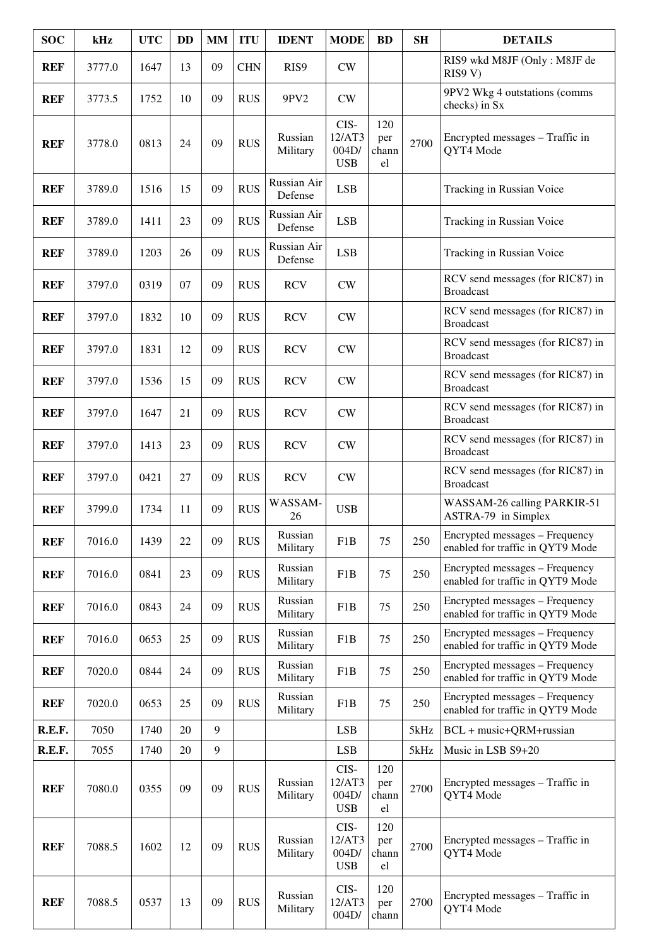| <b>SOC</b> | kHz    | <b>UTC</b> | <b>DD</b> | <b>MM</b> | <b>ITU</b> | <b>IDENT</b>           | <b>MODE</b>                           | <b>BD</b>                 | <b>SH</b> | <b>DETAILS</b>                                                     |
|------------|--------|------------|-----------|-----------|------------|------------------------|---------------------------------------|---------------------------|-----------|--------------------------------------------------------------------|
| <b>REF</b> | 3777.0 | 1647       | 13        | 09        | <b>CHN</b> | RIS9                   | CW                                    |                           |           | RIS9 wkd M8JF (Only: M8JF de<br>RIS9 V)                            |
| <b>REF</b> | 3773.5 | 1752       | 10        | 09        | <b>RUS</b> | 9PV2                   | CW                                    |                           |           | 9PV2 Wkg 4 outstations (comms<br>checks) in Sx                     |
| <b>REF</b> | 3778.0 | 0813       | 24        | 09        | <b>RUS</b> | Russian<br>Military    | CIS-<br>12/AT3<br>004D/<br><b>USB</b> | 120<br>per<br>chann<br>el | 2700      | Encrypted messages - Traffic in<br>QYT4 Mode                       |
| <b>REF</b> | 3789.0 | 1516       | 15        | 09        | <b>RUS</b> | Russian Air<br>Defense | <b>LSB</b>                            |                           |           | Tracking in Russian Voice                                          |
| <b>REF</b> | 3789.0 | 1411       | 23        | 09        | <b>RUS</b> | Russian Air<br>Defense | <b>LSB</b>                            |                           |           | Tracking in Russian Voice                                          |
| <b>REF</b> | 3789.0 | 1203       | 26        | 09        | <b>RUS</b> | Russian Air<br>Defense | <b>LSB</b>                            |                           |           | Tracking in Russian Voice                                          |
| <b>REF</b> | 3797.0 | 0319       | 07        | 09        | <b>RUS</b> | <b>RCV</b>             | CW                                    |                           |           | RCV send messages (for RIC87) in<br><b>Broadcast</b>               |
| <b>REF</b> | 3797.0 | 1832       | 10        | 09        | <b>RUS</b> | <b>RCV</b>             | CW                                    |                           |           | RCV send messages (for RIC87) in<br><b>Broadcast</b>               |
| <b>REF</b> | 3797.0 | 1831       | 12        | 09        | <b>RUS</b> | <b>RCV</b>             | CW                                    |                           |           | RCV send messages (for RIC87) in<br><b>Broadcast</b>               |
| <b>REF</b> | 3797.0 | 1536       | 15        | 09        | <b>RUS</b> | <b>RCV</b>             | CW                                    |                           |           | RCV send messages (for RIC87) in<br><b>Broadcast</b>               |
| <b>REF</b> | 3797.0 | 1647       | 21        | 09        | <b>RUS</b> | <b>RCV</b>             | CW                                    |                           |           | RCV send messages (for RIC87) in<br><b>Broadcast</b>               |
| <b>REF</b> | 3797.0 | 1413       | 23        | 09        | <b>RUS</b> | <b>RCV</b>             | CW                                    |                           |           | RCV send messages (for RIC87) in<br><b>Broadcast</b>               |
| <b>REF</b> | 3797.0 | 0421       | 27        | 09        | <b>RUS</b> | <b>RCV</b>             | <b>CW</b>                             |                           |           | RCV send messages (for RIC87) in<br><b>Broadcast</b>               |
| <b>REF</b> | 3799.0 | 1734       | 11        | 09        | <b>RUS</b> | WASSAM-<br>26          | <b>USB</b>                            |                           |           | WASSAM-26 calling PARKIR-51<br>ASTRA-79 in Simplex                 |
| <b>REF</b> | 7016.0 | 1439       | 22        | 09        | <b>RUS</b> | Russian<br>Military    | F <sub>1</sub> B                      | 75                        | 250       | Encrypted messages - Frequency<br>enabled for traffic in QYT9 Mode |
| <b>REF</b> | 7016.0 | 0841       | 23        | 09        | <b>RUS</b> | Russian<br>Military    | F1B                                   | 75                        | 250       | Encrypted messages - Frequency<br>enabled for traffic in QYT9 Mode |
| <b>REF</b> | 7016.0 | 0843       | 24        | 09        | <b>RUS</b> | Russian<br>Military    | F1B                                   | 75                        | 250       | Encrypted messages – Frequency<br>enabled for traffic in QYT9 Mode |
| <b>REF</b> | 7016.0 | 0653       | 25        | 09        | <b>RUS</b> | Russian<br>Military    | F1B                                   | 75                        | 250       | Encrypted messages – Frequency<br>enabled for traffic in QYT9 Mode |
| <b>REF</b> | 7020.0 | 0844       | 24        | 09        | <b>RUS</b> | Russian<br>Military    | F1B                                   | 75                        | 250       | Encrypted messages – Frequency<br>enabled for traffic in QYT9 Mode |
| <b>REF</b> | 7020.0 | 0653       | 25        | 09        | <b>RUS</b> | Russian<br>Military    | F1B                                   | 75                        | 250       | Encrypted messages - Frequency<br>enabled for traffic in QYT9 Mode |
| R.E.F.     | 7050   | 1740       | 20        | 9         |            |                        | <b>LSB</b>                            |                           | 5kHz      | BCL + music+QRM+russian                                            |
| R.E.F.     | 7055   | 1740       | 20        | 9         |            |                        | LSB                                   |                           | 5kHz      | Music in LSB S9+20                                                 |
| <b>REF</b> | 7080.0 | 0355       | 09        | 09        | <b>RUS</b> | Russian<br>Military    | CIS-<br>12/AT3<br>004D/<br><b>USB</b> | 120<br>per<br>chann<br>el | 2700      | Encrypted messages – Traffic in<br>QYT4 Mode                       |
| <b>REF</b> | 7088.5 | 1602       | 12        | 09        | <b>RUS</b> | Russian<br>Military    | CIS-<br>12/AT3<br>004D/<br><b>USB</b> | 120<br>per<br>chann<br>el | 2700      | Encrypted messages – Traffic in<br>QYT4 Mode                       |
| <b>REF</b> | 7088.5 | 0537       | 13        | 09        | <b>RUS</b> | Russian<br>Military    | CIS-<br>12/AT3<br>004D/               | 120<br>per<br>chann       | 2700      | Encrypted messages – Traffic in<br>QYT4 Mode                       |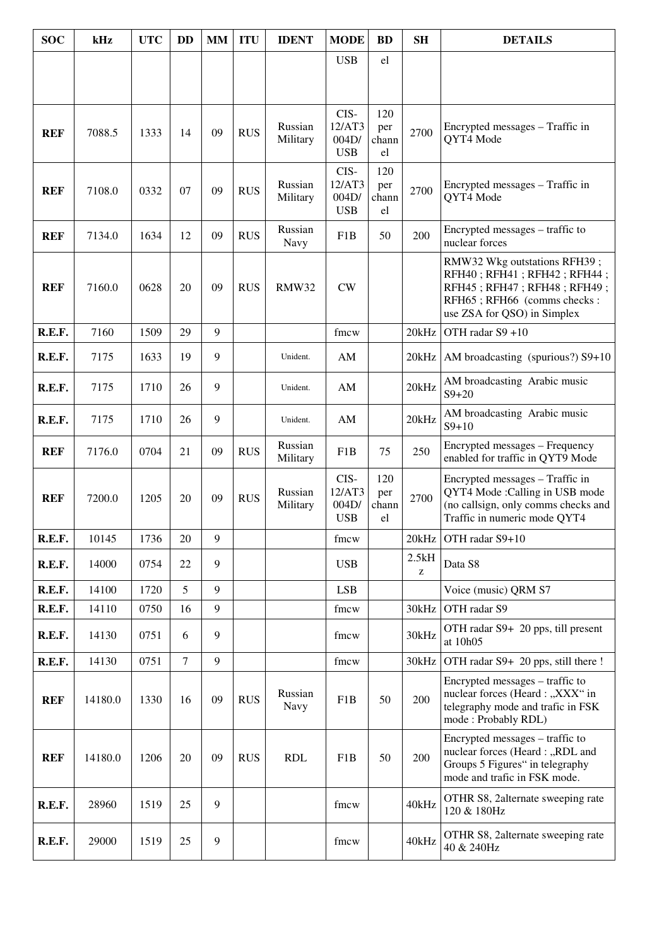| <b>SOC</b> | kHz     | <b>UTC</b> | <b>DD</b>      | <b>MM</b> | <b>ITU</b> | <b>IDENT</b>        | <b>MODE</b>                           | <b>BD</b>                 | <b>SH</b>  | <b>DETAILS</b>                                                                                                                                           |
|------------|---------|------------|----------------|-----------|------------|---------------------|---------------------------------------|---------------------------|------------|----------------------------------------------------------------------------------------------------------------------------------------------------------|
|            |         |            |                |           |            |                     | <b>USB</b>                            | el                        |            |                                                                                                                                                          |
|            |         |            |                |           |            |                     |                                       |                           |            |                                                                                                                                                          |
| <b>REF</b> | 7088.5  | 1333       | 14             | 09        | <b>RUS</b> | Russian<br>Military | CIS-<br>12/AT3<br>004D/<br><b>USB</b> | 120<br>per<br>chann<br>el | 2700       | Encrypted messages - Traffic in<br>QYT4 Mode                                                                                                             |
| <b>REF</b> | 7108.0  | 0332       | 07             | 09        | <b>RUS</b> | Russian<br>Military | CIS-<br>12/AT3<br>004D/<br><b>USB</b> | 120<br>per<br>chann<br>el | 2700       | Encrypted messages – Traffic in<br>QYT4 Mode                                                                                                             |
| <b>REF</b> | 7134.0  | 1634       | 12             | 09        | <b>RUS</b> | Russian<br>Navy     | F <sub>1</sub> B                      | 50                        | 200        | Encrypted messages - traffic to<br>nuclear forces                                                                                                        |
| <b>REF</b> | 7160.0  | 0628       | 20             | 09        | <b>RUS</b> | <b>RMW32</b>        | CW                                    |                           |            | RMW32 Wkg outstations RFH39;<br>RFH40; RFH41; RFH42; RFH44;<br>RFH45; RFH47; RFH48; RFH49;<br>RFH65; RFH66 (comms checks:<br>use ZSA for QSO) in Simplex |
| R.E.F.     | 7160    | 1509       | 29             | 9         |            |                     | fmcw                                  |                           | 20kHz      | OTH radar S9 +10                                                                                                                                         |
| R.E.F.     | 7175    | 1633       | 19             | 9         |            | Unident.            | AM                                    |                           | 20kHz      | AM broadcasting (spurious?) S9+10                                                                                                                        |
| R.E.F.     | 7175    | 1710       | 26             | 9         |            | Unident.            | AM                                    |                           | 20kHz      | AM broadcasting Arabic music<br>$S9 + 20$                                                                                                                |
| R.E.F.     | 7175    | 1710       | 26             | 9         |            | Unident.            | AM                                    |                           | 20kHz      | AM broadcasting Arabic music<br>$S9+10$                                                                                                                  |
| <b>REF</b> | 7176.0  | 0704       | 21             | 09        | <b>RUS</b> | Russian<br>Military | F <sub>1</sub> B                      | 75                        | 250        | Encrypted messages - Frequency<br>enabled for traffic in QYT9 Mode                                                                                       |
| <b>REF</b> | 7200.0  | 1205       | 20             | 09        | <b>RUS</b> | Russian<br>Military | CIS-<br>12/AT3<br>004D/<br><b>USB</b> | 120<br>per<br>chann<br>el | 2700       | Encrypted messages - Traffic in<br>QYT4 Mode: Calling in USB mode<br>(no callsign, only comms checks and<br>Traffic in numeric mode QYT4                 |
| R.E.F.     | 10145   | 1736       | 20             | 9         |            |                     | fmcw                                  |                           | 20kHz      | OTH radar S9+10                                                                                                                                          |
| R.E.F.     | 14000   | 0754       | 22             | 9         |            |                     | <b>USB</b>                            |                           | 2.5kH<br>Z | Data S8                                                                                                                                                  |
| R.E.F.     | 14100   | 1720       | 5              | 9         |            |                     | <b>LSB</b>                            |                           |            | Voice (music) QRM S7                                                                                                                                     |
| R.E.F.     | 14110   | 0750       | 16             | 9         |            |                     | fmcw                                  |                           | 30kHz      | OTH radar S9                                                                                                                                             |
| R.E.F.     | 14130   | 0751       | 6              | 9         |            |                     | fmcw                                  |                           | 30kHz      | OTH radar S9+ 20 pps, till present<br>at 10h05                                                                                                           |
| R.E.F.     | 14130   | 0751       | $\overline{7}$ | 9         |            |                     | fmcw                                  |                           | 30kHz      | OTH radar S9+ 20 pps, still there!                                                                                                                       |
| <b>REF</b> | 14180.0 | 1330       | 16             | 09        | <b>RUS</b> | Russian<br>Navy     | F1B                                   | 50                        | 200        | Encrypted messages – traffic to<br>nuclear forces (Heard: "XXX" in<br>telegraphy mode and trafic in FSK<br>mode: Probably RDL)                           |
| <b>REF</b> | 14180.0 | 1206       | 20             | 09        | <b>RUS</b> | <b>RDL</b>          | F1B                                   | 50                        | 200        | Encrypted messages - traffic to<br>nuclear forces (Heard: "RDL and<br>Groups 5 Figures" in telegraphy<br>mode and trafic in FSK mode.                    |
| R.E.F.     | 28960   | 1519       | 25             | 9         |            |                     | fmcw                                  |                           | 40kHz      | OTHR S8, 2alternate sweeping rate<br>120 & 180Hz                                                                                                         |
| R.E.F.     | 29000   | 1519       | 25             | 9         |            |                     | fmcw                                  |                           | 40kHz      | OTHR S8, 2alternate sweeping rate<br>40 & 240Hz                                                                                                          |
|            |         |            |                |           |            |                     |                                       |                           |            |                                                                                                                                                          |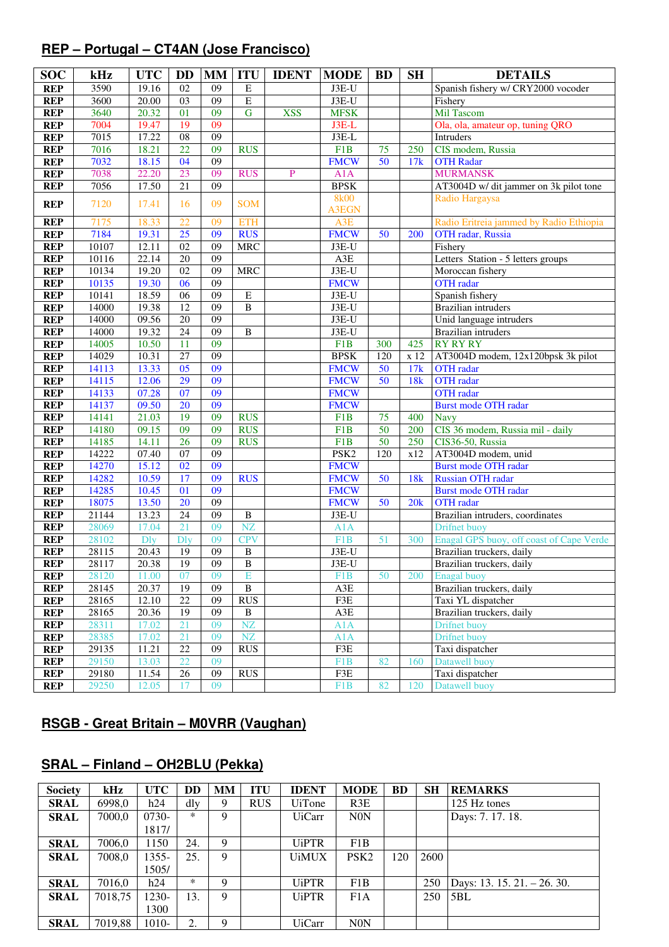# **REP – Portugal – CT4AN (Jose Francisco)**

| <b>SOC</b> | kHz   | <b>UTC</b>  | <b>DD</b>                   | <b>MM</b>       | <b>ITU</b>             | <b>IDENT</b> | <b>MODE</b>                 | <b>BD</b>       | <b>SH</b>       | <b>DETAILS</b>                           |
|------------|-------|-------------|-----------------------------|-----------------|------------------------|--------------|-----------------------------|-----------------|-----------------|------------------------------------------|
| <b>REP</b> | 3590  | 19.16       | 02                          | 09              | E                      |              | $J3E-U$                     |                 |                 | Spanish fishery w/ CRY2000 vocoder       |
| <b>REP</b> | 3600  | 20.00       | 03                          | 09              | $\overline{E}$         |              | $J3E-U$                     |                 |                 | Fishery                                  |
| <b>REP</b> | 3640  | 20.32       | 01                          | 09              | $\mathbf G$            | <b>XSS</b>   | <b>MFSK</b>                 |                 |                 | <b>Mil Tascom</b>                        |
| <b>REP</b> | 7004  | 19.47       | 19                          | 09              |                        |              | $J3E-L$                     |                 |                 | Ola, ola, amateur op, tuning QRO         |
| <b>REP</b> | 7015  | 17.22       | $\overline{08}$             | 09              |                        |              | J3E-L                       |                 |                 | Intruders                                |
| <b>REP</b> | 7016  | 18.21       | 22                          | 09              | <b>RUS</b>             |              | F1B                         | 75              | 250             | CIS modem, Russia                        |
| <b>REP</b> | 7032  | 18.15       | 04                          | 09              |                        |              | <b>FMCW</b>                 | $\overline{50}$ | 17k             | <b>OTH Radar</b>                         |
| <b>REP</b> | 7038  | 22.20       | 23                          | 09              | <b>RUS</b>             | P            | A1A                         |                 |                 | <b>MURMANSK</b>                          |
| <b>REP</b> | 7056  | 17.50       | $\overline{21}$             | $\overline{09}$ |                        |              | <b>BPSK</b>                 |                 |                 | AT3004D w/ dit jammer on 3k pilot tone   |
| <b>REP</b> | 7120  | 17.41       | 16                          | 09              | <b>SOM</b>             |              | <b>8k00</b><br><b>A3EGN</b> |                 |                 | Radio Hargaysa                           |
| <b>REP</b> | 7175  | 18.33       | 22                          | 09              | <b>ETH</b>             |              | A3E                         |                 |                 | Radio Eritreia jammed by Radio Ethiopia  |
| <b>REP</b> | 7184  | 19.31       | 25                          | 09              | <b>RUS</b>             |              | <b>FMCW</b>                 | 50              | 200             | OTH radar, Russia                        |
| <b>REP</b> | 10107 | 12.11       | 02                          | 09              | <b>MRC</b>             |              | $J3E-U$                     |                 |                 | Fishery                                  |
| <b>REP</b> | 10116 | 22.14       | $\overline{20}$             | 09              |                        |              | A3E                         |                 |                 | Letters Station - 5 letters groups       |
| <b>REP</b> | 10134 | 19.20       | $\overline{02}$             | 09              | <b>MRC</b>             |              | $J3E-U$                     |                 |                 | Moroccan fishery                         |
| <b>REP</b> | 10135 | 19.30       | 06                          | 09              |                        |              | <b>FMCW</b>                 |                 |                 | <b>OTH</b> radar                         |
| <b>REP</b> | 10141 | 18.59       | 06                          | 09              | $\overline{E}$         |              | J3E-U                       |                 |                 | Spanish fishery                          |
| <b>REP</b> | 14000 | 19.38       | 12                          | $\overline{09}$ | $\overline{B}$         |              | J3E-U                       |                 |                 | <b>Brazilian</b> intruders               |
| <b>REP</b> | 14000 | 09.56       | 20                          | 09              |                        |              | J3E-U                       |                 |                 | Unid language intruders                  |
| <b>REP</b> | 14000 | 19.32       | 24                          | 09              | B                      |              | $J3E-U$                     |                 |                 | <b>Brazilian</b> intruders               |
| <b>REP</b> | 14005 | 10.50       | 11                          | 09              |                        |              | F1B                         | 300             | 425             | <b>RY RY RY</b>                          |
| <b>REP</b> | 14029 | 10.31       | $\overline{27}$             | 09              |                        |              | <b>BPSK</b>                 | 120             | x 12            | AT3004D modem, 12x120bpsk 3k pilot       |
| <b>REP</b> | 14113 | 13.33       | 05                          | 09              |                        |              | <b>FMCW</b>                 | 50              | 17k             | <b>OTH</b> radar                         |
| <b>REP</b> | 14115 | 12.06       | 29                          | 09              |                        |              | <b>FMCW</b>                 | 50              | 18 <sub>k</sub> | <b>OTH</b> radar                         |
| <b>REP</b> | 14133 | 07.28       | 07                          | 09              |                        |              | <b>FMCW</b>                 |                 |                 | <b>OTH</b> radar                         |
| <b>REP</b> | 14137 | 09.50       | 20                          | 09              |                        |              | <b>FMCW</b>                 |                 |                 | <b>Burst mode OTH radar</b>              |
| <b>REP</b> | 14141 | 21.03       | 19                          | 09              | <b>RUS</b>             |              | F1B                         | 75              | 400             | <b>Navy</b>                              |
| <b>REP</b> | 14180 | 09.15       | 09                          | 09              | <b>RUS</b>             |              | F1B                         | 50              | 200             | CIS 36 modem, Russia mil - daily         |
| <b>REP</b> | 14185 | 14.11       | $\overline{26}$             | 09              | <b>RUS</b>             |              | F1B                         | $\overline{50}$ | 250             | CIS36-50, Russia                         |
| <b>REP</b> | 14222 | 07.40       | 07                          | 09              |                        |              | PSK <sub>2</sub>            | 120             | x12             | AT3004D modem, unid                      |
| <b>REP</b> | 14270 | 15.12       | 02                          | 09              |                        |              | <b>FMCW</b>                 |                 |                 | <b>Burst mode OTH radar</b>              |
| <b>REP</b> | 14282 | 10.59       | 17                          | 09              | <b>RUS</b>             |              | <b>FMCW</b>                 | 50              | 18k             | Russian OTH radar                        |
| <b>REP</b> | 14285 | 10.45       | 01                          | $\overline{09}$ |                        |              | <b>FMCW</b>                 |                 |                 | <b>Burst mode OTH radar</b>              |
| <b>REP</b> | 18075 | 13.50       | 20                          | 09              |                        |              | <b>FMCW</b>                 | 50              | 20k             | <b>OTH</b> radar                         |
| <b>REP</b> | 21144 | 13.23       | 24                          | 09              | $\, {\bf B}$           |              | $J3E-U$                     |                 |                 | Brazilian intruders, coordinates         |
| <b>REP</b> | 28069 | 17.04       | 21                          | 09              | NZ                     |              | A1A                         |                 |                 | Drifnet buoy                             |
| <b>REP</b> | 28102 | <b>D</b> ly | $\overline{D}$ <sub>y</sub> | 09              | <b>CPV</b>             |              | F1B                         | 51              | 300             | Enagal GPS buoy, off coast of Cape Verde |
| <b>REP</b> | 28115 | 20.43       | 19                          | 09              | $\, {\bf B}$           |              | $J3E-U$                     |                 |                 | Brazilian truckers, daily                |
| <b>REP</b> | 28117 | 20.38       | 19                          | 09              | $\overline{B}$         |              | $J3E-U$                     |                 |                 | Brazilian truckers, daily                |
| <b>REP</b> | 28120 | 11.00       | 07                          | 09              | E                      |              | F1B                         | 50              | 200             | <b>Enagal</b> buoy                       |
| <b>REP</b> | 28145 | 20.37       | $\overline{19}$             | 09              | $\overline{B}$         |              | A3E                         |                 |                 | Brazilian truckers, daily                |
| <b>REP</b> | 28165 | 12.10       | 22                          | 09              | <b>RUS</b>             |              | F3E                         |                 |                 | Taxi YL dispatcher                       |
| <b>REP</b> | 28165 | 20.36       | 19                          | 09              | $\, {\bf B}$           |              | $A3E$                       |                 |                 | Brazilian truckers, daily                |
| <b>REP</b> | 28311 | 17.02       | 21                          | 09              | NZ                     |              | A1A                         |                 |                 | Drifnet buoy                             |
| <b>REP</b> | 28385 | 17.02       | 21                          | 09              | $\overline{\text{NZ}}$ |              | A1A                         |                 |                 | Drifnet buoy                             |
| <b>REP</b> | 29135 | 11.21       | 22                          | 09              | <b>RUS</b>             |              | F3E                         |                 |                 | Taxi dispatcher                          |
| <b>REP</b> | 29150 | 13.03       | 22                          | 09              |                        |              | F1B                         | 82              | 160             | Datawell buoy                            |
| <b>REP</b> | 29180 | 11.54       | $26\,$                      | 09              | <b>RUS</b>             |              | F3E                         |                 |                 | Taxi dispatcher                          |
| <b>REP</b> | 29250 | 12.05       | 17                          | 09              |                        |              | F1B                         | 82              | 120             | Datawell buoy                            |

### **RSGB - Great Britain – M0VRR (Vaughan)**

# **SRAL – Finland – OH2BLU (Pekka)**

| <b>Society</b> | kHz     | <b>UTC</b> | DD     | <b>MM</b> | <b>ITU</b> | <b>IDENT</b>  | <b>MODE</b>      | BD  | <b>SH</b> | <b>REMARKS</b>              |
|----------------|---------|------------|--------|-----------|------------|---------------|------------------|-----|-----------|-----------------------------|
| <b>SRAL</b>    | 6998,0  | h24        | dly    | 9         | <b>RUS</b> | <b>UiTone</b> | R3E              |     |           | 125 Hz tones                |
| SRAL           | 7000,0  | $0730-$    | $\ast$ | 9         |            | <b>UiCarr</b> | <b>N0N</b>       |     |           | Days: 7. 17. 18.            |
|                |         | 1817/      |        |           |            |               |                  |     |           |                             |
| SRAL           | 7006.0  | 1150       | 24.    | 9         |            | <b>UiPTR</b>  | F1B              |     |           |                             |
| SRAL           | 7008,0  | 1355-      | 25.    | 9         |            | <b>UiMUX</b>  | PSK <sub>2</sub> | 120 | 2600      |                             |
|                |         | 1505/      |        |           |            |               |                  |     |           |                             |
| <b>SRAL</b>    | 7016,0  | h24        | ∗      | 9         |            | <b>UiPTR</b>  | F1B              |     | 250       | Days: 13. 15. 21. - 26. 30. |
| SRAL           | 7018,75 | 230-       | 13.    | 9         |            | <b>UiPTR</b>  | F1A              |     | 250       | 5BL                         |
|                |         | 1300       |        |           |            |               |                  |     |           |                             |
| <b>SRAL</b>    | 7019,88 | 1010-      | 2.     | 9         |            | <b>UiCarr</b> | <b>N0N</b>       |     |           |                             |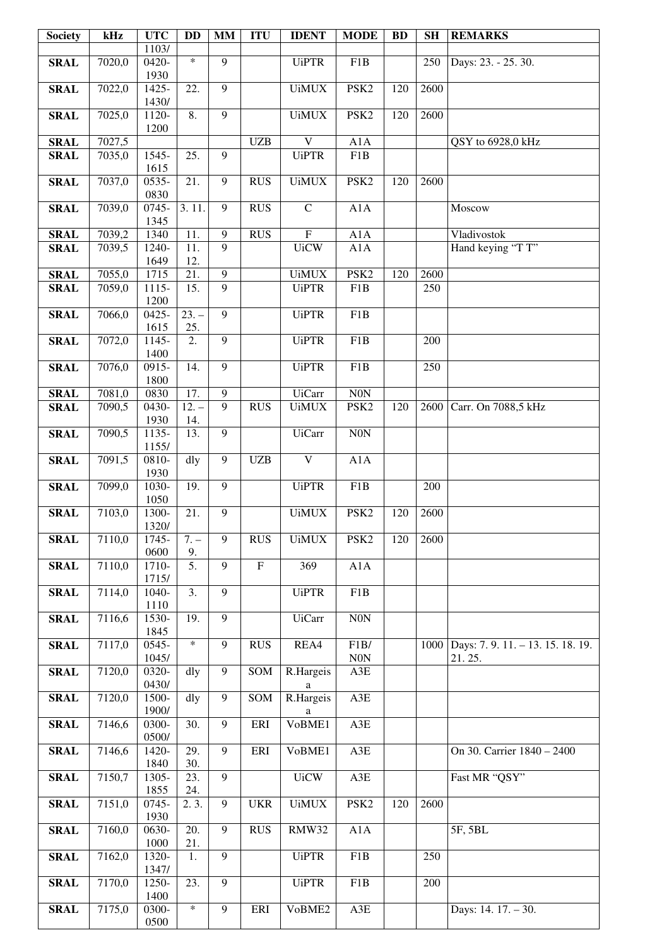| <b>Society</b>             | kHz              | <b>UTC</b>       | <b>DD</b>         | <b>MM</b>      | <b>ITU</b>     | <b>IDENT</b>            | <b>MODE</b>      | <b>BD</b> | <b>SH</b> | <b>REMARKS</b>               |
|----------------------------|------------------|------------------|-------------------|----------------|----------------|-------------------------|------------------|-----------|-----------|------------------------------|
|                            |                  | 1103/            |                   |                |                |                         |                  |           |           |                              |
| <b>SRAL</b>                | 7020,0           | $0420-$<br>1930  | $\ast$            | $\overline{9}$ |                | <b>UiPTR</b>            | F1B              |           | 250       | Days: 23. - 25. 30.          |
| <b>SRAL</b>                | 7022,0           | 1425-            | 22.               | 9              |                | <b>UiMUX</b>            | PSK <sub>2</sub> | 120       | 2600      |                              |
|                            |                  | 1430/            |                   |                |                |                         |                  |           |           |                              |
| <b>SRAL</b>                | 7025,0           | 1120-            | 8.                | 9              |                | <b>UiMUX</b>            | PSK <sub>2</sub> | 120       | 2600      |                              |
|                            |                  | 1200             |                   |                |                |                         |                  |           |           |                              |
| <b>SRAL</b><br><b>SRAL</b> | 7027,5<br>7035,0 | 1545-            | 25.               | 9              | <b>UZB</b>     | V<br><b>UiPTR</b>       | A1A<br>F1B       |           |           | QSY to 6928,0 kHz            |
|                            |                  | 1615             |                   |                |                |                         |                  |           |           |                              |
| <b>SRAL</b>                | 7037,0           | 0535-            | 21.               | 9              | <b>RUS</b>     | <b>UiMUX</b>            | PSK <sub>2</sub> | 120       | 2600      |                              |
|                            |                  | 0830             |                   |                |                |                         |                  |           |           |                              |
| <b>SRAL</b>                | 7039,0           | 0745-<br>1345    | 3.11.             | 9              | <b>RUS</b>     | $\mathbf C$             | A1A              |           |           | Moscow                       |
| <b>SRAL</b>                | 7039,2           | 1340             | 11.               | 9              | RUS            | $\overline{F}$          | A1A              |           |           | Vladivostok                  |
| <b>SRAL</b>                | 7039,5           | $1240-$          | $\overline{11}$ . | 9              |                | <b>UiCW</b>             | A1A              |           |           | Hand keying "T T"            |
|                            |                  | 1649             | 12.               |                |                |                         |                  |           |           |                              |
| <b>SRAL</b>                | 7055,0           | 1715             | 21.               | 9              |                | <b>UiMUX</b>            | PSK <sub>2</sub> | 120       | 2600      |                              |
| <b>SRAL</b>                | 7059,0           | $1115 -$<br>1200 | 15.               | 9              |                | <b>UiPTR</b>            | F1B              |           | 250       |                              |
| <b>SRAL</b>                | 7066,0           | 0425-            | $23. -$           | $\overline{9}$ |                | <b>UiPTR</b>            | F1B              |           |           |                              |
|                            |                  | 1615             | 25.               |                |                |                         |                  |           |           |                              |
| <b>SRAL</b>                | 7072,0           | 1145-            | 2.                | 9              |                | <b>UiPTR</b>            | F1B              |           | 200       |                              |
| <b>SRAL</b>                | 7076,0           | 1400<br>$0915 -$ | 14.               | $\overline{9}$ |                | <b>UiPTR</b>            | F1B              |           | 250       |                              |
|                            |                  | 1800             |                   |                |                |                         |                  |           |           |                              |
| <b>SRAL</b>                | 7081,0           | 0830             | 17.               | 9              |                | <b>UiCarr</b>           | $\rm{N0N}$       |           |           |                              |
| <b>SRAL</b>                | 7090,5           | 0430-            | $12. -$           | 9              | <b>RUS</b>     | <b>UiMUX</b>            | PSK <sub>2</sub> | 120       | 2600      | Carr. On 7088,5 kHz          |
|                            |                  | 1930             | 14.               | 9              |                |                         |                  |           |           |                              |
| <b>SRAL</b>                | 7090,5           | 1135-<br>1155/   | 13.               |                |                | <b>UiCarr</b>           | <b>N0N</b>       |           |           |                              |
| <b>SRAL</b>                | 7091,5           | 0810-            | dly               | 9              | <b>UZB</b>     | $\overline{\mathbf{V}}$ | A1A              |           |           |                              |
|                            |                  | 1930             |                   |                |                |                         |                  |           |           |                              |
| <b>SRAL</b>                | 7099,0           | 1030-            | 19.               | 9              |                | <b>UiPTR</b>            | F1B              |           | 200       |                              |
| <b>SRAL</b>                | 7103,0           | 1050<br>1300-    | 21.               | 9              |                | <b>UiMUX</b>            | PSK <sub>2</sub> | 120       | 2600      |                              |
|                            |                  | 1320/            |                   |                |                |                         |                  |           |           |                              |
| <b>SRAL</b>                | 7110,0           | 1745-            | $7. -$            | 9              | <b>RUS</b>     | <b>UiMUX</b>            | PSK <sub>2</sub> | 120       | 2600      |                              |
|                            |                  | 0600             | 9.                |                |                |                         |                  |           |           |                              |
| <b>SRAL</b>                | 7110,0           | 1710-<br>1715/   | $\overline{5}$ .  | 9              | $\overline{F}$ | 369                     | A1A              |           |           |                              |
| <b>SRAL</b>                | 7114,0           | 1040-            | 3.                | 9              |                | <b>UiPTR</b>            | F1B              |           |           |                              |
|                            |                  | 1110             |                   |                |                |                         |                  |           |           |                              |
| <b>SRAL</b>                | 7116,6           | 1530-            | 19.               | $\overline{9}$ |                | <b>UiCarr</b>           | N0N              |           |           |                              |
| <b>SRAL</b>                | 7117,0           | 1845<br>0545-    | $\ast$            | 9              | <b>RUS</b>     | REA4                    | ${\rm F1B}/$     |           | 1000      | Days: 7.9.11. - 13.15.18.19. |
|                            |                  | 1045/            |                   |                |                |                         | N <sub>0</sub> N |           |           | 21.25.                       |
| <b>SRAL</b>                | 7120,0           | 0320-            | dly               | 9              | SOM            | R.Hargeis               | A3E              |           |           |                              |
|                            |                  | 0430/            |                   |                |                | a                       |                  |           |           |                              |
| <b>SRAL</b>                | 7120,0           | 1500-<br>1900/   | dly               | $\overline{9}$ | SOM            | R.Hargeis<br>a          | A3E              |           |           |                              |
| <b>SRAL</b>                | 7146,6           | 0300-            | 30.               | 9              | ERI            | VoBME1                  | A3E              |           |           |                              |
|                            |                  | 0500/            |                   |                |                |                         |                  |           |           |                              |
| <b>SRAL</b>                | 7146,6           | 1420-            | 29.               | 9              | ERI            | VoBME1                  | A3E              |           |           | On 30. Carrier 1840 - 2400   |
| <b>SRAL</b>                | 7150,7           | 1840<br>1305-    | 30.<br>23.        | 9              |                | <b>UiCW</b>             | A3E              |           |           | Fast MR "QSY"                |
|                            |                  | 1855             | 24.               |                |                |                         |                  |           |           |                              |
| <b>SRAL</b>                | 7151,0           | 0745-            | 2.3.              | 9              | <b>UKR</b>     | <b>UiMUX</b>            | PSK <sub>2</sub> | 120       | 2600      |                              |
|                            |                  | 1930             |                   |                |                |                         |                  |           |           |                              |
| <b>SRAL</b>                | 7160,0           | 0630-            | 20.               | 9              | <b>RUS</b>     | RMW32                   | A1A              |           |           | 5F, 5BL                      |
| <b>SRAL</b>                | 7162,0           | 1000<br>1320-    | 21.<br>1.         | 9              |                | <b>UiPTR</b>            | F1B              |           | 250       |                              |
|                            |                  | 1347/            |                   |                |                |                         |                  |           |           |                              |
| <b>SRAL</b>                | 7170,0           | 1250-            | 23.               | 9              |                | <b>UiPTR</b>            | F1B              |           | 200       |                              |
|                            |                  | 1400             | $\ast$            |                |                |                         |                  |           |           |                              |
| <b>SRAL</b>                | 7175,0           | 0300-<br>0500    |                   | 9              | ERI            | VoBME2                  | $\rm A3E$        |           |           | Days: 14. 17. - 30.          |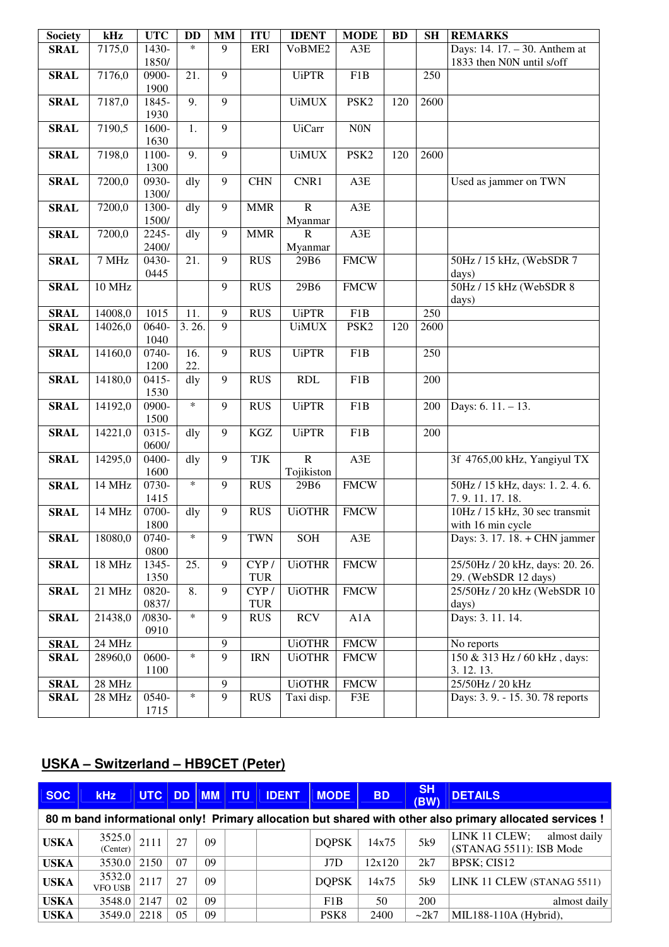| <b>Society</b> | kHz     | <b>UTC</b>    | <b>DD</b> | <b>MM</b>      | <b>ITU</b> | <b>IDENT</b>   | <b>MODE</b>      | <b>BD</b> | <b>SH</b> | <b>REMARKS</b>                    |
|----------------|---------|---------------|-----------|----------------|------------|----------------|------------------|-----------|-----------|-----------------------------------|
| <b>SRAL</b>    | 7175,0  | 1430-         | $\ast$    | 9              | ERI        | VoBME2         | A3E              |           |           | Days: 14. 17. - 30. Anthem at     |
|                |         | 1850/         |           |                |            |                |                  |           |           | 1833 then N0N until s/off         |
| <b>SRAL</b>    | 7176,0  | 0900-         | 21.       | 9              |            | <b>UiPTR</b>   | F1B              |           | 250       |                                   |
|                |         | 1900          | 9.        | 9              |            |                |                  |           |           |                                   |
| <b>SRAL</b>    | 7187,0  | 1845-<br>1930 |           |                |            | <b>UiMUX</b>   | PSK <sub>2</sub> | 120       | 2600      |                                   |
| <b>SRAL</b>    | 7190,5  | 1600-         | 1.        | $\overline{9}$ |            | <b>UiCarr</b>  | <b>N0N</b>       |           |           |                                   |
|                |         | 1630          |           |                |            |                |                  |           |           |                                   |
| <b>SRAL</b>    | 7198,0  | 1100-         | 9.        | 9              |            | <b>UiMUX</b>   | PSK <sub>2</sub> | 120       | 2600      |                                   |
|                |         | 1300          |           |                |            |                |                  |           |           |                                   |
| <b>SRAL</b>    | 7200,0  | $0930-$       | dly       | 9              | <b>CHN</b> | CNR1           | A3E              |           |           | Used as jammer on TWN             |
|                |         | 1300/         |           |                |            |                |                  |           |           |                                   |
| <b>SRAL</b>    | 7200,0  | 1300-         | dly       | $\overline{9}$ | <b>MMR</b> | $\overline{R}$ | A3E              |           |           |                                   |
|                |         | 1500/         |           |                |            | Myanmar        |                  |           |           |                                   |
| <b>SRAL</b>    | 7200,0  | 2245-         | dly       | 9              | <b>MMR</b> | $\mathbf R$    | A3E              |           |           |                                   |
|                |         | 2400/         |           | 9              |            | Myanmar        |                  |           |           |                                   |
| <b>SRAL</b>    | 7 MHz   | 0430-<br>0445 | 21.       |                | <b>RUS</b> | 29B6           | <b>FMCW</b>      |           |           | 50Hz / 15 kHz, (WebSDR 7<br>days) |
| <b>SRAL</b>    | 10 MHz  |               |           | 9              | <b>RUS</b> | 29B6           | <b>FMCW</b>      |           |           | 50Hz / 15 kHz (WebSDR 8           |
|                |         |               |           |                |            |                |                  |           |           | days)                             |
| <b>SRAL</b>    | 14008,0 | 1015          | 11.       | 9              | <b>RUS</b> | <b>UiPTR</b>   | F1B              |           | 250       |                                   |
| <b>SRAL</b>    | 14026,0 | 0640-         | 3.26.     | $\overline{9}$ |            | <b>UiMUX</b>   | PSK <sub>2</sub> | 120       | 2600      |                                   |
|                |         | 1040          |           |                |            |                |                  |           |           |                                   |
| <b>SRAL</b>    | 14160,0 | 0740-         | 16.       | 9              | <b>RUS</b> | <b>UiPTR</b>   | F1B              |           | 250       |                                   |
|                |         | 1200          | 22.       |                |            |                |                  |           |           |                                   |
| <b>SRAL</b>    | 14180,0 | $0415 -$      | dly       | 9              | <b>RUS</b> | <b>RDL</b>     | F1B              |           | 200       |                                   |
|                |         | 1530          |           |                |            |                |                  |           |           |                                   |
| <b>SRAL</b>    | 14192,0 | 0900-         | $\ast$    | 9              | <b>RUS</b> | <b>UiPTR</b>   | F1B              |           | 200       | Days: $6.11 - 13$ .               |
| <b>SRAL</b>    | 14221,0 | 1500<br>0315- | dly       | 9              | $\rm KGZ$  | <b>UiPTR</b>   | F1B              |           | 200       |                                   |
|                |         | 0600/         |           |                |            |                |                  |           |           |                                   |
| <b>SRAL</b>    | 14295,0 | 0400-         | dly       | 9              | TJK        | $\overline{R}$ | $A3E$            |           |           | 3f 4765,00 kHz, Yangiyul TX       |
|                |         | 1600          |           |                |            | Tojikiston     |                  |           |           |                                   |
| <b>SRAL</b>    | 14 MHz  | 0730-         | $\ast$    | 9              | <b>RUS</b> | 29B6           | <b>FMCW</b>      |           |           | 50Hz / 15 kHz, days: 1.2.4.6.     |
|                |         | 1415          |           |                |            |                |                  |           |           | 7.9.11.17.18.                     |
| <b>SRAL</b>    | 14 MHz  | 0700-         | dly       | 9              | <b>RUS</b> | <b>UiOTHR</b>  | <b>FMCW</b>      |           |           | 10Hz / 15 kHz, 30 sec transmit    |
|                |         | 1800          |           |                |            |                |                  |           |           | with 16 min cycle                 |
| <b>SRAL</b>    | 18080,0 | 0740-         | $\ast$    | 9              | <b>TWN</b> | <b>SOH</b>     | $\rm A3E$        |           |           | Days: 3. 17. 18. + CHN jammer     |
|                | 18 MHz  | 0800<br>1345- | 25.       | 9              | CYP/       | <b>UiOTHR</b>  | <b>FMCW</b>      |           |           | 25/50Hz / 20 kHz, days: 20. 26.   |
| <b>SRAL</b>    |         | 1350          |           |                | TUR        |                |                  |           |           | 29. (WebSDR 12 days)              |
| <b>SRAL</b>    | 21 MHz  | 0820-         | 8.        | 9              | CYP/       | <b>UiOTHR</b>  | <b>FMCW</b>      |           |           | 25/50Hz / 20 kHz (WebSDR 10       |
|                |         | 0837/         |           |                | TUR        |                |                  |           |           | days)                             |
| <b>SRAL</b>    | 21438,0 | $/0830-$      | $\ast$    | 9              | <b>RUS</b> | <b>RCV</b>     | A1A              |           |           | Days: 3. 11. 14.                  |
|                |         | 0910          |           |                |            |                |                  |           |           |                                   |
| <b>SRAL</b>    | 24 MHz  |               |           | 9              |            | <b>UiOTHR</b>  | <b>FMCW</b>      |           |           | No reports                        |
| <b>SRAL</b>    | 28960,0 | 0600-         | $\ast$    | 9              | <b>IRN</b> | <b>UiOTHR</b>  | <b>FMCW</b>      |           |           | 150 & 313 Hz / 60 kHz, days:      |
|                |         | 1100          |           |                |            |                |                  |           |           | 3.12.13.                          |
| <b>SRAL</b>    | 28 MHz  |               |           | 9              |            | <b>UiOTHR</b>  | <b>FMCW</b>      |           |           | 25/50Hz / 20 kHz                  |
| <b>SRAL</b>    | 28 MHz  | 0540-         | $\ast$    | 9              | <b>RUS</b> | Taxi disp.     | F3E              |           |           | Days: 3.9. - 15.30.78 reports     |
|                |         | 1715          |           |                |            |                |                  |           |           |                                   |

# **USKA – Switzerland – HB9CET (Peter)**

| <b>SOC</b>                                                                                               | <b>kHz</b>         | <b>UTC</b> | DD. | $\blacksquare$ MM $\blacksquare$ ITU |  | <b>IDENT</b> | <b>MODE</b>      | <b>BD</b> | <b>SH</b><br>(BW) | <b>DETAILS</b>                                           |  |  |
|----------------------------------------------------------------------------------------------------------|--------------------|------------|-----|--------------------------------------|--|--------------|------------------|-----------|-------------------|----------------------------------------------------------|--|--|
| 80 m band informational only! Primary allocation but shared with other also primary allocated services ! |                    |            |     |                                      |  |              |                  |           |                   |                                                          |  |  |
| <b>USKA</b>                                                                                              | 3525.0<br>(Center) | 2111       | 27  | 09                                   |  |              | <b>DOPSK</b>     | 14x75     | 5k9               | LINK 11 CLEW;<br>almost daily<br>(STANAG 5511): ISB Mode |  |  |
| <b>USKA</b>                                                                                              | 3530.0 2150        |            | 07  | 09                                   |  |              | J7D              | 12x120    | 2k7               | BPSK; CIS12                                              |  |  |
| <b>USKA</b>                                                                                              | 3532.0<br>VFO USB  | 2117       | 27  | 09                                   |  |              | <b>DOPSK</b>     | 14x75     | 5k9               | LINK 11 CLEW (STANAG 5511)                               |  |  |
| <b>USKA</b>                                                                                              | 3548.0             | 2147       | 02  | 09                                   |  |              | F1B              | 50        | 200               | almost daily                                             |  |  |
| <b>USKA</b>                                                                                              | 3549.0             | 2218       | 05  | 09                                   |  |              | PSK <sub>8</sub> | 2400      | $\sim$ 2k7        | MIL188-110A (Hybrid),                                    |  |  |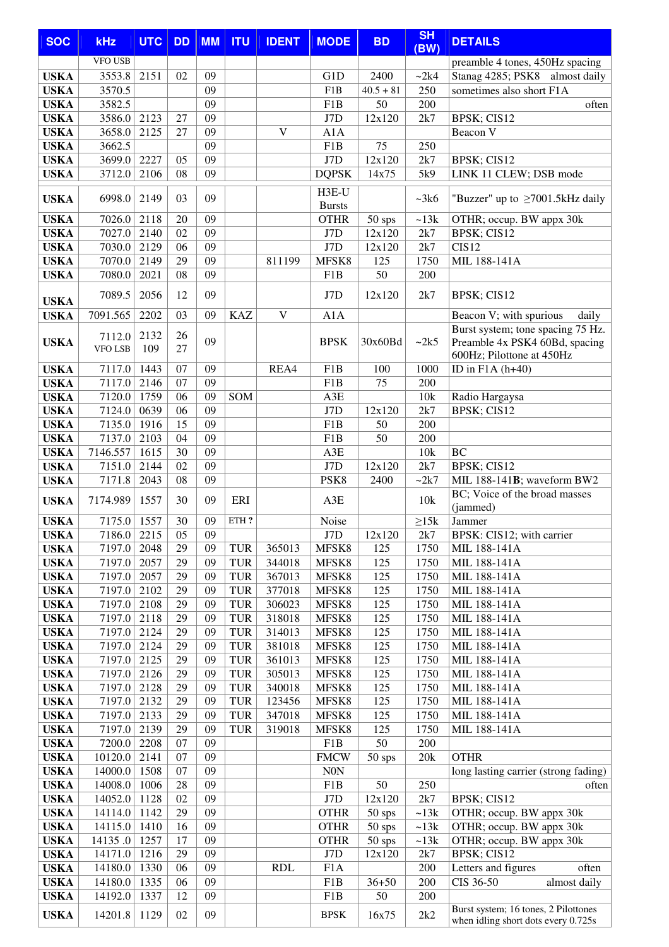| <b>SOC</b>                 | <b>kHz</b>         | <b>UTC</b>   | <b>DD</b>       | <b>MM</b> | <b>ITU</b>               | <b>IDENT</b>     | <b>MODE</b>            | <b>BD</b>        | <b>SH</b><br>(BW) | <b>DETAILS</b>                                                              |  |
|----------------------------|--------------------|--------------|-----------------|-----------|--------------------------|------------------|------------------------|------------------|-------------------|-----------------------------------------------------------------------------|--|
|                            | <b>VFO USB</b>     |              |                 |           |                          |                  |                        |                  |                   | preamble 4 tones, 450Hz spacing                                             |  |
| <b>USKA</b>                | 3553.8             | 2151         | 02              | 09        |                          |                  | G1D                    | 2400             | ~2k4              | Stanag 4285; PSK8 almost daily                                              |  |
| <b>USKA</b>                | 3570.5             |              |                 | 09        |                          |                  | F1B                    | $40.5 + 81$      | 250               | sometimes also short F1A                                                    |  |
| <b>USKA</b>                | 3582.5             |              |                 | 09        |                          |                  | F1B                    | 50               | 200               | often                                                                       |  |
| <b>USKA</b>                | 3586.0             | 2123         | 27              | 09        |                          |                  | J7D                    | 12x120           | 2k7               | BPSK; CIS12                                                                 |  |
| <b>USKA</b>                | 3658.0             | 2125         | 27              | 09        |                          | V                | A1A                    |                  |                   | Beacon V                                                                    |  |
| <b>USKA</b>                | 3662.5             |              |                 | 09        |                          |                  | F1B                    | 75               | 250               |                                                                             |  |
| <b>USKA</b>                | 3699.0             | 2227         | 05              | 09        |                          |                  | J7D                    | 12x120           | 2k7               | BPSK; CIS12                                                                 |  |
| <b>USKA</b>                | 3712.0             | 2106         | 08              | 09        |                          |                  | <b>DQPSK</b>           | 14x75            | 5k9               | LINK 11 CLEW; DSB mode                                                      |  |
| <b>USKA</b>                | 6998.0             | 2149         | 03              | 09        |                          |                  | H3E-U<br><b>Bursts</b> |                  | ~28k              | "Buzzer" up to $\geq$ 7001.5kHz daily                                       |  |
| <b>USKA</b>                | 7026.0             | 2118         | 20              | 09        |                          |                  | <b>OTHR</b>            | $50$ sps         | ~13k              | OTHR; occup. BW appx 30k                                                    |  |
| <b>USKA</b>                | 7027.0             | 2140         | 02              | 09        |                          |                  | J7D                    | 12x120           | 2k7               | BPSK; CIS12                                                                 |  |
| <b>USKA</b>                | 7030.0             | 2129         | 06              | 09        |                          |                  | J7D                    | 12x120           | 2k7               | CIS <sub>12</sub>                                                           |  |
| <b>USKA</b>                | 7070.0             | 2149         | 29              | 09        |                          | 811199           | MFSK8                  | 125              | 1750              | MIL 188-141A                                                                |  |
| <b>USKA</b>                | 7080.0             | 2021         | 08              | 09        |                          |                  | F1B                    | 50               | 200               |                                                                             |  |
|                            | 7089.5             | 2056         | 12              | 09        |                          |                  | J7D                    | 12x120           | 2k7               | BPSK; CIS12                                                                 |  |
| <b>USKA</b><br><b>USKA</b> | 7091.565           | 2202         | 03              | 09        | <b>KAZ</b>               | V                | A1A                    |                  |                   | Beacon V; with spurious<br>daily                                            |  |
|                            |                    |              |                 |           |                          |                  |                        |                  |                   | Burst system; tone spacing 75 Hz.                                           |  |
| <b>USKA</b>                | 7112.0<br>VFO LSB  | 2132<br>109  | 26<br>27        | 09        |                          |                  | <b>BPSK</b>            | 30x60Bd          | ~2k5              | Preamble 4x PSK4 60Bd, spacing<br>600Hz; Pilottone at 450Hz                 |  |
| <b>USKA</b>                | 7117.0             | 1443         | 07              | 09        |                          | REA4             | F <sub>1</sub> B       | 100              | 1000              | ID in $F1A(h+40)$                                                           |  |
| <b>USKA</b>                | 7117.0             | 2146         | 07              | 09        |                          |                  | F <sub>1</sub> B       | 75               | 200               |                                                                             |  |
| <b>USKA</b>                | 7120.0             | 1759         | 06              | 09        | SOM                      |                  | A3E                    |                  | 10k               | Radio Hargaysa                                                              |  |
| <b>USKA</b>                | 7124.0             | 0639         | 06              | 09        |                          |                  | J7D                    | 12x120           | 2k7               | BPSK; CIS12                                                                 |  |
| <b>USKA</b>                | 7135.0             | 1916         | 15              | 09        |                          |                  | F1B                    | 50               | 200               |                                                                             |  |
| <b>USKA</b>                | 7137.0             | 2103         | 04              | 09        |                          |                  | F1B                    | 50               | 200               |                                                                             |  |
| <b>USKA</b>                | 7146.557           | 1615         | 30              | 09        |                          |                  | A3E                    |                  | 10k               | <b>BC</b>                                                                   |  |
| <b>USKA</b>                | 7151.0             | 2144         | 02              | 09        |                          |                  | J7D                    | 12x120           | 2k7               | BPSK; CIS12                                                                 |  |
| <b>USKA</b>                | 7171.8             | 2043         | 08              | 09        |                          |                  | PSK8                   | 2400             | $-2k7$            | MIL 188-141B; waveform BW2<br>BC; Voice of the broad masses                 |  |
| <b>USKA</b>                | 7174.989           | 1557         | 30              | 09        | ERI                      |                  | A3E                    |                  | 10k               | (jammed)                                                                    |  |
| <b>USKA</b>                | 7175.0 1557        |              | 30              | 09        | ETH?                     |                  | Noise                  |                  | $\geq$ 15 $k$     | Jammer                                                                      |  |
| <b>USKA</b>                | 7186.0 2215        |              | $\overline{05}$ | 09        |                          |                  | J7D                    | 12x120           | $2k7$             | BPSK: CIS12; with carrier                                                   |  |
| <b>USKA</b>                | 7197.0 2048        |              | 29              | 09        | <b>TUR</b>               | 365013           | MFSK8                  | 125              | 1750              | MIL 188-141A                                                                |  |
| <b>USKA</b>                | 7197.0             | 2057         | 29<br>29        | 09<br>09  | <b>TUR</b>               | 344018           | MFSK8                  | 125              | 1750              | MIL 188-141A                                                                |  |
| <b>USKA</b><br><b>USKA</b> | 7197.0<br>7197.0   | 2057<br>2102 | 29              | 09        | <b>TUR</b><br><b>TUR</b> | 367013<br>377018 | MFSK8<br>MFSK8         | 125<br>125       | 1750<br>1750      | MIL 188-141A<br>MIL 188-141A                                                |  |
| <b>USKA</b>                | 7197.0             | 2108         | 29              | 09        | <b>TUR</b>               | 306023           | MFSK8                  | 125              | 1750              | MIL 188-141A                                                                |  |
| <b>USKA</b>                | 7197.0             | 2118         | 29              | 09        | <b>TUR</b>               | 318018           | MFSK8                  | 125              | 1750              | MIL 188-141A                                                                |  |
| <b>USKA</b>                | 7197.0             | 2124         | 29              | 09        | <b>TUR</b>               | 314013           | MFSK8                  | 125              | 1750              | MIL 188-141A                                                                |  |
| <b>USKA</b>                | 7197.0             | 2124         | 29              | 09        | <b>TUR</b>               | 381018           | MFSK8                  | 125              | 1750              | MIL 188-141A                                                                |  |
| <b>USKA</b>                | 7197.0             | 2125         | 29              | 09        | <b>TUR</b>               | 361013           | MFSK8                  | 125              | 1750              | MIL 188-141A                                                                |  |
| <b>USKA</b>                | 7197.0             | 2126         | 29              | 09        | <b>TUR</b>               | 305013           | MFSK8                  | 125              | 1750              | MIL 188-141A                                                                |  |
| <b>USKA</b>                | 7197.0             | 2128         | 29              | 09        | <b>TUR</b>               | 340018           | MFSK8                  | 125              | 1750              | MIL 188-141A                                                                |  |
| <b>USKA</b>                | 7197.0             | 2132         | 29              | 09        | <b>TUR</b>               | 123456           | MFSK8                  | 125              | 1750              | MIL 188-141A                                                                |  |
| <b>USKA</b>                | 7197.0             | 2133         | 29              | 09        | <b>TUR</b>               | 347018           | MFSK8                  | 125              | 1750              | MIL 188-141A                                                                |  |
| <b>USKA</b>                | 7197.0             | 2139         | 29              | 09        | <b>TUR</b>               | 319018           | MFSK8                  | 125              | 1750              | MIL 188-141A                                                                |  |
| <b>USKA</b>                | 7200.0             | 2208         | 07              | 09        |                          |                  | F1B                    | 50               | 200               |                                                                             |  |
| <b>USKA</b>                | 10120.0            | 2141         | 07              | 09        |                          |                  | <b>FMCW</b>            | $50$ sps         | 20k               | <b>OTHR</b>                                                                 |  |
| <b>USKA</b>                | 14000.0            | 1508         | 07              | 09<br>09  |                          |                  | <b>N0N</b>             |                  |                   | long lasting carrier (strong fading)                                        |  |
| <b>USKA</b>                | 14008.0            | 1006<br>1128 | 28<br>02        | 09        |                          |                  | F1B<br>J7D             | $50\,$<br>12x120 | 250<br>2k7        | often<br>BPSK; CIS12                                                        |  |
| <b>USKA</b><br><b>USKA</b> | 14052.0<br>14114.0 | 1142         | 29              | 09        |                          |                  | <b>OTHR</b>            | $50$ sps         | ~13k              | OTHR; occup. BW appx 30k                                                    |  |
| <b>USKA</b>                | 14115.0            | 1410         | 16              | 09        |                          |                  | <b>OTHR</b>            | $50$ sps         | ~13k              | OTHR; occup. BW appx 30k                                                    |  |
| <b>USKA</b>                | 14135.0            | 1257         | 17              | 09        |                          |                  | <b>OTHR</b>            | 50 sps           | ~13k              | OTHR; occup. BW appx 30k                                                    |  |
| <b>USKA</b>                | 14171.0            | 1216         | 29              | 09        |                          |                  | J7D                    | 12x120           | 2k7               | BPSK; CIS12                                                                 |  |
| <b>USKA</b>                | 14180.0            | 1330         | 06              | 09        |                          | <b>RDL</b>       | F <sub>1</sub> A       |                  | 200               | Letters and figures<br>often                                                |  |
| <b>USKA</b>                | 14180.0            | 1335         | 06              | 09        |                          |                  | F1B                    | $36 + 50$        | 200               | CIS 36-50<br>almost daily                                                   |  |
| <b>USKA</b>                | 14192.0            | 1337         | 12              | 09        |                          |                  | F <sub>1</sub> B       | 50               | 200               |                                                                             |  |
| <b>USKA</b>                | 14201.8            | 1129         | 02              | 09        |                          |                  | <b>BPSK</b>            | 16x75            | 2k2               | Burst system; 16 tones, 2 Pilottones<br>when idling short dots every 0.725s |  |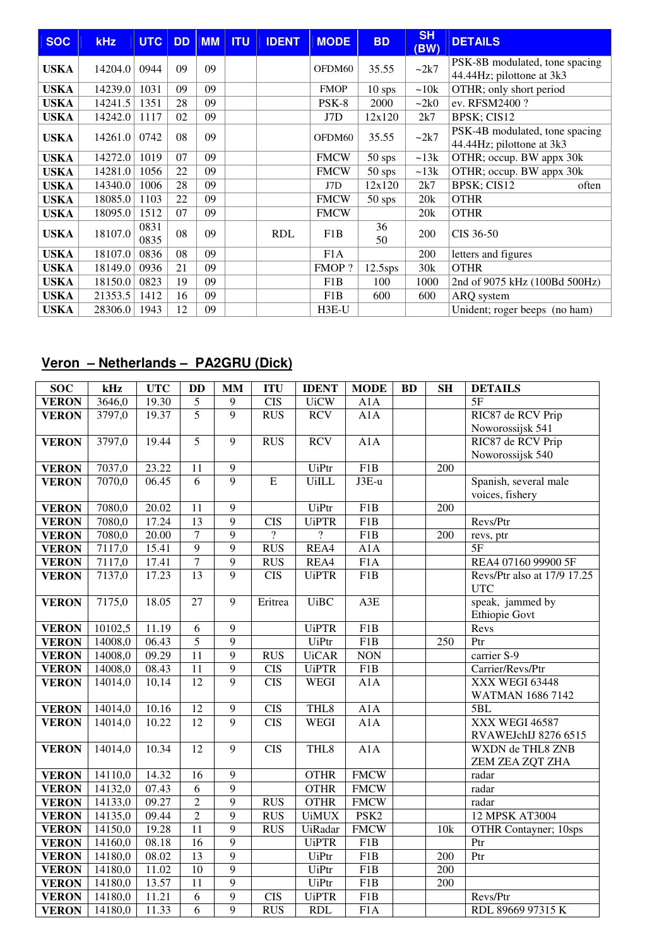| <b>SOC</b>  | <b>kHz</b> | <b>UTC</b>   | <b>DD</b> | <b>MM</b> | <b>ITU</b> | <b>IDENT</b> | <b>MODE</b>      | <b>BD</b>  | <b>SH</b><br>(BW) | <b>DETAILS</b>                                              |
|-------------|------------|--------------|-----------|-----------|------------|--------------|------------------|------------|-------------------|-------------------------------------------------------------|
| <b>USKA</b> | 14204.0    | 0944         | 09        | 09        |            |              | OFDM60           | 35.55      | $\sim$ 2k7        | PSK-8B modulated, tone spacing<br>44.44Hz; pilottone at 3k3 |
| <b>USKA</b> | 14239.0    | 1031         | 09        | 09        |            |              | <b>FMOP</b>      | $10$ sps   | ~10k              | OTHR; only short period                                     |
| <b>USKA</b> | 14241.5    | 1351         | 28        | 09        |            |              | PSK-8            | 2000       | $\sim$ 2k0        | ev. RFSM2400?                                               |
| <b>USKA</b> | 14242.0    | 1117         | 02        | 09        |            |              | J7D              | 12x120     | 2k7               | BPSK; CIS12                                                 |
| <b>USKA</b> | 14261.0    | 0742         | 08        | 09        |            |              | OFDM60           | 35.55      | $\sim$ 2k7        | PSK-4B modulated, tone spacing<br>44.44Hz; pilottone at 3k3 |
| <b>USKA</b> | 14272.0    | 1019         | 07        | 09        |            |              | <b>FMCW</b>      | $50$ sps   | $\sim$ 13 $k$     | OTHR; occup. BW appx 30k                                    |
| <b>USKA</b> | 14281.0    | 1056         | 22        | 09        |            |              | <b>FMCW</b>      | $50$ sps   | $\sim$ 13 $k$     | OTHR; occup. BW appx 30k                                    |
| <b>USKA</b> | 14340.0    | 1006         | 28        | 09        |            |              | J7D              | 12x120     | 2k7               | BPSK; CIS12<br>often                                        |
| <b>USKA</b> | 18085.0    | 1103         | 22        | 09        |            |              | <b>FMCW</b>      | $50$ sps   | 20k               | <b>OTHR</b>                                                 |
| <b>USKA</b> | 18095.0    | 1512         | 07        | 09        |            |              | <b>FMCW</b>      |            | 20k               | <b>OTHR</b>                                                 |
| <b>USKA</b> | 18107.0    | 0831<br>0835 | 08        | 09        |            | <b>RDL</b>   | F1B              | 36<br>50   | 200               | CIS 36-50                                                   |
| <b>USKA</b> | 18107.0    | 0836         | 08        | 09        |            |              | F <sub>1</sub> A |            | 200               | letters and figures                                         |
| <b>USKA</b> | 18149.0    | 0936         | 21        | 09        |            |              | FMOP?            | $12.5$ sps | 30k               | <b>OTHR</b>                                                 |
| <b>USKA</b> | 18150.0    | 0823         | 19        | 09        |            |              | F1B              | 100        | 1000              | 2nd of 9075 kHz (100Bd 500Hz)                               |
| <b>USKA</b> | 21353.5    | 1412         | 16        | 09        |            |              | F1B              | 600        | 600               | ARQ system                                                  |
| <b>USKA</b> | 28306.0    | 1943         | 12        | 09        |            |              | H3E-U            |            |                   | Unident; roger beeps (no ham)                               |

# **Veron – Netherlands – PA2GRU (Dick)**

| $\overline{S}OC$ | kHz     | <b>UTC</b> | <b>DD</b>       | MM             | <b>ITU</b>       | <b>IDENT</b>   | <b>MODE</b>      | <b>BD</b> | <b>SH</b>        | <b>DETAILS</b>                |
|------------------|---------|------------|-----------------|----------------|------------------|----------------|------------------|-----------|------------------|-------------------------------|
| <b>VERON</b>     | 3646,0  | 19.30      | 5               | 9              | <b>CIS</b>       | <b>UiCW</b>    | A1A              |           |                  | 5F                            |
| <b>VERON</b>     | 3797,0  | 19.37      | $\overline{5}$  | $\overline{9}$ | <b>RUS</b>       | <b>RCV</b>     | A1A              |           |                  | RIC87 de RCV Prip             |
|                  |         |            |                 |                |                  |                |                  |           |                  | Noworossijsk 541              |
| <b>VERON</b>     | 3797,0  | 19.44      | $\overline{5}$  | $\overline{9}$ | <b>RUS</b>       | <b>RCV</b>     | A1A              |           |                  | RIC87 de RCV Prip             |
|                  |         |            |                 |                |                  |                |                  |           |                  | Noworossijsk 540              |
| <b>VERON</b>     | 7037,0  | 23.22      | 11              | $\overline{9}$ |                  | <b>UiPtr</b>   | F1B              |           | $\overline{200}$ |                               |
| <b>VERON</b>     | 7070,0  | 06.45      | $\overline{6}$  | $\overline{9}$ | $\overline{E}$   | <b>UiILL</b>   | $J3E-u$          |           |                  | Spanish, several male         |
|                  |         |            |                 |                |                  |                |                  |           |                  | voices, fishery               |
| <b>VERON</b>     | 7080,0  | 20.02      | 11              | 9              |                  | UiPtr          | F <sub>1</sub> B |           | 200              |                               |
| <b>VERON</b>     | 7080,0  | 17.24      | $\overline{13}$ | $\overline{9}$ | $\overline{CIS}$ | <b>UiPTR</b>   | $\overline{F1B}$ |           |                  | Revs/Ptr                      |
| <b>VERON</b>     | 7080,0  | 20.00      | $\overline{7}$  | $\overline{9}$ | $\overline{?}$   | $\overline{?}$ | F <sub>1</sub> B |           | 200              | revs, ptr                     |
| <b>VERON</b>     | 7117,0  | 15.41      | $\overline{9}$  | 9              | <b>RUS</b>       | REA4           | A1A              |           |                  | 5F                            |
| <b>VERON</b>     | 7117,0  | 17.41      | 7               | $\overline{9}$ | <b>RUS</b>       | REA4           | F1A              |           |                  | REA4 07160 99900 5F           |
| <b>VERON</b>     | 7137,0  | 17.23      | 13              | $\overline{9}$ | <b>CIS</b>       | <b>UiPTR</b>   | F1B              |           |                  | Revs/Ptr also at 17/9 17.25   |
|                  |         |            |                 |                |                  |                |                  |           |                  | <b>UTC</b>                    |
| <b>VERON</b>     | 7175,0  | 18.05      | 27              | $\overline{9}$ | Eritrea          | <b>UiBC</b>    | A3E              |           |                  | speak, jammed by              |
|                  |         |            |                 |                |                  |                |                  |           |                  | <b>Ethiopie Govt</b>          |
| <b>VERON</b>     | 10102,5 | 11.19      | $\overline{6}$  | $\overline{9}$ |                  | <b>UiPTR</b>   | F1B              |           |                  | Revs                          |
| <b>VERON</b>     | 14008,0 | 06.43      | $\overline{5}$  | $\overline{9}$ |                  | <b>UiPtr</b>   | F1B              |           | $\overline{250}$ | Ptr                           |
| <b>VERON</b>     | 14008,0 | 09.29      | $\overline{11}$ | $\overline{9}$ | <b>RUS</b>       | <b>UiCAR</b>   | <b>NON</b>       |           |                  | carrier S-9                   |
| <b>VERON</b>     | 14008,0 | 08.43      | $\overline{11}$ | $\overline{9}$ | <b>CIS</b>       | <b>UiPTR</b>   | F1B              |           |                  | Carrier/Revs/Ptr              |
| <b>VERON</b>     | 14014,0 | 10,14      | $\overline{12}$ | 9              | $\overline{CIS}$ | <b>WEGI</b>    | A1A              |           |                  | XXX WEGI 63448                |
|                  |         |            |                 |                |                  |                |                  |           |                  | <b>WATMAN 1686 7142</b>       |
| <b>VERON</b>     | 14014,0 | 10.16      | 12              | 9              | <b>CIS</b>       | THL8           | A1A              |           |                  | 5BL                           |
| <b>VERON</b>     | 14014,0 | 10.22      | 12              | 9              | <b>CIS</b>       | <b>WEGI</b>    | A1A              |           |                  | XXX WEGI 46587                |
|                  |         |            |                 |                |                  |                |                  |           |                  | RVAWEJchIJ 8276 6515          |
| <b>VERON</b>     | 14014,0 | 10.34      | 12              | $\overline{9}$ | $\overline{CIS}$ | THL8           | A1A              |           |                  | WXDN de THL8 ZNB              |
|                  |         |            |                 |                |                  |                |                  |           |                  | ZEM ZEA ZQT ZHA               |
| <b>VERON</b>     | 14110,0 | 14.32      | 16              | 9              |                  | <b>OTHR</b>    | <b>FMCW</b>      |           |                  | radar                         |
| <b>VERON</b>     | 14132,0 | 07.43      | 6               | 9              |                  | <b>OTHR</b>    | <b>FMCW</b>      |           |                  | radar                         |
| <b>VERON</b>     | 14133,0 | 09.27      | $\overline{2}$  | $\overline{9}$ | <b>RUS</b>       | <b>OTHR</b>    | <b>FMCW</b>      |           |                  | radar                         |
| <b>VERON</b>     | 14135,0 | 09.44      | $\overline{2}$  | $\overline{9}$ | <b>RUS</b>       | <b>UiMUX</b>   | PSK <sub>2</sub> |           |                  | <b>12 MPSK AT3004</b>         |
| <b>VERON</b>     | 14150,0 | 19.28      | $\overline{11}$ | $\overline{9}$ | RUS              | UiRadar        | <b>FMCW</b>      |           | 10k              | <b>OTHR Contayner</b> ; 10sps |
| <b>VERON</b>     | 14160,0 | 08.18      | $\overline{16}$ | 9              |                  | <b>UiPTR</b>   | F1B              |           |                  | Ptr                           |
| <b>VERON</b>     | 14180,0 | 08.02      | 13              | $\overline{9}$ |                  | <b>UiPtr</b>   | F1B              |           | 200              | Ptr                           |
| <b>VERON</b>     | 14180,0 | 11.02      | $\overline{10}$ | $\overline{9}$ |                  | <b>UiPtr</b>   | F1B              |           | 200              |                               |
| <b>VERON</b>     | 14180,0 | 13.57      | $\overline{11}$ | $\overline{9}$ |                  | UiPtr          | F1B              |           | 200              |                               |
| <b>VERON</b>     | 14180,0 | 11.21      | $\overline{6}$  | $\overline{9}$ | <b>CIS</b>       | <b>UiPTR</b>   | F1B              |           |                  | Revs/Ptr                      |
| <b>VERON</b>     | 14180,0 | 11.33      | 6               | $\overline{9}$ | <b>RUS</b>       | <b>RDL</b>     | F1A              |           |                  | RDL 89669 97315 K             |